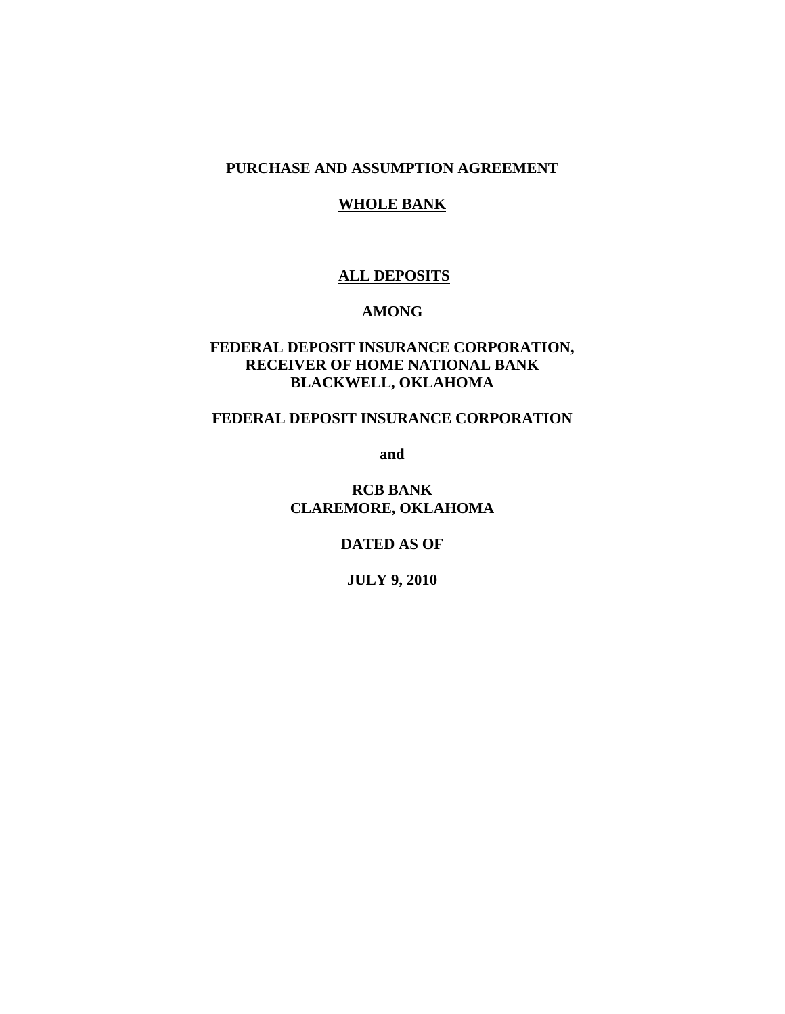#### **PURCHASE AND ASSUMPTION AGREEMENT**

#### **WHOLE BANK**

## **ALL DEPOSITS**

#### **AMONG**

#### **FEDERAL DEPOSIT INSURANCE CORPORATION, RECEIVER OF HOME NATIONAL BANK BLACKWELL, OKLAHOMA**

#### **FEDERAL DEPOSIT INSURANCE CORPORATION**

**and** 

#### **RCB BANK CLAREMORE, OKLAHOMA**

**DATED AS OF**

**JULY 9, 2010**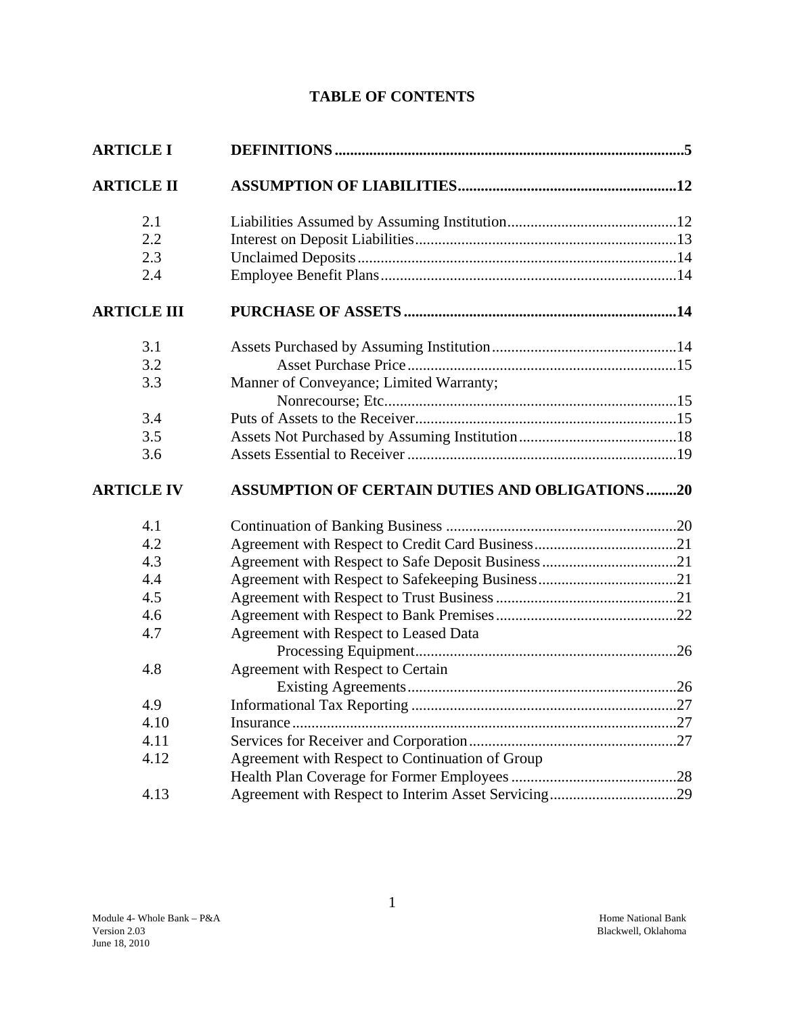# **TABLE OF CONTENTS**

| <b>ARTICLE I</b>   |                                                       |  |
|--------------------|-------------------------------------------------------|--|
| <b>ARTICLE II</b>  |                                                       |  |
| 2.1                |                                                       |  |
| 2.2                |                                                       |  |
| 2.3                |                                                       |  |
| 2.4                |                                                       |  |
| <b>ARTICLE III</b> |                                                       |  |
| 3.1                |                                                       |  |
| 3.2                |                                                       |  |
| 3.3                | Manner of Conveyance; Limited Warranty;               |  |
|                    |                                                       |  |
| 3.4                |                                                       |  |
| 3.5                |                                                       |  |
| 3.6                |                                                       |  |
| <b>ARTICLE IV</b>  | <b>ASSUMPTION OF CERTAIN DUTIES AND OBLIGATIONS20</b> |  |
| 4.1                |                                                       |  |
| 4.2                |                                                       |  |
| 4.3                |                                                       |  |
| 4.4                |                                                       |  |
| 4.5                |                                                       |  |
| 4.6                |                                                       |  |
| 4.7                | Agreement with Respect to Leased Data                 |  |
|                    |                                                       |  |
| 4.8                | Agreement with Respect to Certain                     |  |
|                    |                                                       |  |
| 4.9                |                                                       |  |
| 4.10               |                                                       |  |
| 4.11               |                                                       |  |
| 4.12               | Agreement with Respect to Continuation of Group       |  |
|                    |                                                       |  |
| 4.13               |                                                       |  |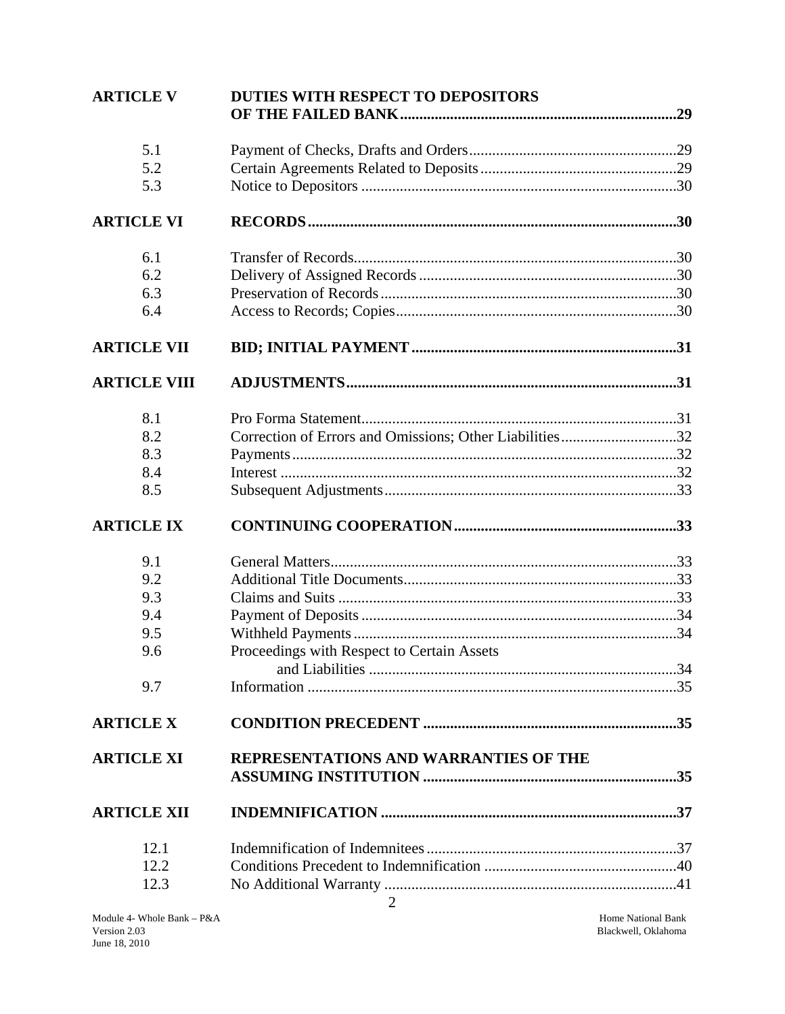| <b>ARTICLE V</b>    | <b>DUTIES WITH RESPECT TO DEPOSITORS</b>                |  |
|---------------------|---------------------------------------------------------|--|
| 5.1                 |                                                         |  |
| 5.2                 |                                                         |  |
| 5.3                 |                                                         |  |
| <b>ARTICLE VI</b>   |                                                         |  |
| 6.1                 |                                                         |  |
| 6.2                 |                                                         |  |
| 6.3                 |                                                         |  |
| 6.4                 |                                                         |  |
| <b>ARTICLE VII</b>  |                                                         |  |
| <b>ARTICLE VIII</b> |                                                         |  |
| 8.1                 |                                                         |  |
| 8.2                 | Correction of Errors and Omissions; Other Liabilities32 |  |
| 8.3                 |                                                         |  |
| 8.4                 |                                                         |  |
| 8.5                 |                                                         |  |
| <b>ARTICLE IX</b>   |                                                         |  |
| 9.1                 |                                                         |  |
| 9.2                 |                                                         |  |
| 9.3                 |                                                         |  |
| 9.4                 |                                                         |  |
| 9.5                 |                                                         |  |
| 9.6                 | Proceedings with Respect to Certain Assets              |  |
|                     |                                                         |  |
| 9.7                 |                                                         |  |
| <b>ARTICLE X</b>    |                                                         |  |
| <b>ARTICLE XI</b>   | REPRESENTATIONS AND WARRANTIES OF THE                   |  |
| <b>ARTICLE XII</b>  |                                                         |  |
| 12.1                |                                                         |  |
| 12.2                |                                                         |  |
| 12.3                |                                                         |  |
|                     | $\overline{2}$                                          |  |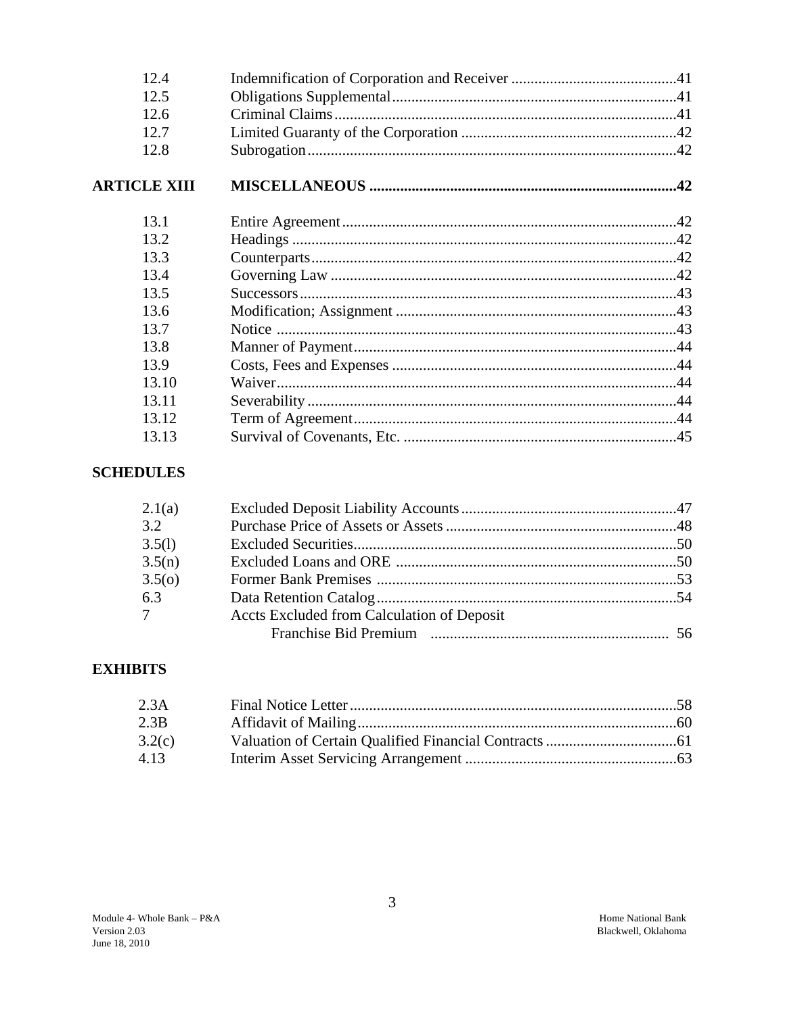| 12.4                |  |
|---------------------|--|
| 12.5                |  |
| 12.6                |  |
| 12.7                |  |
| 12.8                |  |
| <b>ARTICLE XIII</b> |  |
| 13.1                |  |
| 13.2                |  |
| 13.3                |  |
| 13.4                |  |
| 13.5                |  |
| 13.6                |  |
| 13.7                |  |
| 13.8                |  |
| 13.9                |  |
| 13.10               |  |
| 13.11               |  |
| 13.12               |  |
| 13.13               |  |

# **SCHEDULES**

| 2.1(a) |                                            |  |
|--------|--------------------------------------------|--|
| 3.2    |                                            |  |
| 3.5(l) |                                            |  |
| 3.5(n) |                                            |  |
| 3.5(0) |                                            |  |
| 6.3    |                                            |  |
| 7      | Accts Excluded from Calculation of Deposit |  |
|        |                                            |  |

# **EXHIBITS**

| 2.3A   |  |
|--------|--|
| 2.3B   |  |
| 3.2(c) |  |
| 4.13   |  |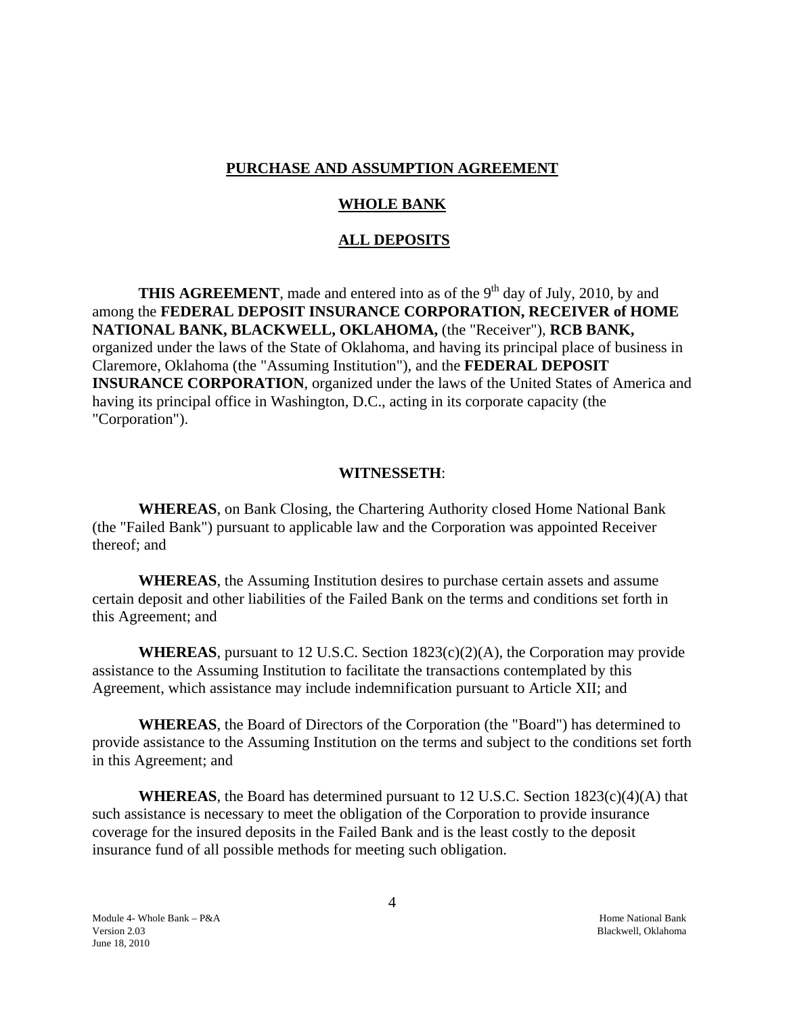#### **PURCHASE AND ASSUMPTION AGREEMENT**

#### **WHOLE BANK**

#### **ALL DEPOSITS**

**THIS AGREEMENT**, made and entered into as of the 9<sup>th</sup> day of July, 2010, by and among the **FEDERAL DEPOSIT INSURANCE CORPORATION, RECEIVER of HOME NATIONAL BANK, BLACKWELL, OKLAHOMA,** (the "Receiver"), **RCB BANK,**  organized under the laws of the State of Oklahoma, and having its principal place of business in Claremore, Oklahoma (the "Assuming Institution"), and the **FEDERAL DEPOSIT INSURANCE CORPORATION**, organized under the laws of the United States of America and having its principal office in Washington, D.C., acting in its corporate capacity (the "Corporation").

#### **WITNESSETH**:

**WHEREAS**, on Bank Closing, the Chartering Authority closed Home National Bank (the "Failed Bank") pursuant to applicable law and the Corporation was appointed Receiver thereof; and

**WHEREAS**, the Assuming Institution desires to purchase certain assets and assume certain deposit and other liabilities of the Failed Bank on the terms and conditions set forth in this Agreement; and

**WHEREAS**, pursuant to 12 U.S.C. Section 1823(c)(2)(A), the Corporation may provide assistance to the Assuming Institution to facilitate the transactions contemplated by this Agreement, which assistance may include indemnification pursuant to Article XII; and

**WHEREAS**, the Board of Directors of the Corporation (the "Board") has determined to provide assistance to the Assuming Institution on the terms and subject to the conditions set forth in this Agreement; and

**WHEREAS**, the Board has determined pursuant to 12 U.S.C. Section 1823(c)(4)(A) that such assistance is necessary to meet the obligation of the Corporation to provide insurance coverage for the insured deposits in the Failed Bank and is the least costly to the deposit insurance fund of all possible methods for meeting such obligation.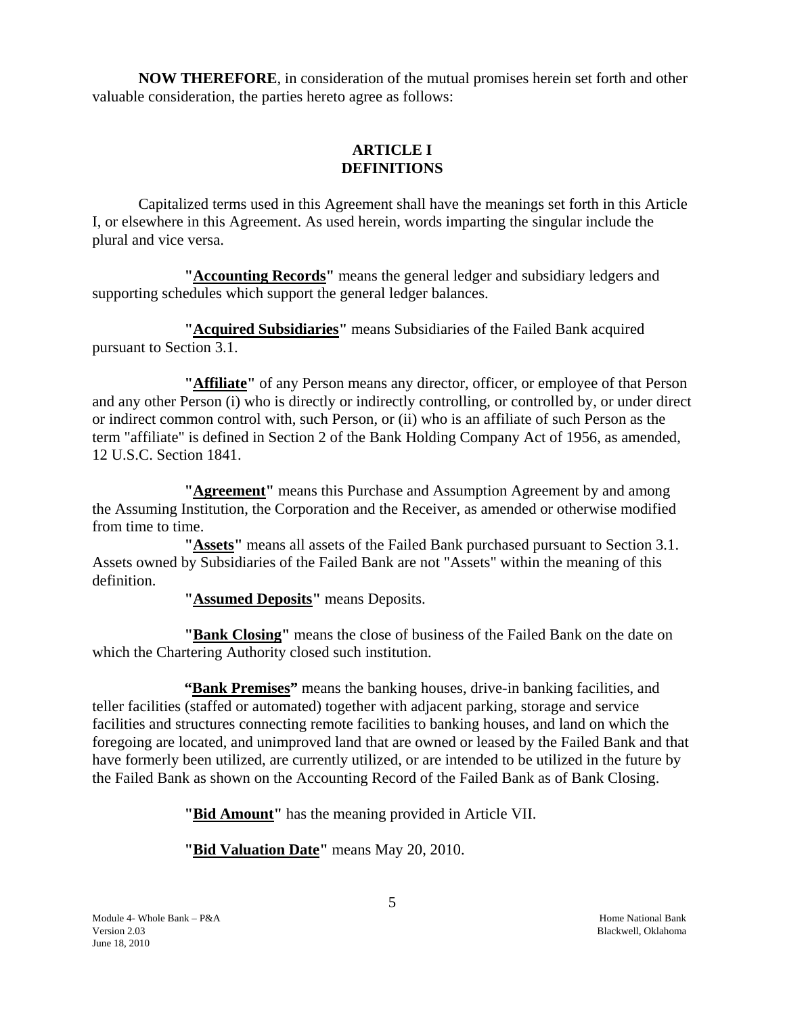**NOW THEREFORE**, in consideration of the mutual promises herein set forth and other valuable consideration, the parties hereto agree as follows:

## **ARTICLE I DEFINITIONS**

Capitalized terms used in this Agreement shall have the meanings set forth in this Article I, or elsewhere in this Agreement. As used herein, words imparting the singular include the plural and vice versa.

**"Accounting Records"** means the general ledger and subsidiary ledgers and supporting schedules which support the general ledger balances.

**"Acquired Subsidiaries"** means Subsidiaries of the Failed Bank acquired pursuant to Section 3.1.

**"Affiliate"** of any Person means any director, officer, or employee of that Person and any other Person (i) who is directly or indirectly controlling, or controlled by, or under direct or indirect common control with, such Person, or (ii) who is an affiliate of such Person as the term "affiliate" is defined in Section 2 of the Bank Holding Company Act of 1956, as amended, 12 U.S.C. Section 1841.

**"Agreement"** means this Purchase and Assumption Agreement by and among the Assuming Institution, the Corporation and the Receiver, as amended or otherwise modified from time to time.

**"Assets"** means all assets of the Failed Bank purchased pursuant to Section 3.1. Assets owned by Subsidiaries of the Failed Bank are not "Assets" within the meaning of this definition.

**"Assumed Deposits"** means Deposits.

**"Bank Closing"** means the close of business of the Failed Bank on the date on which the Chartering Authority closed such institution.

**"Bank Premises"** means the banking houses, drive-in banking facilities, and teller facilities (staffed or automated) together with adjacent parking, storage and service facilities and structures connecting remote facilities to banking houses, and land on which the foregoing are located, and unimproved land that are owned or leased by the Failed Bank and that have formerly been utilized, are currently utilized, or are intended to be utilized in the future by the Failed Bank as shown on the Accounting Record of the Failed Bank as of Bank Closing.

**"Bid Amount"** has the meaning provided in Article VII.

**"Bid Valuation Date"** means May 20, 2010.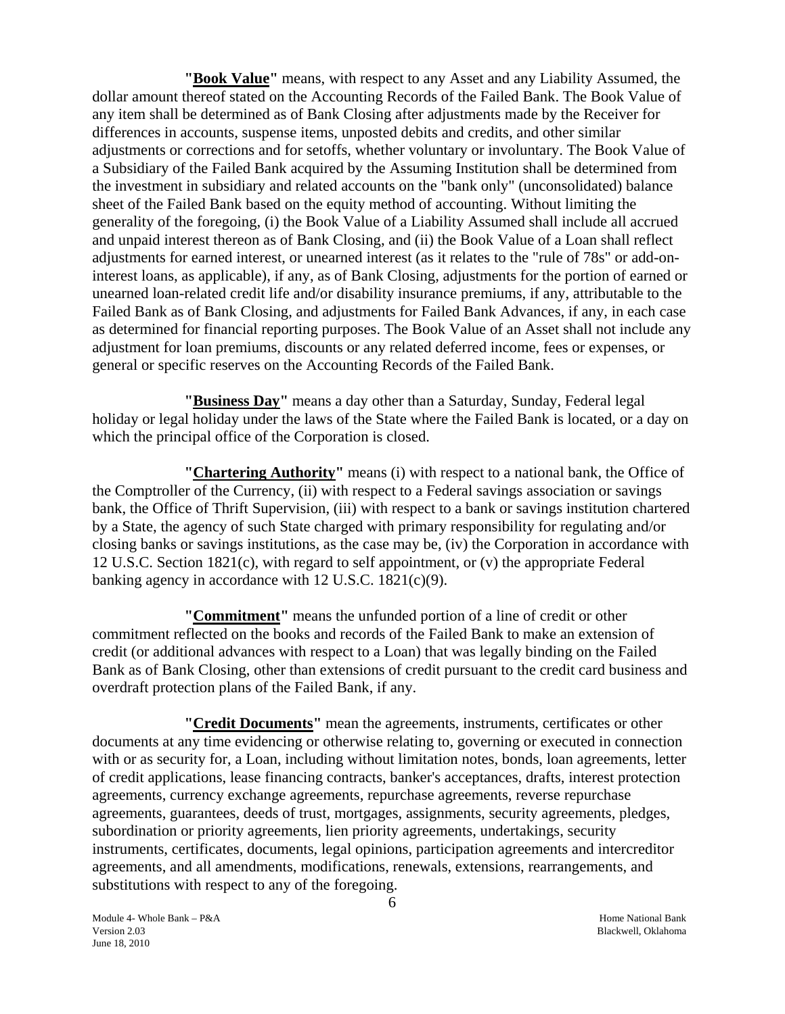**"Book Value"** means, with respect to any Asset and any Liability Assumed, the dollar amount thereof stated on the Accounting Records of the Failed Bank. The Book Value of any item shall be determined as of Bank Closing after adjustments made by the Receiver for differences in accounts, suspense items, unposted debits and credits, and other similar adjustments or corrections and for setoffs, whether voluntary or involuntary. The Book Value of a Subsidiary of the Failed Bank acquired by the Assuming Institution shall be determined from the investment in subsidiary and related accounts on the "bank only" (unconsolidated) balance sheet of the Failed Bank based on the equity method of accounting. Without limiting the generality of the foregoing, (i) the Book Value of a Liability Assumed shall include all accrued and unpaid interest thereon as of Bank Closing, and (ii) the Book Value of a Loan shall reflect adjustments for earned interest, or unearned interest (as it relates to the "rule of 78s" or add-oninterest loans, as applicable), if any, as of Bank Closing, adjustments for the portion of earned or unearned loan-related credit life and/or disability insurance premiums, if any, attributable to the Failed Bank as of Bank Closing, and adjustments for Failed Bank Advances, if any, in each case as determined for financial reporting purposes. The Book Value of an Asset shall not include any adjustment for loan premiums, discounts or any related deferred income, fees or expenses, or general or specific reserves on the Accounting Records of the Failed Bank.

**"Business Day"** means a day other than a Saturday, Sunday, Federal legal holiday or legal holiday under the laws of the State where the Failed Bank is located, or a day on which the principal office of the Corporation is closed.

**"Chartering Authority"** means (i) with respect to a national bank, the Office of the Comptroller of the Currency, (ii) with respect to a Federal savings association or savings bank, the Office of Thrift Supervision, (iii) with respect to a bank or savings institution chartered by a State, the agency of such State charged with primary responsibility for regulating and/or closing banks or savings institutions, as the case may be, (iv) the Corporation in accordance with 12 U.S.C. Section 1821(c), with regard to self appointment, or (v) the appropriate Federal banking agency in accordance with 12 U.S.C. 1821(c)(9).

**"Commitment"** means the unfunded portion of a line of credit or other commitment reflected on the books and records of the Failed Bank to make an extension of credit (or additional advances with respect to a Loan) that was legally binding on the Failed Bank as of Bank Closing, other than extensions of credit pursuant to the credit card business and overdraft protection plans of the Failed Bank, if any.

**"Credit Documents"** mean the agreements, instruments, certificates or other documents at any time evidencing or otherwise relating to, governing or executed in connection with or as security for, a Loan, including without limitation notes, bonds, loan agreements, letter of credit applications, lease financing contracts, banker's acceptances, drafts, interest protection agreements, currency exchange agreements, repurchase agreements, reverse repurchase agreements, guarantees, deeds of trust, mortgages, assignments, security agreements, pledges, subordination or priority agreements, lien priority agreements, undertakings, security instruments, certificates, documents, legal opinions, participation agreements and intercreditor agreements, and all amendments, modifications, renewals, extensions, rearrangements, and substitutions with respect to any of the foregoing.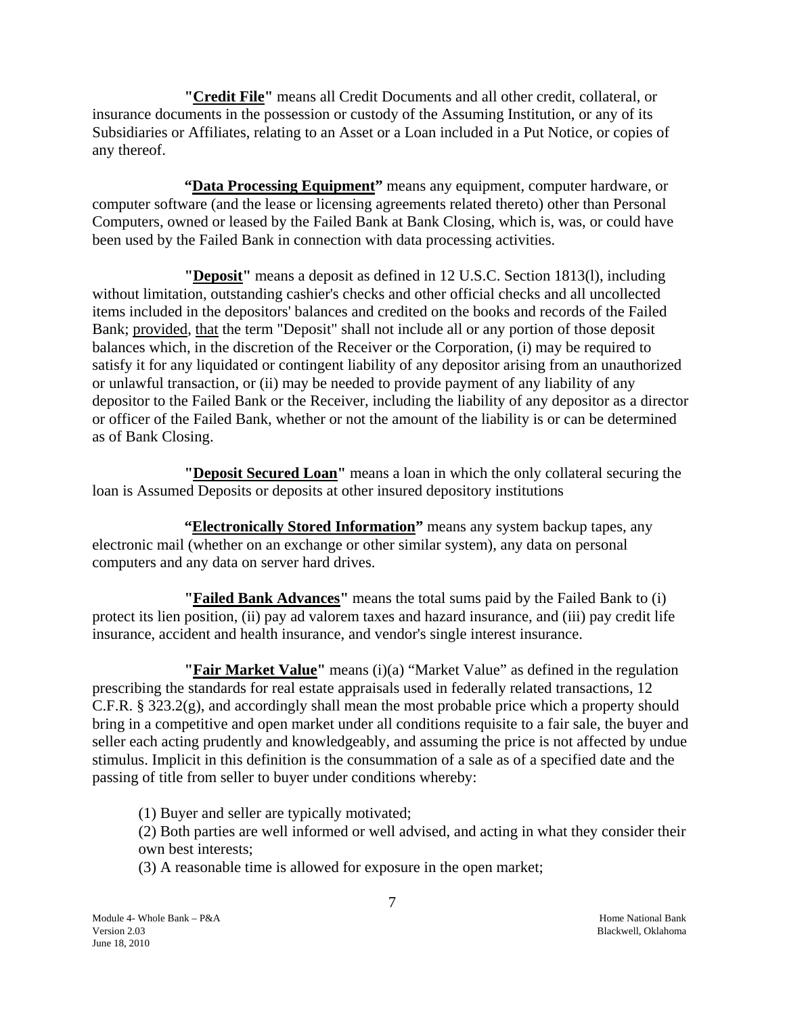**"Credit File"** means all Credit Documents and all other credit, collateral, or insurance documents in the possession or custody of the Assuming Institution, or any of its Subsidiaries or Affiliates, relating to an Asset or a Loan included in a Put Notice, or copies of any thereof.

**"Data Processing Equipment"** means any equipment, computer hardware, or computer software (and the lease or licensing agreements related thereto) other than Personal Computers, owned or leased by the Failed Bank at Bank Closing, which is, was, or could have been used by the Failed Bank in connection with data processing activities.

**"Deposit"** means a deposit as defined in 12 U.S.C. Section 1813(l), including without limitation, outstanding cashier's checks and other official checks and all uncollected items included in the depositors' balances and credited on the books and records of the Failed Bank; provided, that the term "Deposit" shall not include all or any portion of those deposit balances which, in the discretion of the Receiver or the Corporation, (i) may be required to satisfy it for any liquidated or contingent liability of any depositor arising from an unauthorized or unlawful transaction, or (ii) may be needed to provide payment of any liability of any depositor to the Failed Bank or the Receiver, including the liability of any depositor as a director or officer of the Failed Bank, whether or not the amount of the liability is or can be determined as of Bank Closing.

**"Deposit Secured Loan"** means a loan in which the only collateral securing the loan is Assumed Deposits or deposits at other insured depository institutions

"**Electronically Stored Information**" means any system backup tapes, any electronic mail (whether on an exchange or other similar system), any data on personal computers and any data on server hard drives.

**"Failed Bank Advances"** means the total sums paid by the Failed Bank to (i) protect its lien position, (ii) pay ad valorem taxes and hazard insurance, and (iii) pay credit life insurance, accident and health insurance, and vendor's single interest insurance.

**"Fair Market Value"** means (i)(a) "Market Value" as defined in the regulation prescribing the standards for real estate appraisals used in federally related transactions, 12 C.F.R. § 323.2(g), and accordingly shall mean the most probable price which a property should bring in a competitive and open market under all conditions requisite to a fair sale, the buyer and seller each acting prudently and knowledgeably, and assuming the price is not affected by undue stimulus. Implicit in this definition is the consummation of a sale as of a specified date and the passing of title from seller to buyer under conditions whereby:

(1) Buyer and seller are typically motivated;

(2) Both parties are well informed or well advised, and acting in what they consider their own best interests;

(3) A reasonable time is allowed for exposure in the open market;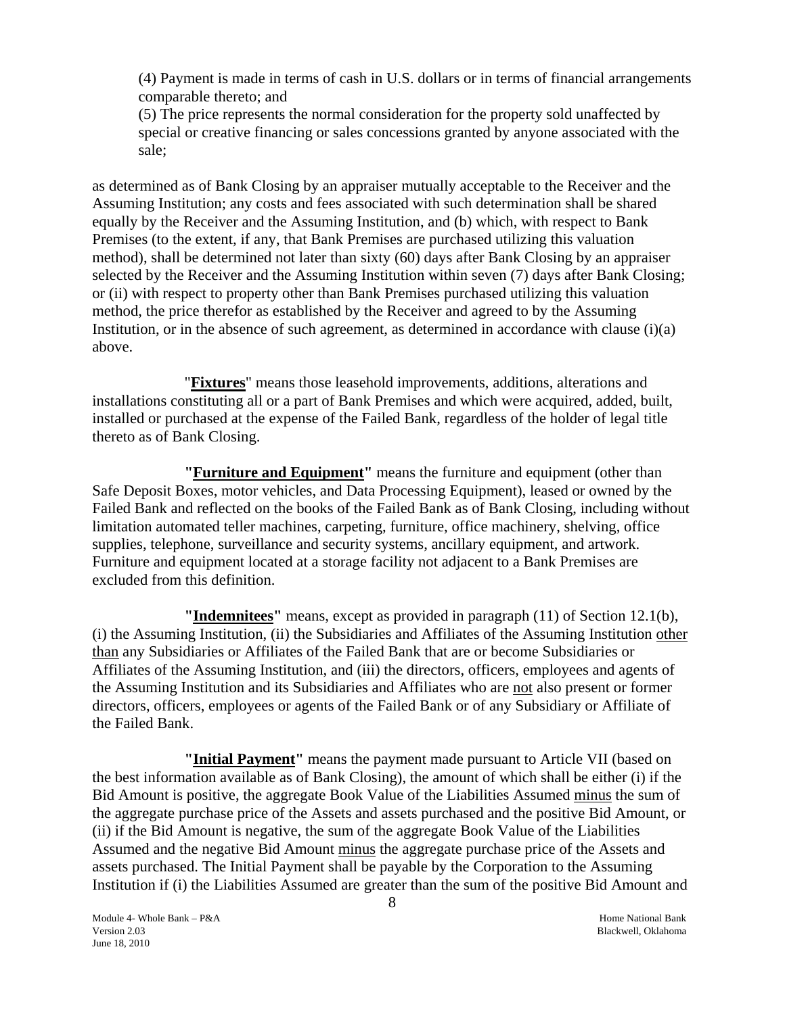(4) Payment is made in terms of cash in U.S. dollars or in terms of financial arrangements comparable thereto; and

(5) The price represents the normal consideration for the property sold unaffected by special or creative financing or sales concessions granted by anyone associated with the sale;

as determined as of Bank Closing by an appraiser mutually acceptable to the Receiver and the Assuming Institution; any costs and fees associated with such determination shall be shared equally by the Receiver and the Assuming Institution, and (b) which, with respect to Bank Premises (to the extent, if any, that Bank Premises are purchased utilizing this valuation method), shall be determined not later than sixty (60) days after Bank Closing by an appraiser selected by the Receiver and the Assuming Institution within seven (7) days after Bank Closing; or (ii) with respect to property other than Bank Premises purchased utilizing this valuation method, the price therefor as established by the Receiver and agreed to by the Assuming Institution, or in the absence of such agreement, as determined in accordance with clause (i)(a) above.

"**Fixtures**" means those leasehold improvements, additions, alterations and installations constituting all or a part of Bank Premises and which were acquired, added, built, installed or purchased at the expense of the Failed Bank, regardless of the holder of legal title thereto as of Bank Closing.

**"Furniture and Equipment"** means the furniture and equipment (other than Safe Deposit Boxes, motor vehicles, and Data Processing Equipment), leased or owned by the Failed Bank and reflected on the books of the Failed Bank as of Bank Closing, including without limitation automated teller machines, carpeting, furniture, office machinery, shelving, office supplies, telephone, surveillance and security systems, ancillary equipment, and artwork. Furniture and equipment located at a storage facility not adjacent to a Bank Premises are excluded from this definition.

**"Indemnitees"** means, except as provided in paragraph (11) of Section 12.1(b), (i) the Assuming Institution, (ii) the Subsidiaries and Affiliates of the Assuming Institution other than any Subsidiaries or Affiliates of the Failed Bank that are or become Subsidiaries or Affiliates of the Assuming Institution, and (iii) the directors, officers, employees and agents of the Assuming Institution and its Subsidiaries and Affiliates who are not also present or former directors, officers, employees or agents of the Failed Bank or of any Subsidiary or Affiliate of the Failed Bank.

**"Initial Payment"** means the payment made pursuant to Article VII (based on the best information available as of Bank Closing), the amount of which shall be either (i) if the Bid Amount is positive, the aggregate Book Value of the Liabilities Assumed minus the sum of the aggregate purchase price of the Assets and assets purchased and the positive Bid Amount, or (ii) if the Bid Amount is negative, the sum of the aggregate Book Value of the Liabilities Assumed and the negative Bid Amount minus the aggregate purchase price of the Assets and assets purchased. The Initial Payment shall be payable by the Corporation to the Assuming Institution if (i) the Liabilities Assumed are greater than the sum of the positive Bid Amount and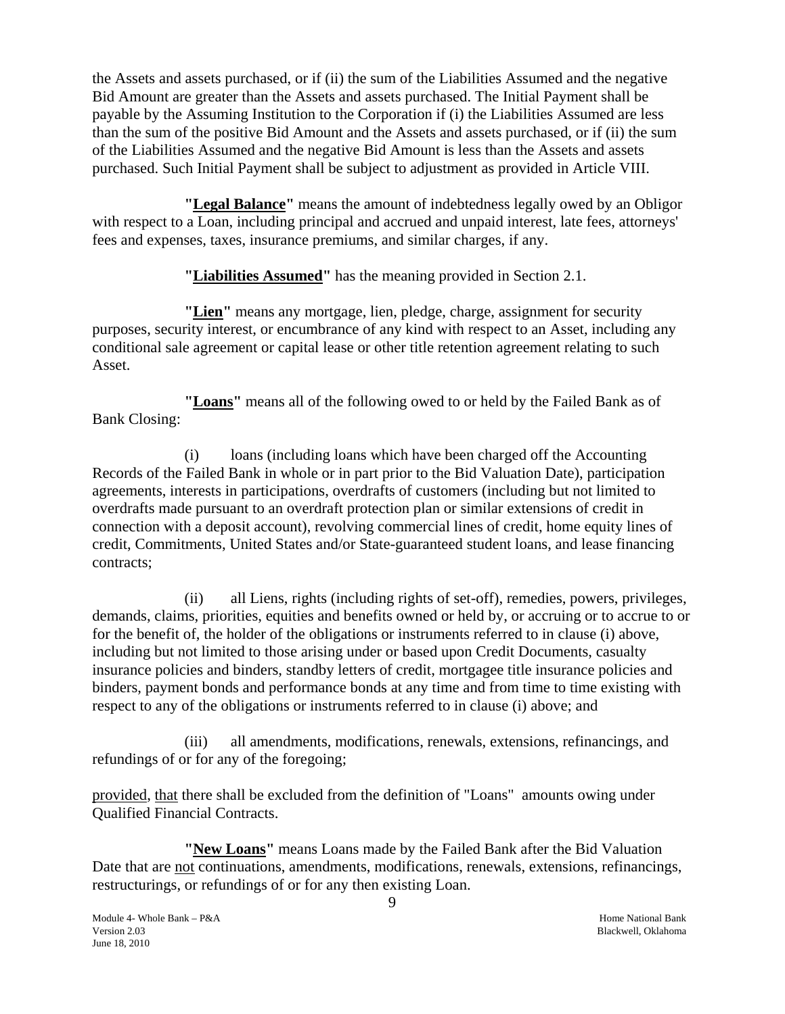the Assets and assets purchased, or if (ii) the sum of the Liabilities Assumed and the negative Bid Amount are greater than the Assets and assets purchased. The Initial Payment shall be payable by the Assuming Institution to the Corporation if (i) the Liabilities Assumed are less than the sum of the positive Bid Amount and the Assets and assets purchased, or if (ii) the sum of the Liabilities Assumed and the negative Bid Amount is less than the Assets and assets purchased. Such Initial Payment shall be subject to adjustment as provided in Article VIII.

**"Legal Balance"** means the amount of indebtedness legally owed by an Obligor with respect to a Loan, including principal and accrued and unpaid interest, late fees, attorneys' fees and expenses, taxes, insurance premiums, and similar charges, if any.

**"Liabilities Assumed"** has the meaning provided in Section 2.1.

**"Lien"** means any mortgage, lien, pledge, charge, assignment for security purposes, security interest, or encumbrance of any kind with respect to an Asset, including any conditional sale agreement or capital lease or other title retention agreement relating to such Asset.

**"Loans"** means all of the following owed to or held by the Failed Bank as of Bank Closing:

(i) loans (including loans which have been charged off the Accounting Records of the Failed Bank in whole or in part prior to the Bid Valuation Date), participation agreements, interests in participations, overdrafts of customers (including but not limited to overdrafts made pursuant to an overdraft protection plan or similar extensions of credit in connection with a deposit account), revolving commercial lines of credit, home equity lines of credit, Commitments, United States and/or State-guaranteed student loans, and lease financing contracts;

(ii) all Liens, rights (including rights of set-off), remedies, powers, privileges, demands, claims, priorities, equities and benefits owned or held by, or accruing or to accrue to or for the benefit of, the holder of the obligations or instruments referred to in clause (i) above, including but not limited to those arising under or based upon Credit Documents, casualty insurance policies and binders, standby letters of credit, mortgagee title insurance policies and binders, payment bonds and performance bonds at any time and from time to time existing with respect to any of the obligations or instruments referred to in clause (i) above; and

(iii) all amendments, modifications, renewals, extensions, refinancings, and refundings of or for any of the foregoing;

provided, that there shall be excluded from the definition of "Loans" amounts owing under Qualified Financial Contracts.

**"New Loans"** means Loans made by the Failed Bank after the Bid Valuation Date that are not continuations, amendments, modifications, renewals, extensions, refinancings, restructurings, or refundings of or for any then existing Loan.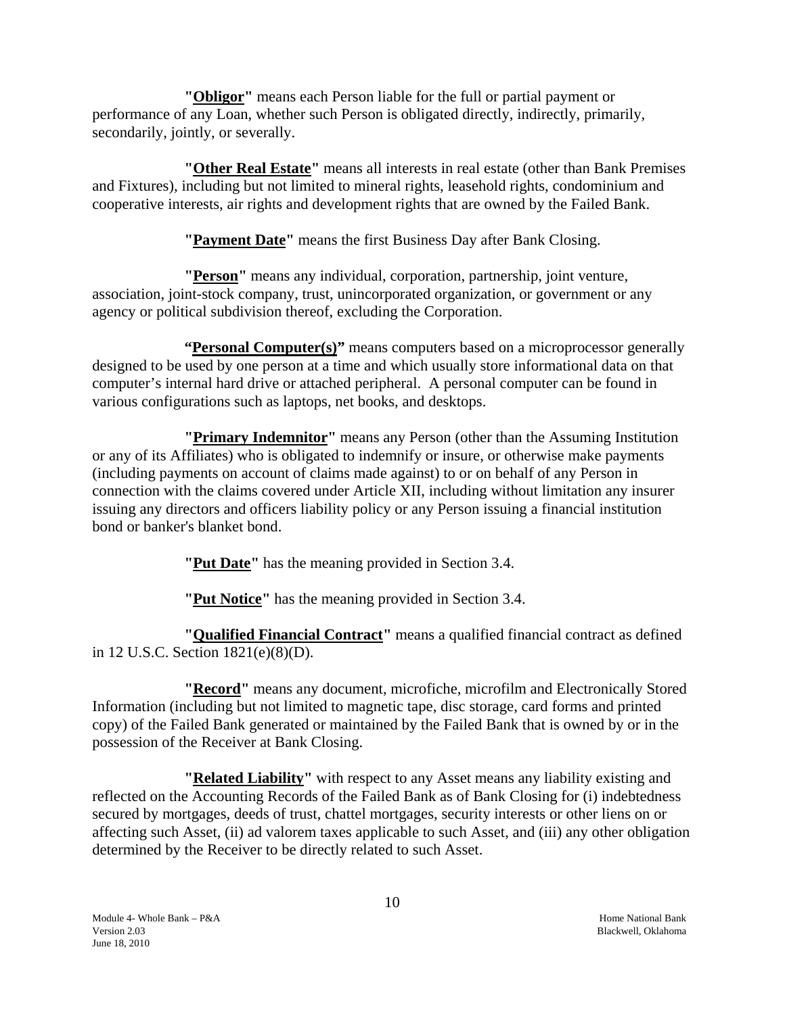**"Obligor"** means each Person liable for the full or partial payment or performance of any Loan, whether such Person is obligated directly, indirectly, primarily, secondarily, jointly, or severally.

**"Other Real Estate"** means all interests in real estate (other than Bank Premises and Fixtures), including but not limited to mineral rights, leasehold rights, condominium and cooperative interests, air rights and development rights that are owned by the Failed Bank.

**"Payment Date"** means the first Business Day after Bank Closing.

**"Person"** means any individual, corporation, partnership, joint venture, association, joint-stock company, trust, unincorporated organization, or government or any agency or political subdivision thereof, excluding the Corporation.

**"Personal Computer(s)"** means computers based on a microprocessor generally designed to be used by one person at a time and which usually store informational data on that computer's internal hard drive or attached peripheral. A personal computer can be found in various configurations such as laptops, net books, and desktops.

**"Primary Indemnitor"** means any Person (other than the Assuming Institution or any of its Affiliates) who is obligated to indemnify or insure, or otherwise make payments (including payments on account of claims made against) to or on behalf of any Person in connection with the claims covered under Article XII, including without limitation any insurer issuing any directors and officers liability policy or any Person issuing a financial institution bond or banker's blanket bond.

**"Put Date"** has the meaning provided in Section 3.4.

**"Put Notice"** has the meaning provided in Section 3.4.

**"Qualified Financial Contract"** means a qualified financial contract as defined in 12 U.S.C. Section 1821(e)(8)(D).

**"Record"** means any document, microfiche, microfilm and Electronically Stored Information (including but not limited to magnetic tape, disc storage, card forms and printed copy) of the Failed Bank generated or maintained by the Failed Bank that is owned by or in the possession of the Receiver at Bank Closing.

**"Related Liability"** with respect to any Asset means any liability existing and reflected on the Accounting Records of the Failed Bank as of Bank Closing for (i) indebtedness secured by mortgages, deeds of trust, chattel mortgages, security interests or other liens on or affecting such Asset, (ii) ad valorem taxes applicable to such Asset, and (iii) any other obligation determined by the Receiver to be directly related to such Asset.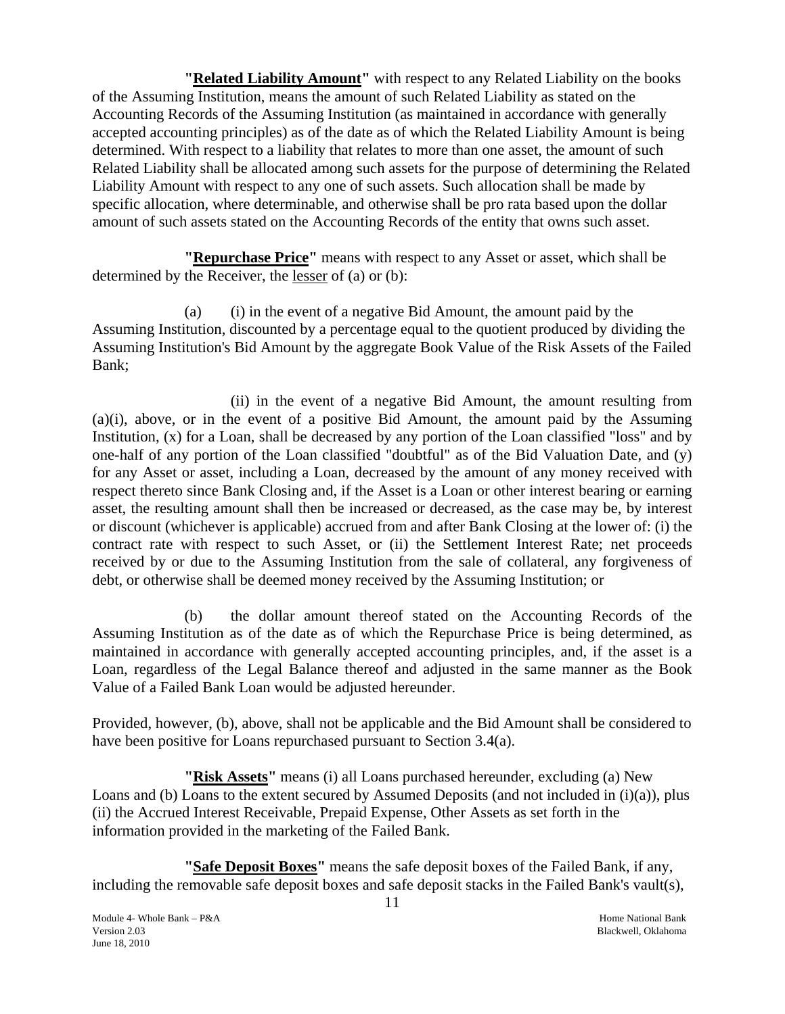**"Related Liability Amount"** with respect to any Related Liability on the books of the Assuming Institution, means the amount of such Related Liability as stated on the Accounting Records of the Assuming Institution (as maintained in accordance with generally accepted accounting principles) as of the date as of which the Related Liability Amount is being determined. With respect to a liability that relates to more than one asset, the amount of such Related Liability shall be allocated among such assets for the purpose of determining the Related Liability Amount with respect to any one of such assets. Such allocation shall be made by specific allocation, where determinable, and otherwise shall be pro rata based upon the dollar amount of such assets stated on the Accounting Records of the entity that owns such asset.

**"Repurchase Price"** means with respect to any Asset or asset, which shall be determined by the Receiver, the lesser of (a) or (b):

(a) (i) in the event of a negative Bid Amount, the amount paid by the Assuming Institution, discounted by a percentage equal to the quotient produced by dividing the Assuming Institution's Bid Amount by the aggregate Book Value of the Risk Assets of the Failed Bank;

(ii) in the event of a negative Bid Amount, the amount resulting from (a)(i), above, or in the event of a positive Bid Amount, the amount paid by the Assuming Institution, (x) for a Loan, shall be decreased by any portion of the Loan classified "loss" and by one-half of any portion of the Loan classified "doubtful" as of the Bid Valuation Date, and (y) for any Asset or asset, including a Loan, decreased by the amount of any money received with respect thereto since Bank Closing and, if the Asset is a Loan or other interest bearing or earning asset, the resulting amount shall then be increased or decreased, as the case may be, by interest or discount (whichever is applicable) accrued from and after Bank Closing at the lower of: (i) the contract rate with respect to such Asset, or (ii) the Settlement Interest Rate; net proceeds received by or due to the Assuming Institution from the sale of collateral, any forgiveness of debt, or otherwise shall be deemed money received by the Assuming Institution; or

(b) the dollar amount thereof stated on the Accounting Records of the Assuming Institution as of the date as of which the Repurchase Price is being determined, as maintained in accordance with generally accepted accounting principles, and, if the asset is a Loan, regardless of the Legal Balance thereof and adjusted in the same manner as the Book Value of a Failed Bank Loan would be adjusted hereunder.

Provided, however, (b), above, shall not be applicable and the Bid Amount shall be considered to have been positive for Loans repurchased pursuant to Section 3.4(a).

**"Risk Assets"** means (i) all Loans purchased hereunder, excluding (a) New Loans and (b) Loans to the extent secured by Assumed Deposits (and not included in (i)(a)), plus (ii) the Accrued Interest Receivable, Prepaid Expense, Other Assets as set forth in the information provided in the marketing of the Failed Bank.

**"Safe Deposit Boxes"** means the safe deposit boxes of the Failed Bank, if any, including the removable safe deposit boxes and safe deposit stacks in the Failed Bank's vault(s),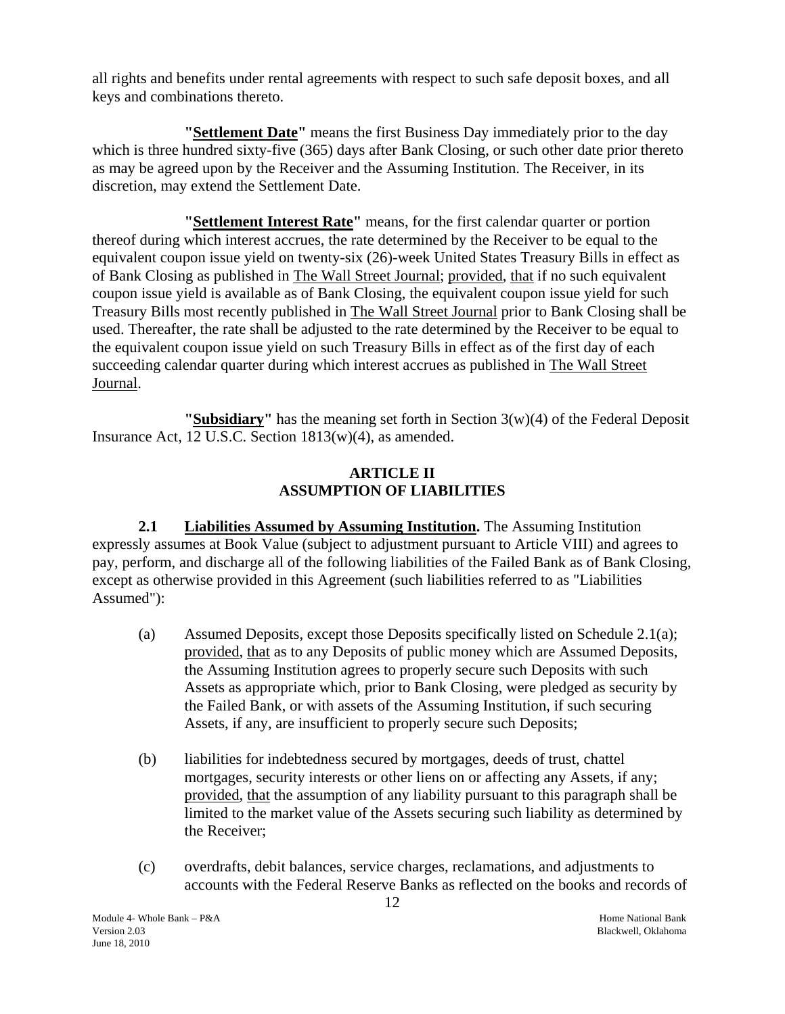all rights and benefits under rental agreements with respect to such safe deposit boxes, and all keys and combinations thereto.

**"Settlement Date"** means the first Business Day immediately prior to the day which is three hundred sixty-five (365) days after Bank Closing, or such other date prior thereto as may be agreed upon by the Receiver and the Assuming Institution. The Receiver, in its discretion, may extend the Settlement Date.

**"Settlement Interest Rate"** means, for the first calendar quarter or portion thereof during which interest accrues, the rate determined by the Receiver to be equal to the equivalent coupon issue yield on twenty-six (26)-week United States Treasury Bills in effect as of Bank Closing as published in The Wall Street Journal; provided, that if no such equivalent coupon issue yield is available as of Bank Closing, the equivalent coupon issue yield for such Treasury Bills most recently published in The Wall Street Journal prior to Bank Closing shall be used. Thereafter, the rate shall be adjusted to the rate determined by the Receiver to be equal to the equivalent coupon issue yield on such Treasury Bills in effect as of the first day of each succeeding calendar quarter during which interest accrues as published in The Wall Street Journal.

**"Subsidiary"** has the meaning set forth in Section 3(w)(4) of the Federal Deposit Insurance Act, 12 U.S.C. Section 1813(w)(4), as amended.

#### **ARTICLE II ASSUMPTION OF LIABILITIES**

 **2.1 Liabilities Assumed by Assuming Institution.** The Assuming Institution expressly assumes at Book Value (subject to adjustment pursuant to Article VIII) and agrees to pay, perform, and discharge all of the following liabilities of the Failed Bank as of Bank Closing, except as otherwise provided in this Agreement (such liabilities referred to as "Liabilities Assumed"):

- (a) Assumed Deposits, except those Deposits specifically listed on Schedule 2.1(a); provided, that as to any Deposits of public money which are Assumed Deposits, the Assuming Institution agrees to properly secure such Deposits with such Assets as appropriate which, prior to Bank Closing, were pledged as security by the Failed Bank, or with assets of the Assuming Institution, if such securing Assets, if any, are insufficient to properly secure such Deposits;
- (b) liabilities for indebtedness secured by mortgages, deeds of trust, chattel mortgages, security interests or other liens on or affecting any Assets, if any; provided, that the assumption of any liability pursuant to this paragraph shall be limited to the market value of the Assets securing such liability as determined by the Receiver;
- (c) overdrafts, debit balances, service charges, reclamations, and adjustments to accounts with the Federal Reserve Banks as reflected on the books and records of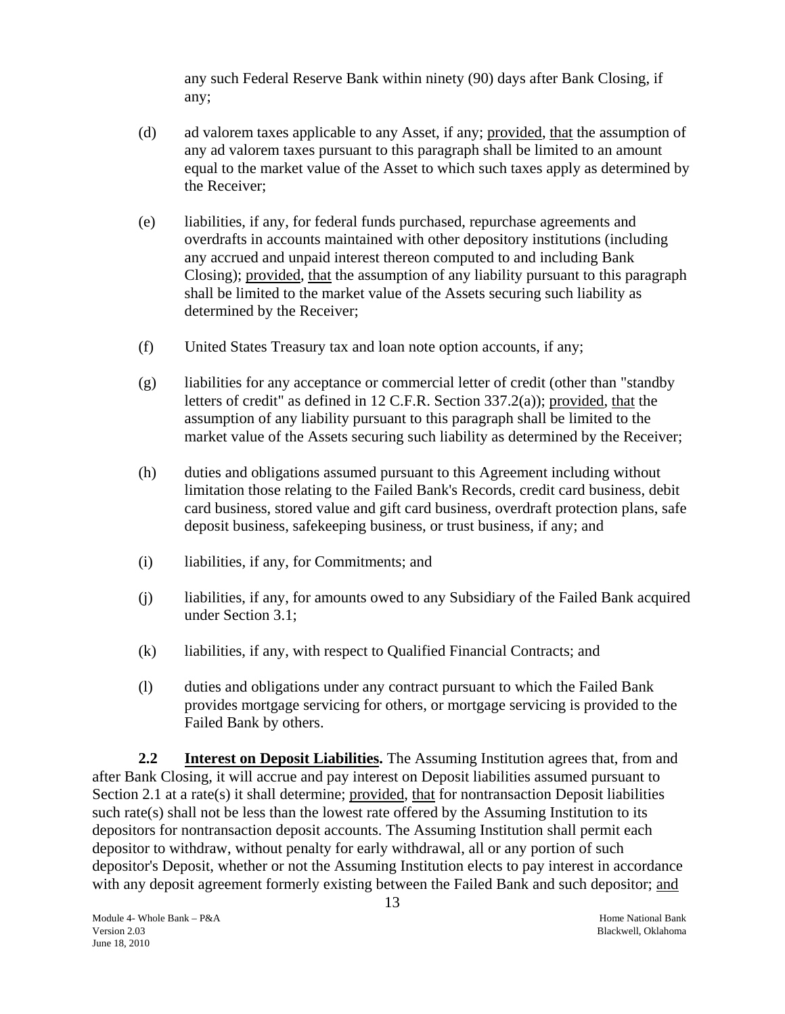any such Federal Reserve Bank within ninety (90) days after Bank Closing, if any;

- (d) ad valorem taxes applicable to any Asset, if any; provided, that the assumption of any ad valorem taxes pursuant to this paragraph shall be limited to an amount equal to the market value of the Asset to which such taxes apply as determined by the Receiver;
- (e) liabilities, if any, for federal funds purchased, repurchase agreements and overdrafts in accounts maintained with other depository institutions (including any accrued and unpaid interest thereon computed to and including Bank Closing); provided, that the assumption of any liability pursuant to this paragraph shall be limited to the market value of the Assets securing such liability as determined by the Receiver;
- (f) United States Treasury tax and loan note option accounts, if any;
- (g) liabilities for any acceptance or commercial letter of credit (other than "standby letters of credit" as defined in 12 C.F.R. Section 337.2(a)); provided, that the assumption of any liability pursuant to this paragraph shall be limited to the market value of the Assets securing such liability as determined by the Receiver;
- (h) duties and obligations assumed pursuant to this Agreement including without limitation those relating to the Failed Bank's Records, credit card business, debit card business, stored value and gift card business, overdraft protection plans, safe deposit business, safekeeping business, or trust business, if any; and
- (i) liabilities, if any, for Commitments; and
- (j) liabilities, if any, for amounts owed to any Subsidiary of the Failed Bank acquired under Section 3.1;
- (k) liabilities, if any, with respect to Qualified Financial Contracts; and
- (l) duties and obligations under any contract pursuant to which the Failed Bank provides mortgage servicing for others, or mortgage servicing is provided to the Failed Bank by others.

**2.2 Interest on Deposit Liabilities.** The Assuming Institution agrees that, from and after Bank Closing, it will accrue and pay interest on Deposit liabilities assumed pursuant to Section 2.1 at a rate(s) it shall determine; provided, that for nontransaction Deposit liabilities such rate(s) shall not be less than the lowest rate offered by the Assuming Institution to its depositors for nontransaction deposit accounts. The Assuming Institution shall permit each depositor to withdraw, without penalty for early withdrawal, all or any portion of such depositor's Deposit, whether or not the Assuming Institution elects to pay interest in accordance with any deposit agreement formerly existing between the Failed Bank and such depositor; and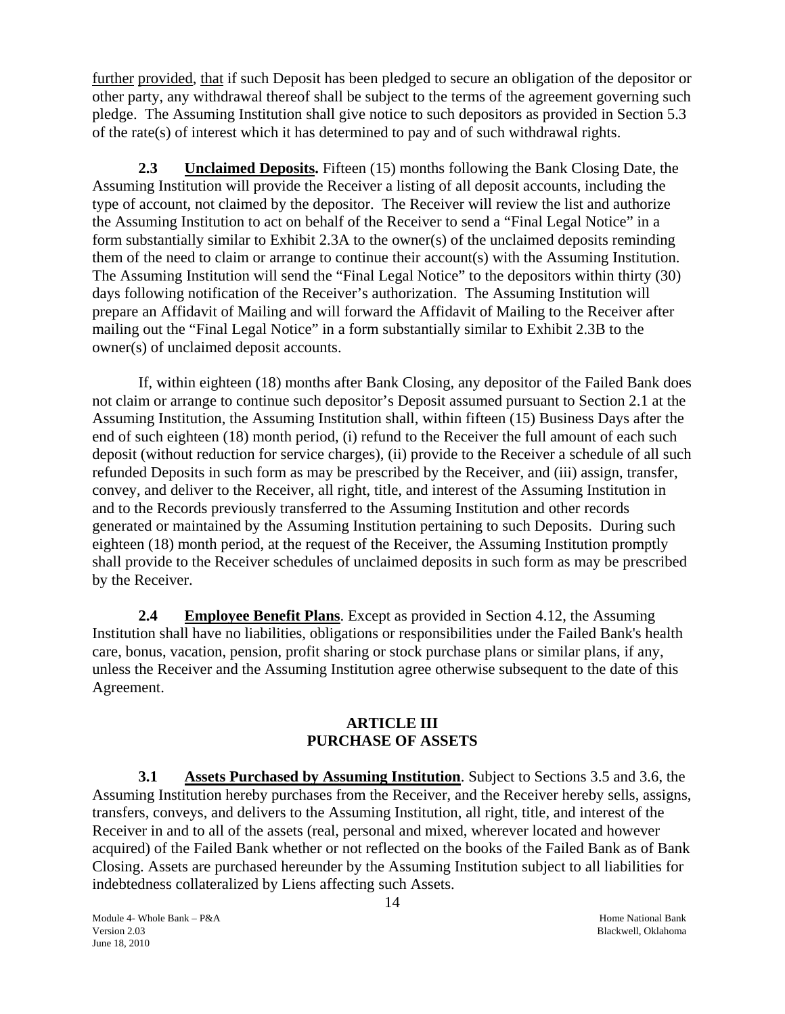further provided, that if such Deposit has been pledged to secure an obligation of the depositor or other party, any withdrawal thereof shall be subject to the terms of the agreement governing such pledge. The Assuming Institution shall give notice to such depositors as provided in Section 5.3 of the rate(s) of interest which it has determined to pay and of such withdrawal rights.

**2.3 Unclaimed Deposits.** Fifteen (15) months following the Bank Closing Date, the Assuming Institution will provide the Receiver a listing of all deposit accounts, including the type of account, not claimed by the depositor. The Receiver will review the list and authorize the Assuming Institution to act on behalf of the Receiver to send a "Final Legal Notice" in a form substantially similar to Exhibit 2.3A to the owner(s) of the unclaimed deposits reminding them of the need to claim or arrange to continue their account(s) with the Assuming Institution. The Assuming Institution will send the "Final Legal Notice" to the depositors within thirty (30) days following notification of the Receiver's authorization. The Assuming Institution will prepare an Affidavit of Mailing and will forward the Affidavit of Mailing to the Receiver after mailing out the "Final Legal Notice" in a form substantially similar to Exhibit 2.3B to the owner(s) of unclaimed deposit accounts.

If, within eighteen (18) months after Bank Closing, any depositor of the Failed Bank does not claim or arrange to continue such depositor's Deposit assumed pursuant to Section 2.1 at the Assuming Institution, the Assuming Institution shall, within fifteen (15) Business Days after the end of such eighteen (18) month period, (i) refund to the Receiver the full amount of each such deposit (without reduction for service charges), (ii) provide to the Receiver a schedule of all such refunded Deposits in such form as may be prescribed by the Receiver, and (iii) assign, transfer, convey, and deliver to the Receiver, all right, title, and interest of the Assuming Institution in and to the Records previously transferred to the Assuming Institution and other records generated or maintained by the Assuming Institution pertaining to such Deposits. During such eighteen (18) month period, at the request of the Receiver, the Assuming Institution promptly shall provide to the Receiver schedules of unclaimed deposits in such form as may be prescribed by the Receiver.

**2.4 Employee Benefit Plans**. Except as provided in Section 4.12, the Assuming Institution shall have no liabilities, obligations or responsibilities under the Failed Bank's health care, bonus, vacation, pension, profit sharing or stock purchase plans or similar plans, if any, unless the Receiver and the Assuming Institution agree otherwise subsequent to the date of this Agreement.

#### **ARTICLE III PURCHASE OF ASSETS**

 **3.1 Assets Purchased by Assuming Institution**. Subject to Sections 3.5 and 3.6, the Assuming Institution hereby purchases from the Receiver, and the Receiver hereby sells, assigns, transfers, conveys, and delivers to the Assuming Institution, all right, title, and interest of the Receiver in and to all of the assets (real, personal and mixed, wherever located and however acquired) of the Failed Bank whether or not reflected on the books of the Failed Bank as of Bank Closing. Assets are purchased hereunder by the Assuming Institution subject to all liabilities for indebtedness collateralized by Liens affecting such Assets.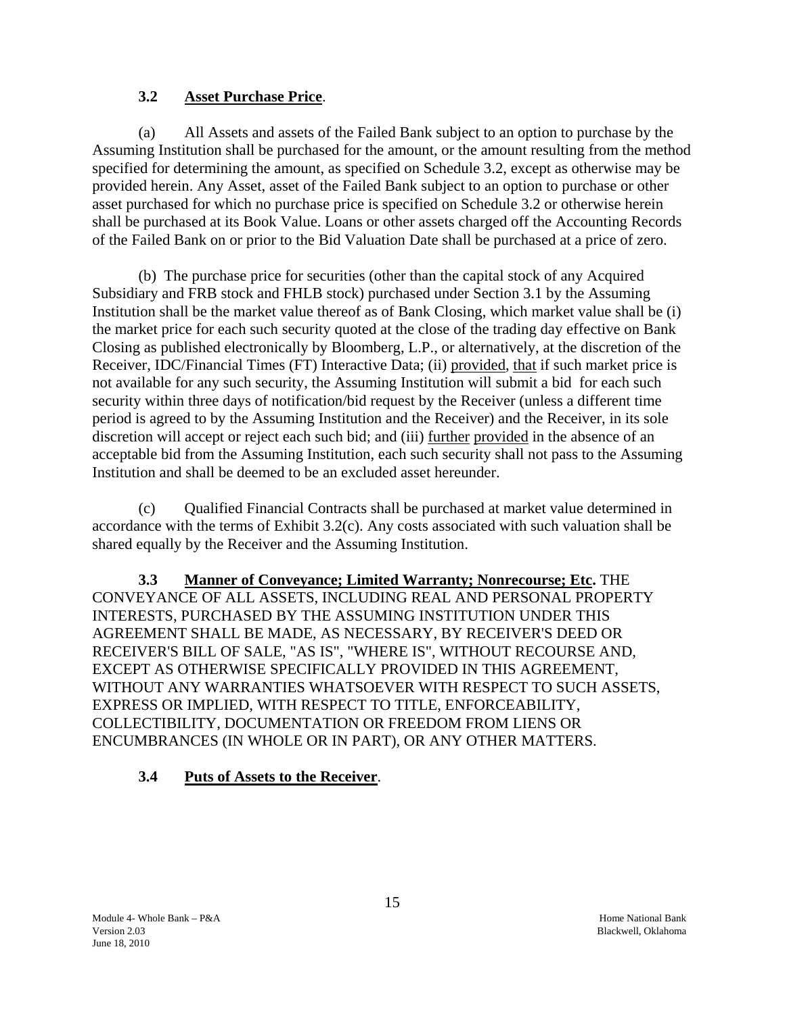### **3.2 Asset Purchase Price**.

(a) All Assets and assets of the Failed Bank subject to an option to purchase by the Assuming Institution shall be purchased for the amount, or the amount resulting from the method specified for determining the amount, as specified on Schedule 3.2, except as otherwise may be provided herein. Any Asset, asset of the Failed Bank subject to an option to purchase or other asset purchased for which no purchase price is specified on Schedule 3.2 or otherwise herein shall be purchased at its Book Value. Loans or other assets charged off the Accounting Records of the Failed Bank on or prior to the Bid Valuation Date shall be purchased at a price of zero.

(b) The purchase price for securities (other than the capital stock of any Acquired Subsidiary and FRB stock and FHLB stock) purchased under Section 3.1 by the Assuming Institution shall be the market value thereof as of Bank Closing, which market value shall be (i) the market price for each such security quoted at the close of the trading day effective on Bank Closing as published electronically by Bloomberg, L.P., or alternatively, at the discretion of the Receiver, IDC/Financial Times (FT) Interactive Data; (ii) provided, that if such market price is not available for any such security, the Assuming Institution will submit a bid for each such security within three days of notification/bid request by the Receiver (unless a different time period is agreed to by the Assuming Institution and the Receiver) and the Receiver, in its sole discretion will accept or reject each such bid; and (iii) further provided in the absence of an acceptable bid from the Assuming Institution, each such security shall not pass to the Assuming Institution and shall be deemed to be an excluded asset hereunder.

(c) Qualified Financial Contracts shall be purchased at market value determined in accordance with the terms of Exhibit 3.2(c). Any costs associated with such valuation shall be shared equally by the Receiver and the Assuming Institution.

**3.3 Manner of Conveyance; Limited Warranty; Nonrecourse; Etc.** THE CONVEYANCE OF ALL ASSETS, INCLUDING REAL AND PERSONAL PROPERTY INTERESTS, PURCHASED BY THE ASSUMING INSTITUTION UNDER THIS AGREEMENT SHALL BE MADE, AS NECESSARY, BY RECEIVER'S DEED OR RECEIVER'S BILL OF SALE, "AS IS", "WHERE IS", WITHOUT RECOURSE AND, EXCEPT AS OTHERWISE SPECIFICALLY PROVIDED IN THIS AGREEMENT, WITHOUT ANY WARRANTIES WHATSOEVER WITH RESPECT TO SUCH ASSETS, EXPRESS OR IMPLIED, WITH RESPECT TO TITLE, ENFORCEABILITY, COLLECTIBILITY, DOCUMENTATION OR FREEDOM FROM LIENS OR ENCUMBRANCES (IN WHOLE OR IN PART), OR ANY OTHER MATTERS.

#### **3.4 Puts of Assets to the Receiver**.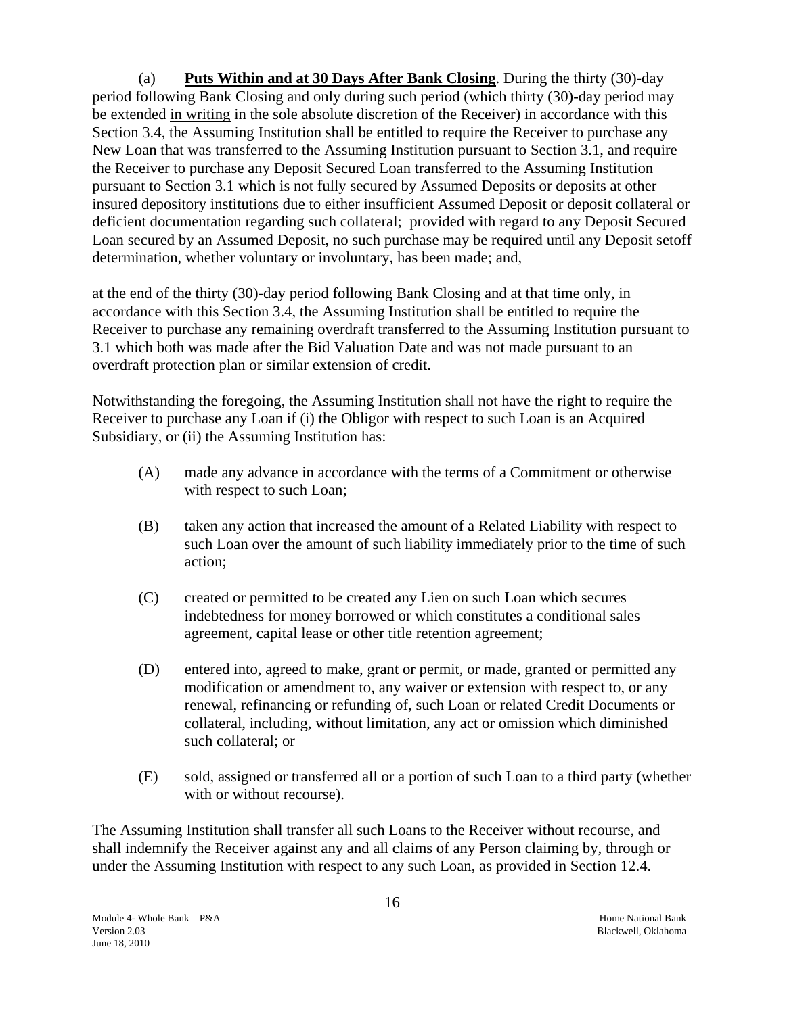(a) **Puts Within and at 30 Days After Bank Closing**. During the thirty (30)-day period following Bank Closing and only during such period (which thirty (30)-day period may be extended in writing in the sole absolute discretion of the Receiver) in accordance with this Section 3.4, the Assuming Institution shall be entitled to require the Receiver to purchase any New Loan that was transferred to the Assuming Institution pursuant to Section 3.1, and require the Receiver to purchase any Deposit Secured Loan transferred to the Assuming Institution pursuant to Section 3.1 which is not fully secured by Assumed Deposits or deposits at other insured depository institutions due to either insufficient Assumed Deposit or deposit collateral or deficient documentation regarding such collateral; provided with regard to any Deposit Secured Loan secured by an Assumed Deposit, no such purchase may be required until any Deposit setoff determination, whether voluntary or involuntary, has been made; and,

at the end of the thirty (30)-day period following Bank Closing and at that time only, in accordance with this Section 3.4, the Assuming Institution shall be entitled to require the Receiver to purchase any remaining overdraft transferred to the Assuming Institution pursuant to 3.1 which both was made after the Bid Valuation Date and was not made pursuant to an overdraft protection plan or similar extension of credit.

Notwithstanding the foregoing, the Assuming Institution shall not have the right to require the Receiver to purchase any Loan if (i) the Obligor with respect to such Loan is an Acquired Subsidiary, or (ii) the Assuming Institution has:

- (A) made any advance in accordance with the terms of a Commitment or otherwise with respect to such Loan;
- (B) taken any action that increased the amount of a Related Liability with respect to such Loan over the amount of such liability immediately prior to the time of such action;
- (C) created or permitted to be created any Lien on such Loan which secures indebtedness for money borrowed or which constitutes a conditional sales agreement, capital lease or other title retention agreement;
- (D) entered into, agreed to make, grant or permit, or made, granted or permitted any modification or amendment to, any waiver or extension with respect to, or any renewal, refinancing or refunding of, such Loan or related Credit Documents or collateral, including, without limitation, any act or omission which diminished such collateral; or
- (E) sold, assigned or transferred all or a portion of such Loan to a third party (whether with or without recourse).

The Assuming Institution shall transfer all such Loans to the Receiver without recourse, and shall indemnify the Receiver against any and all claims of any Person claiming by, through or under the Assuming Institution with respect to any such Loan, as provided in Section 12.4.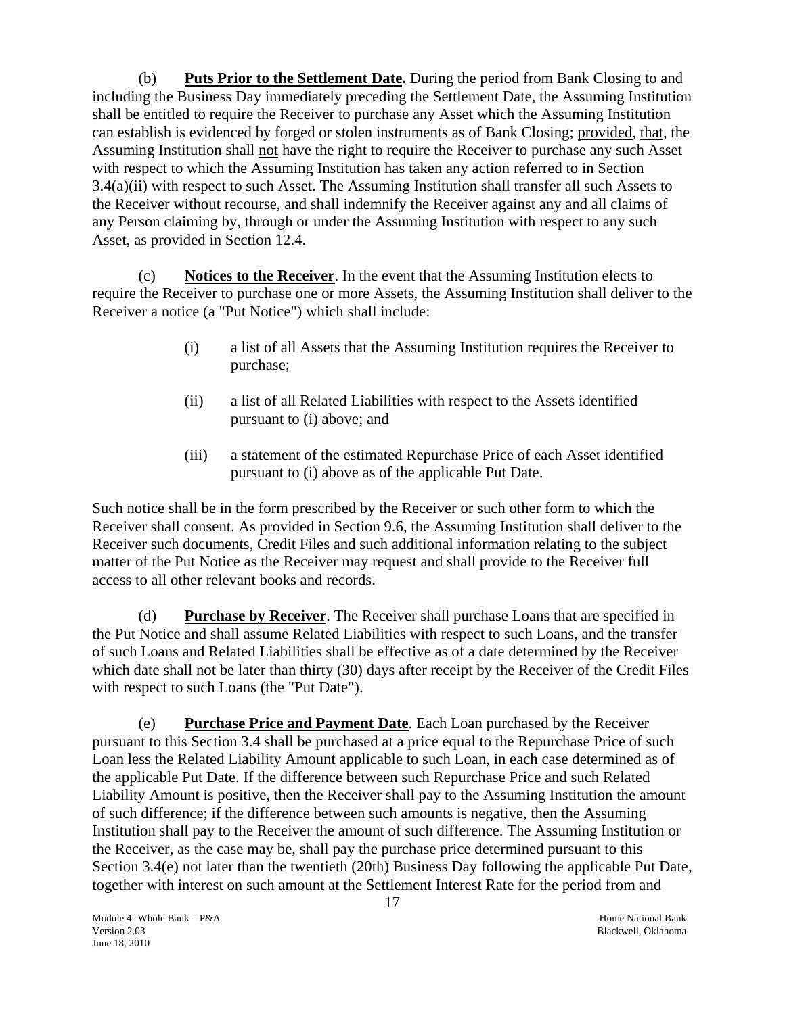(b) **Puts Prior to the Settlement Date.** During the period from Bank Closing to and including the Business Day immediately preceding the Settlement Date, the Assuming Institution shall be entitled to require the Receiver to purchase any Asset which the Assuming Institution can establish is evidenced by forged or stolen instruments as of Bank Closing; provided, that, the Assuming Institution shall not have the right to require the Receiver to purchase any such Asset with respect to which the Assuming Institution has taken any action referred to in Section 3.4(a)(ii) with respect to such Asset. The Assuming Institution shall transfer all such Assets to the Receiver without recourse, and shall indemnify the Receiver against any and all claims of any Person claiming by, through or under the Assuming Institution with respect to any such Asset, as provided in Section 12.4.

(c) **Notices to the Receiver**. In the event that the Assuming Institution elects to require the Receiver to purchase one or more Assets, the Assuming Institution shall deliver to the Receiver a notice (a "Put Notice") which shall include:

- (i) a list of all Assets that the Assuming Institution requires the Receiver to purchase;
- (ii) a list of all Related Liabilities with respect to the Assets identified pursuant to (i) above; and
- (iii) a statement of the estimated Repurchase Price of each Asset identified pursuant to (i) above as of the applicable Put Date.

Such notice shall be in the form prescribed by the Receiver or such other form to which the Receiver shall consent. As provided in Section 9.6, the Assuming Institution shall deliver to the Receiver such documents, Credit Files and such additional information relating to the subject matter of the Put Notice as the Receiver may request and shall provide to the Receiver full access to all other relevant books and records.

(d) **Purchase by Receiver**. The Receiver shall purchase Loans that are specified in the Put Notice and shall assume Related Liabilities with respect to such Loans, and the transfer of such Loans and Related Liabilities shall be effective as of a date determined by the Receiver which date shall not be later than thirty (30) days after receipt by the Receiver of the Credit Files with respect to such Loans (the "Put Date").

(e) **Purchase Price and Payment Date**. Each Loan purchased by the Receiver pursuant to this Section 3.4 shall be purchased at a price equal to the Repurchase Price of such Loan less the Related Liability Amount applicable to such Loan, in each case determined as of the applicable Put Date. If the difference between such Repurchase Price and such Related Liability Amount is positive, then the Receiver shall pay to the Assuming Institution the amount of such difference; if the difference between such amounts is negative, then the Assuming Institution shall pay to the Receiver the amount of such difference. The Assuming Institution or the Receiver, as the case may be, shall pay the purchase price determined pursuant to this Section 3.4(e) not later than the twentieth (20th) Business Day following the applicable Put Date, together with interest on such amount at the Settlement Interest Rate for the period from and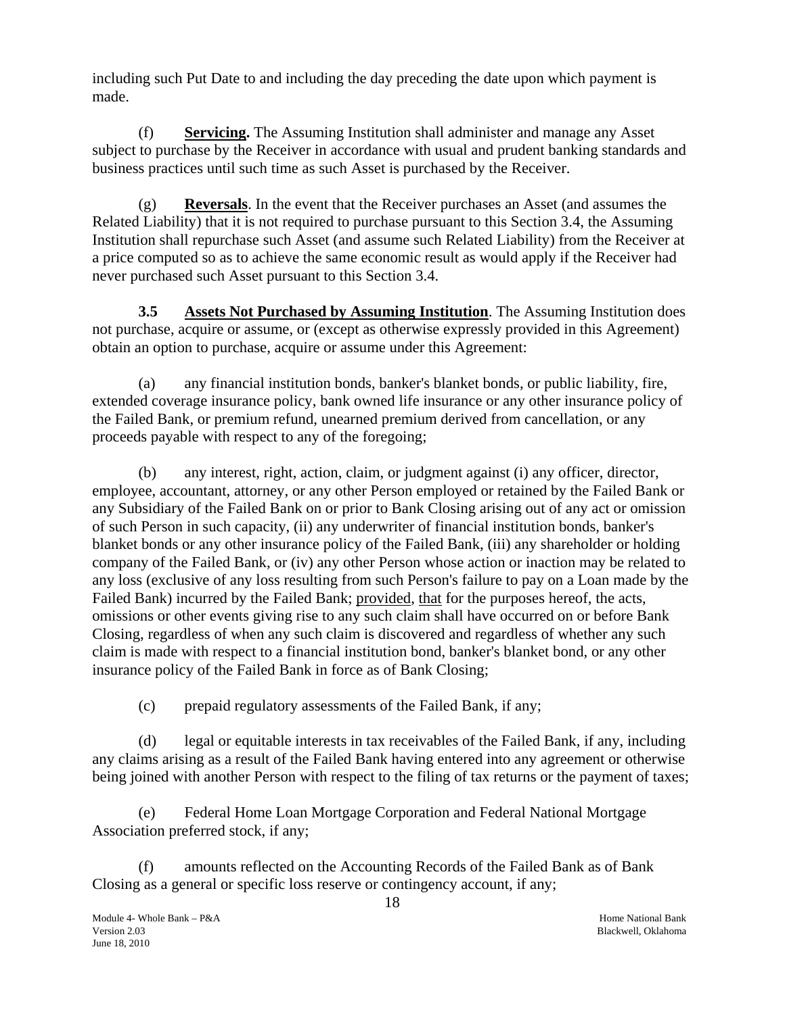including such Put Date to and including the day preceding the date upon which payment is made.

(f) **Servicing.** The Assuming Institution shall administer and manage any Asset subject to purchase by the Receiver in accordance with usual and prudent banking standards and business practices until such time as such Asset is purchased by the Receiver.

(g) **Reversals**. In the event that the Receiver purchases an Asset (and assumes the Related Liability) that it is not required to purchase pursuant to this Section 3.4, the Assuming Institution shall repurchase such Asset (and assume such Related Liability) from the Receiver at a price computed so as to achieve the same economic result as would apply if the Receiver had never purchased such Asset pursuant to this Section 3.4.

**3.5 Assets Not Purchased by Assuming Institution**. The Assuming Institution does not purchase, acquire or assume, or (except as otherwise expressly provided in this Agreement) obtain an option to purchase, acquire or assume under this Agreement:

(a) any financial institution bonds, banker's blanket bonds, or public liability, fire, extended coverage insurance policy, bank owned life insurance or any other insurance policy of the Failed Bank, or premium refund, unearned premium derived from cancellation, or any proceeds payable with respect to any of the foregoing;

(b) any interest, right, action, claim, or judgment against (i) any officer, director, employee, accountant, attorney, or any other Person employed or retained by the Failed Bank or any Subsidiary of the Failed Bank on or prior to Bank Closing arising out of any act or omission of such Person in such capacity, (ii) any underwriter of financial institution bonds, banker's blanket bonds or any other insurance policy of the Failed Bank, (iii) any shareholder or holding company of the Failed Bank, or (iv) any other Person whose action or inaction may be related to any loss (exclusive of any loss resulting from such Person's failure to pay on a Loan made by the Failed Bank) incurred by the Failed Bank; provided, that for the purposes hereof, the acts, omissions or other events giving rise to any such claim shall have occurred on or before Bank Closing, regardless of when any such claim is discovered and regardless of whether any such claim is made with respect to a financial institution bond, banker's blanket bond, or any other insurance policy of the Failed Bank in force as of Bank Closing;

(c) prepaid regulatory assessments of the Failed Bank, if any;

(d) legal or equitable interests in tax receivables of the Failed Bank, if any, including any claims arising as a result of the Failed Bank having entered into any agreement or otherwise being joined with another Person with respect to the filing of tax returns or the payment of taxes;

(e) Federal Home Loan Mortgage Corporation and Federal National Mortgage Association preferred stock, if any;

(f) amounts reflected on the Accounting Records of the Failed Bank as of Bank Closing as a general or specific loss reserve or contingency account, if any;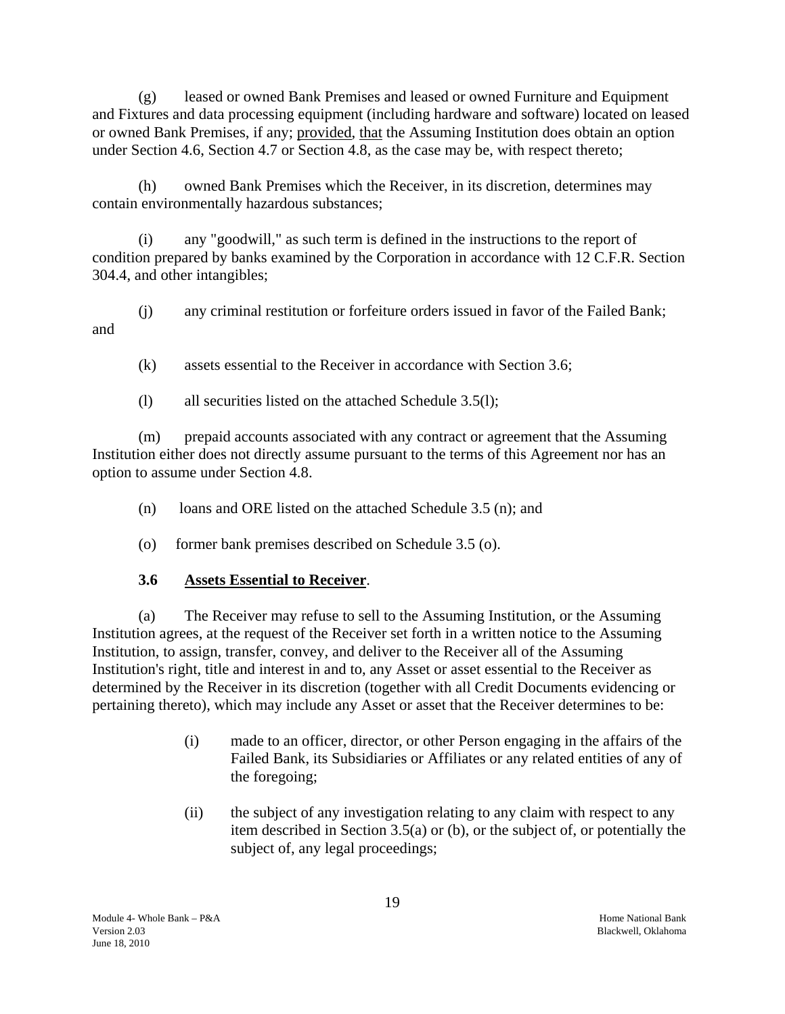(g) leased or owned Bank Premises and leased or owned Furniture and Equipment and Fixtures and data processing equipment (including hardware and software) located on leased or owned Bank Premises, if any; provided, that the Assuming Institution does obtain an option under Section 4.6, Section 4.7 or Section 4.8, as the case may be, with respect thereto;

(h) owned Bank Premises which the Receiver, in its discretion, determines may contain environmentally hazardous substances;

(i) any "goodwill," as such term is defined in the instructions to the report of condition prepared by banks examined by the Corporation in accordance with 12 C.F.R. Section 304.4, and other intangibles;

(j) any criminal restitution or forfeiture orders issued in favor of the Failed Bank; and

(k) assets essential to the Receiver in accordance with Section 3.6;

(l) all securities listed on the attached Schedule 3.5(l);

(m) prepaid accounts associated with any contract or agreement that the Assuming Institution either does not directly assume pursuant to the terms of this Agreement nor has an option to assume under Section 4.8.

(n) loans and ORE listed on the attached Schedule 3.5 (n); and

(o) former bank premises described on Schedule 3.5 (o).

# **3.6 Assets Essential to Receiver**.

(a) The Receiver may refuse to sell to the Assuming Institution, or the Assuming Institution agrees, at the request of the Receiver set forth in a written notice to the Assuming Institution, to assign, transfer, convey, and deliver to the Receiver all of the Assuming Institution's right, title and interest in and to, any Asset or asset essential to the Receiver as determined by the Receiver in its discretion (together with all Credit Documents evidencing or pertaining thereto), which may include any Asset or asset that the Receiver determines to be:

- (i) made to an officer, director, or other Person engaging in the affairs of the Failed Bank, its Subsidiaries or Affiliates or any related entities of any of the foregoing;
- (ii) the subject of any investigation relating to any claim with respect to any item described in Section 3.5(a) or (b), or the subject of, or potentially the subject of, any legal proceedings;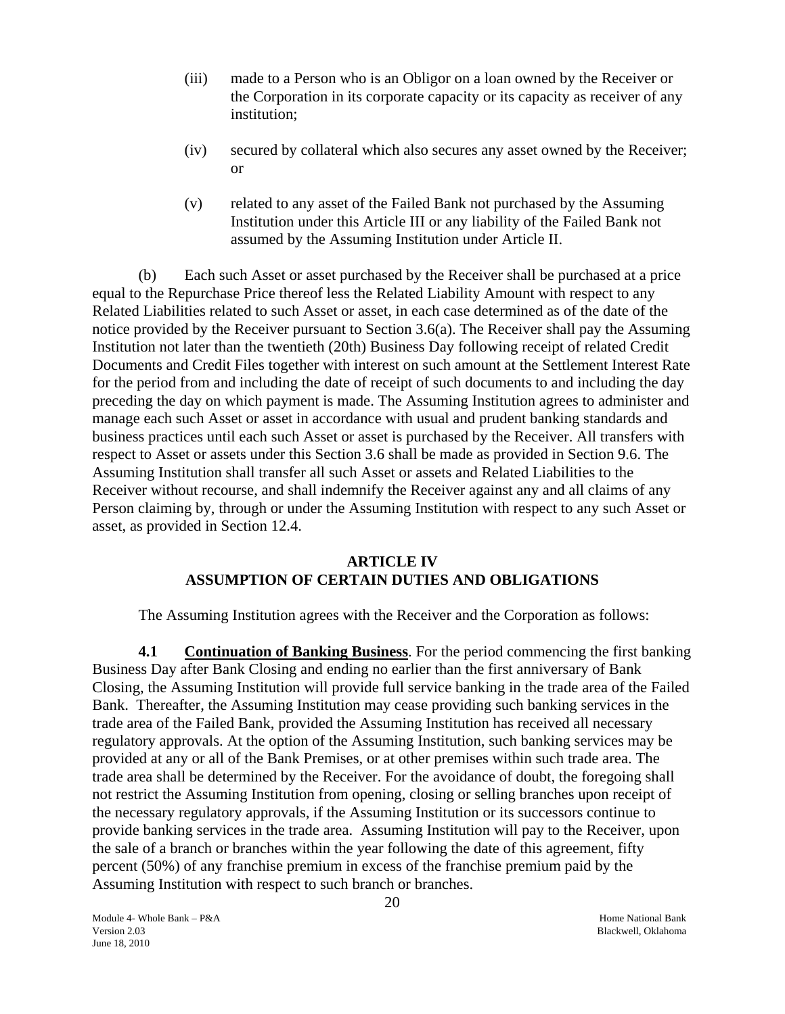- (iii) made to a Person who is an Obligor on a loan owned by the Receiver or the Corporation in its corporate capacity or its capacity as receiver of any institution;
- (iv) secured by collateral which also secures any asset owned by the Receiver; or
- (v) related to any asset of the Failed Bank not purchased by the Assuming Institution under this Article III or any liability of the Failed Bank not assumed by the Assuming Institution under Article II.

(b) Each such Asset or asset purchased by the Receiver shall be purchased at a price equal to the Repurchase Price thereof less the Related Liability Amount with respect to any Related Liabilities related to such Asset or asset, in each case determined as of the date of the notice provided by the Receiver pursuant to Section 3.6(a). The Receiver shall pay the Assuming Institution not later than the twentieth (20th) Business Day following receipt of related Credit Documents and Credit Files together with interest on such amount at the Settlement Interest Rate for the period from and including the date of receipt of such documents to and including the day preceding the day on which payment is made. The Assuming Institution agrees to administer and manage each such Asset or asset in accordance with usual and prudent banking standards and business practices until each such Asset or asset is purchased by the Receiver. All transfers with respect to Asset or assets under this Section 3.6 shall be made as provided in Section 9.6. The Assuming Institution shall transfer all such Asset or assets and Related Liabilities to the Receiver without recourse, and shall indemnify the Receiver against any and all claims of any Person claiming by, through or under the Assuming Institution with respect to any such Asset or asset, as provided in Section 12.4.

# **ARTICLE IV ASSUMPTION OF CERTAIN DUTIES AND OBLIGATIONS**

The Assuming Institution agrees with the Receiver and the Corporation as follows:

**4.1 Continuation of Banking Business**. For the period commencing the first banking Business Day after Bank Closing and ending no earlier than the first anniversary of Bank Closing, the Assuming Institution will provide full service banking in the trade area of the Failed Bank. Thereafter, the Assuming Institution may cease providing such banking services in the trade area of the Failed Bank, provided the Assuming Institution has received all necessary regulatory approvals. At the option of the Assuming Institution, such banking services may be provided at any or all of the Bank Premises, or at other premises within such trade area. The trade area shall be determined by the Receiver. For the avoidance of doubt, the foregoing shall not restrict the Assuming Institution from opening, closing or selling branches upon receipt of the necessary regulatory approvals, if the Assuming Institution or its successors continue to provide banking services in the trade area. Assuming Institution will pay to the Receiver, upon the sale of a branch or branches within the year following the date of this agreement, fifty percent (50%) of any franchise premium in excess of the franchise premium paid by the Assuming Institution with respect to such branch or branches.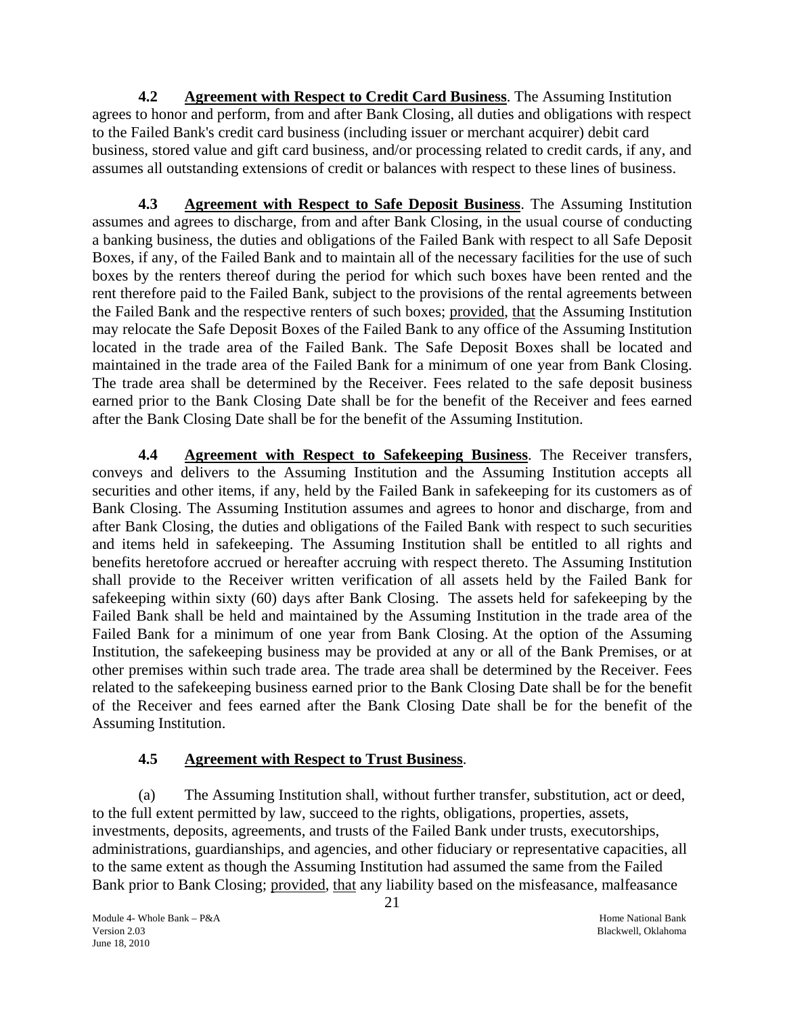**4.2 Agreement with Respect to Credit Card Business**. The Assuming Institution agrees to honor and perform, from and after Bank Closing, all duties and obligations with respect to the Failed Bank's credit card business (including issuer or merchant acquirer) debit card business, stored value and gift card business, and/or processing related to credit cards, if any, and assumes all outstanding extensions of credit or balances with respect to these lines of business.

**4.3 Agreement with Respect to Safe Deposit Business**. The Assuming Institution assumes and agrees to discharge, from and after Bank Closing, in the usual course of conducting a banking business, the duties and obligations of the Failed Bank with respect to all Safe Deposit Boxes, if any, of the Failed Bank and to maintain all of the necessary facilities for the use of such boxes by the renters thereof during the period for which such boxes have been rented and the rent therefore paid to the Failed Bank, subject to the provisions of the rental agreements between the Failed Bank and the respective renters of such boxes; provided, that the Assuming Institution may relocate the Safe Deposit Boxes of the Failed Bank to any office of the Assuming Institution located in the trade area of the Failed Bank. The Safe Deposit Boxes shall be located and maintained in the trade area of the Failed Bank for a minimum of one year from Bank Closing. The trade area shall be determined by the Receiver. Fees related to the safe deposit business earned prior to the Bank Closing Date shall be for the benefit of the Receiver and fees earned after the Bank Closing Date shall be for the benefit of the Assuming Institution.

**4.4 Agreement with Respect to Safekeeping Business**. The Receiver transfers, conveys and delivers to the Assuming Institution and the Assuming Institution accepts all securities and other items, if any, held by the Failed Bank in safekeeping for its customers as of Bank Closing. The Assuming Institution assumes and agrees to honor and discharge, from and after Bank Closing, the duties and obligations of the Failed Bank with respect to such securities and items held in safekeeping. The Assuming Institution shall be entitled to all rights and benefits heretofore accrued or hereafter accruing with respect thereto. The Assuming Institution shall provide to the Receiver written verification of all assets held by the Failed Bank for safekeeping within sixty (60) days after Bank Closing. The assets held for safekeeping by the Failed Bank shall be held and maintained by the Assuming Institution in the trade area of the Failed Bank for a minimum of one year from Bank Closing. At the option of the Assuming Institution, the safekeeping business may be provided at any or all of the Bank Premises, or at other premises within such trade area. The trade area shall be determined by the Receiver. Fees related to the safekeeping business earned prior to the Bank Closing Date shall be for the benefit of the Receiver and fees earned after the Bank Closing Date shall be for the benefit of the Assuming Institution.

# **4.5 Agreement with Respect to Trust Business**.

(a) The Assuming Institution shall, without further transfer, substitution, act or deed, to the full extent permitted by law, succeed to the rights, obligations, properties, assets, investments, deposits, agreements, and trusts of the Failed Bank under trusts, executorships, administrations, guardianships, and agencies, and other fiduciary or representative capacities, all to the same extent as though the Assuming Institution had assumed the same from the Failed Bank prior to Bank Closing; provided, that any liability based on the misfeasance, malfeasance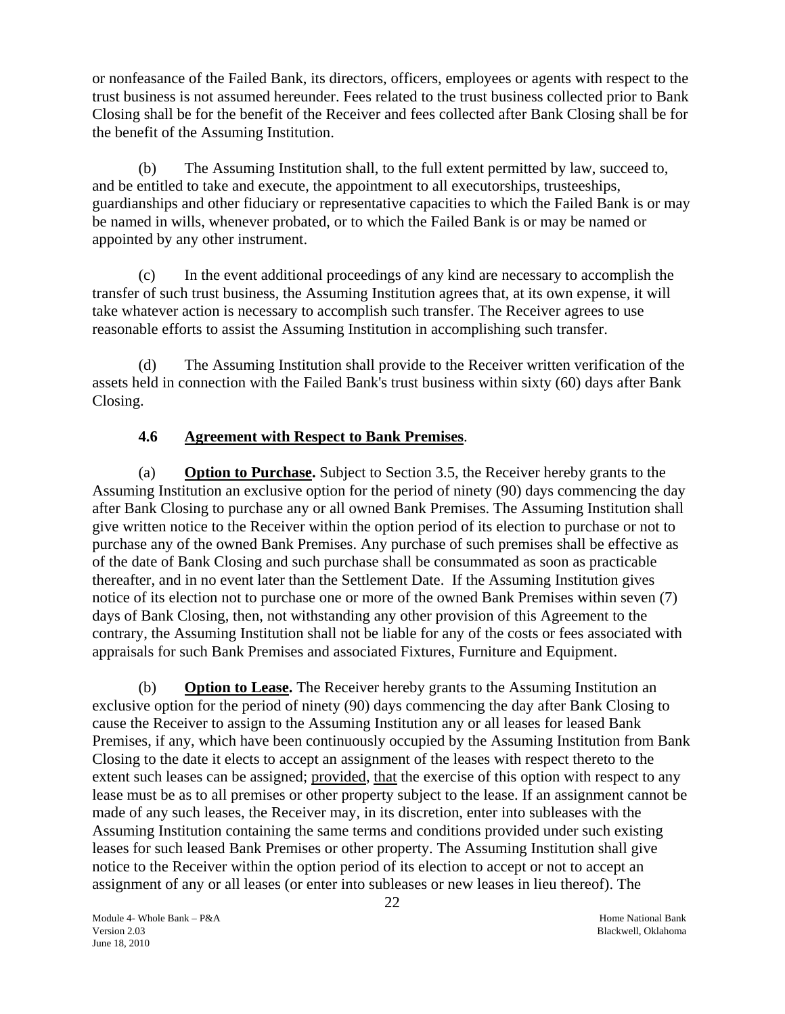or nonfeasance of the Failed Bank, its directors, officers, employees or agents with respect to the trust business is not assumed hereunder. Fees related to the trust business collected prior to Bank Closing shall be for the benefit of the Receiver and fees collected after Bank Closing shall be for the benefit of the Assuming Institution.

(b) The Assuming Institution shall, to the full extent permitted by law, succeed to, and be entitled to take and execute, the appointment to all executorships, trusteeships, guardianships and other fiduciary or representative capacities to which the Failed Bank is or may be named in wills, whenever probated, or to which the Failed Bank is or may be named or appointed by any other instrument.

(c) In the event additional proceedings of any kind are necessary to accomplish the transfer of such trust business, the Assuming Institution agrees that, at its own expense, it will take whatever action is necessary to accomplish such transfer. The Receiver agrees to use reasonable efforts to assist the Assuming Institution in accomplishing such transfer.

(d) The Assuming Institution shall provide to the Receiver written verification of the assets held in connection with the Failed Bank's trust business within sixty (60) days after Bank Closing.

# **4.6 Agreement with Respect to Bank Premises**.

(a) **Option to Purchase.** Subject to Section 3.5, the Receiver hereby grants to the Assuming Institution an exclusive option for the period of ninety (90) days commencing the day after Bank Closing to purchase any or all owned Bank Premises. The Assuming Institution shall give written notice to the Receiver within the option period of its election to purchase or not to purchase any of the owned Bank Premises. Any purchase of such premises shall be effective as of the date of Bank Closing and such purchase shall be consummated as soon as practicable thereafter, and in no event later than the Settlement Date. If the Assuming Institution gives notice of its election not to purchase one or more of the owned Bank Premises within seven (7) days of Bank Closing, then, not withstanding any other provision of this Agreement to the contrary, the Assuming Institution shall not be liable for any of the costs or fees associated with appraisals for such Bank Premises and associated Fixtures, Furniture and Equipment.

(b) **Option to Lease.** The Receiver hereby grants to the Assuming Institution an exclusive option for the period of ninety (90) days commencing the day after Bank Closing to cause the Receiver to assign to the Assuming Institution any or all leases for leased Bank Premises, if any, which have been continuously occupied by the Assuming Institution from Bank Closing to the date it elects to accept an assignment of the leases with respect thereto to the extent such leases can be assigned; provided, that the exercise of this option with respect to any lease must be as to all premises or other property subject to the lease. If an assignment cannot be made of any such leases, the Receiver may, in its discretion, enter into subleases with the Assuming Institution containing the same terms and conditions provided under such existing leases for such leased Bank Premises or other property. The Assuming Institution shall give notice to the Receiver within the option period of its election to accept or not to accept an assignment of any or all leases (or enter into subleases or new leases in lieu thereof). The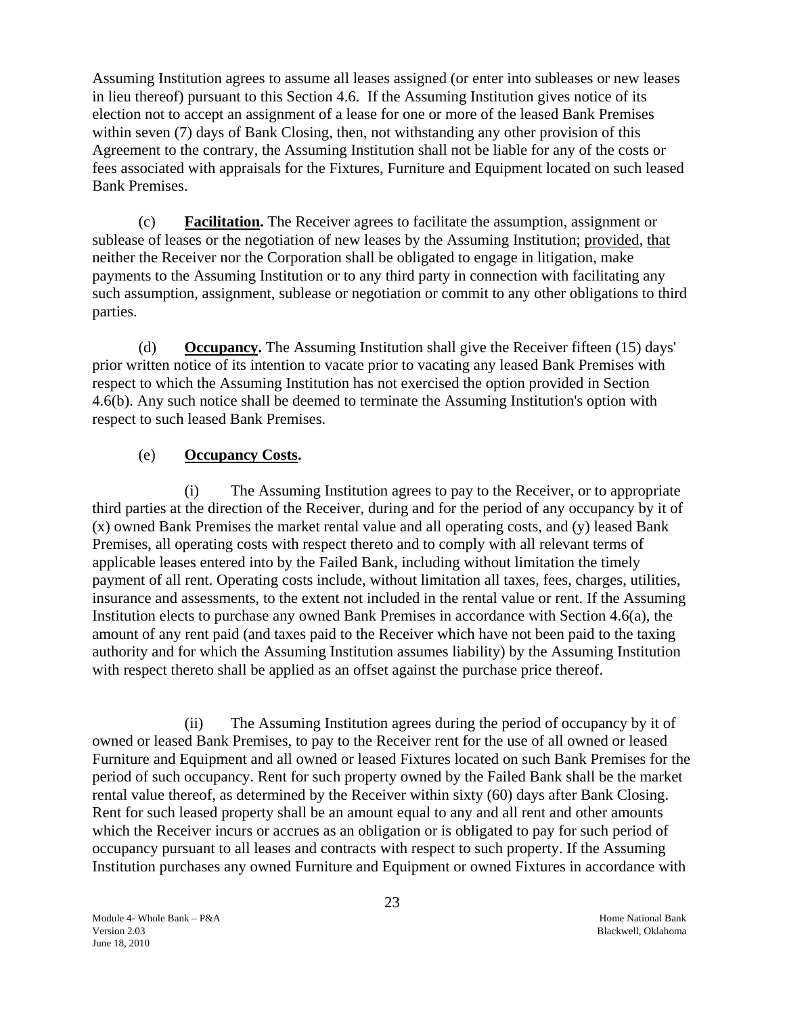Assuming Institution agrees to assume all leases assigned (or enter into subleases or new leases in lieu thereof) pursuant to this Section 4.6. If the Assuming Institution gives notice of its election not to accept an assignment of a lease for one or more of the leased Bank Premises within seven (7) days of Bank Closing, then, not withstanding any other provision of this Agreement to the contrary, the Assuming Institution shall not be liable for any of the costs or fees associated with appraisals for the Fixtures, Furniture and Equipment located on such leased Bank Premises.

(c) **Facilitation.** The Receiver agrees to facilitate the assumption, assignment or sublease of leases or the negotiation of new leases by the Assuming Institution; provided, that neither the Receiver nor the Corporation shall be obligated to engage in litigation, make payments to the Assuming Institution or to any third party in connection with facilitating any such assumption, assignment, sublease or negotiation or commit to any other obligations to third parties.

(d) **Occupancy.** The Assuming Institution shall give the Receiver fifteen (15) days' prior written notice of its intention to vacate prior to vacating any leased Bank Premises with respect to which the Assuming Institution has not exercised the option provided in Section 4.6(b). Any such notice shall be deemed to terminate the Assuming Institution's option with respect to such leased Bank Premises.

## (e) **Occupancy Costs.**

(i) The Assuming Institution agrees to pay to the Receiver, or to appropriate third parties at the direction of the Receiver, during and for the period of any occupancy by it of (x) owned Bank Premises the market rental value and all operating costs, and (y) leased Bank Premises, all operating costs with respect thereto and to comply with all relevant terms of applicable leases entered into by the Failed Bank, including without limitation the timely payment of all rent. Operating costs include, without limitation all taxes, fees, charges, utilities, insurance and assessments, to the extent not included in the rental value or rent. If the Assuming Institution elects to purchase any owned Bank Premises in accordance with Section 4.6(a), the amount of any rent paid (and taxes paid to the Receiver which have not been paid to the taxing authority and for which the Assuming Institution assumes liability) by the Assuming Institution with respect thereto shall be applied as an offset against the purchase price thereof.

(ii) The Assuming Institution agrees during the period of occupancy by it of owned or leased Bank Premises, to pay to the Receiver rent for the use of all owned or leased Furniture and Equipment and all owned or leased Fixtures located on such Bank Premises for the period of such occupancy. Rent for such property owned by the Failed Bank shall be the market rental value thereof, as determined by the Receiver within sixty (60) days after Bank Closing. Rent for such leased property shall be an amount equal to any and all rent and other amounts which the Receiver incurs or accrues as an obligation or is obligated to pay for such period of occupancy pursuant to all leases and contracts with respect to such property. If the Assuming Institution purchases any owned Furniture and Equipment or owned Fixtures in accordance with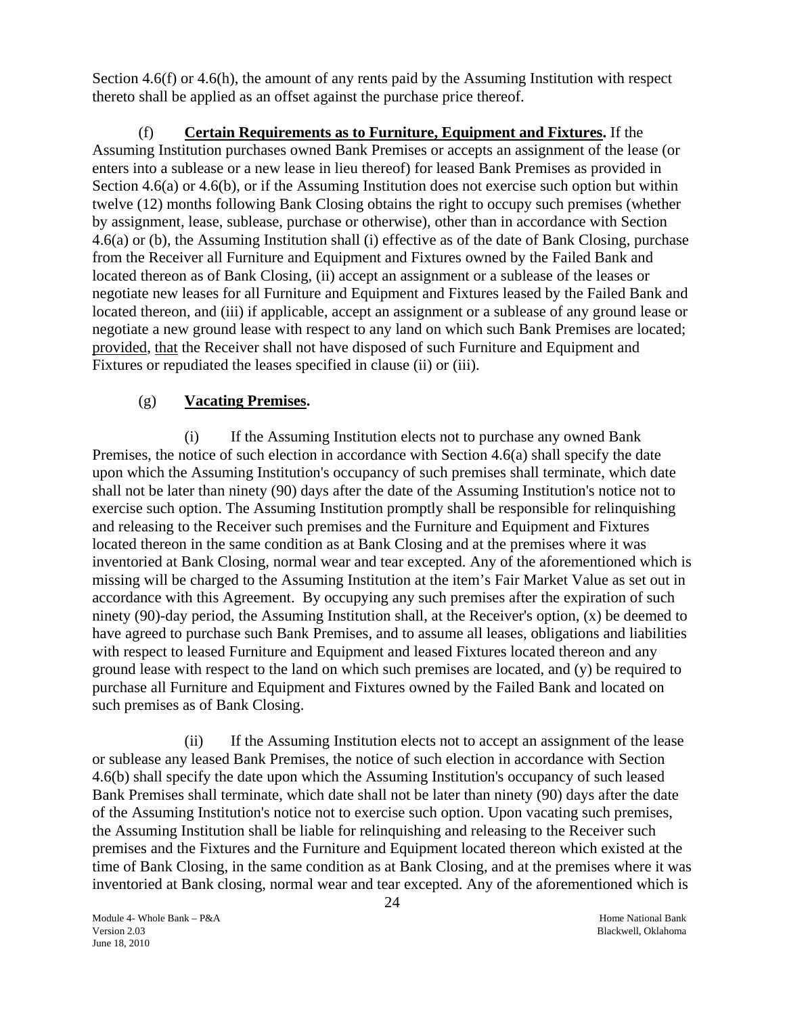Section 4.6(f) or 4.6(h), the amount of any rents paid by the Assuming Institution with respect thereto shall be applied as an offset against the purchase price thereof.

(f) **Certain Requirements as to Furniture, Equipment and Fixtures.** If the Assuming Institution purchases owned Bank Premises or accepts an assignment of the lease (or enters into a sublease or a new lease in lieu thereof) for leased Bank Premises as provided in Section 4.6(a) or 4.6(b), or if the Assuming Institution does not exercise such option but within twelve (12) months following Bank Closing obtains the right to occupy such premises (whether by assignment, lease, sublease, purchase or otherwise), other than in accordance with Section 4.6(a) or (b), the Assuming Institution shall (i) effective as of the date of Bank Closing, purchase from the Receiver all Furniture and Equipment and Fixtures owned by the Failed Bank and located thereon as of Bank Closing, (ii) accept an assignment or a sublease of the leases or negotiate new leases for all Furniture and Equipment and Fixtures leased by the Failed Bank and located thereon, and (iii) if applicable, accept an assignment or a sublease of any ground lease or negotiate a new ground lease with respect to any land on which such Bank Premises are located; provided, that the Receiver shall not have disposed of such Furniture and Equipment and Fixtures or repudiated the leases specified in clause (ii) or (iii).

# (g) **Vacating Premises.**

(i) If the Assuming Institution elects not to purchase any owned Bank Premises, the notice of such election in accordance with Section 4.6(a) shall specify the date upon which the Assuming Institution's occupancy of such premises shall terminate, which date shall not be later than ninety (90) days after the date of the Assuming Institution's notice not to exercise such option. The Assuming Institution promptly shall be responsible for relinquishing and releasing to the Receiver such premises and the Furniture and Equipment and Fixtures located thereon in the same condition as at Bank Closing and at the premises where it was inventoried at Bank Closing, normal wear and tear excepted. Any of the aforementioned which is missing will be charged to the Assuming Institution at the item's Fair Market Value as set out in accordance with this Agreement. By occupying any such premises after the expiration of such ninety (90)-day period, the Assuming Institution shall, at the Receiver's option, (x) be deemed to have agreed to purchase such Bank Premises, and to assume all leases, obligations and liabilities with respect to leased Furniture and Equipment and leased Fixtures located thereon and any ground lease with respect to the land on which such premises are located, and (y) be required to purchase all Furniture and Equipment and Fixtures owned by the Failed Bank and located on such premises as of Bank Closing.

(ii) If the Assuming Institution elects not to accept an assignment of the lease or sublease any leased Bank Premises, the notice of such election in accordance with Section 4.6(b) shall specify the date upon which the Assuming Institution's occupancy of such leased Bank Premises shall terminate, which date shall not be later than ninety (90) days after the date of the Assuming Institution's notice not to exercise such option. Upon vacating such premises, the Assuming Institution shall be liable for relinquishing and releasing to the Receiver such premises and the Fixtures and the Furniture and Equipment located thereon which existed at the time of Bank Closing, in the same condition as at Bank Closing, and at the premises where it was inventoried at Bank closing, normal wear and tear excepted. Any of the aforementioned which is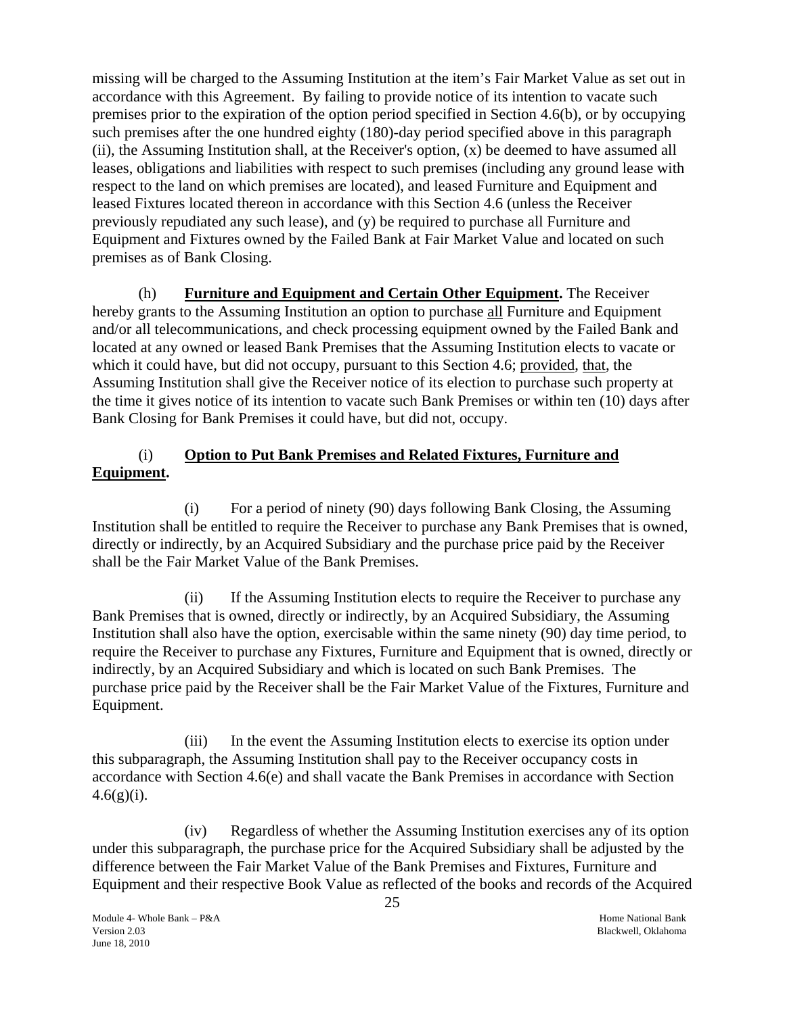missing will be charged to the Assuming Institution at the item's Fair Market Value as set out in accordance with this Agreement. By failing to provide notice of its intention to vacate such premises prior to the expiration of the option period specified in Section 4.6(b), or by occupying such premises after the one hundred eighty (180)-day period specified above in this paragraph  $(ii)$ , the Assuming Institution shall, at the Receiver's option,  $(x)$  be deemed to have assumed all leases, obligations and liabilities with respect to such premises (including any ground lease with respect to the land on which premises are located), and leased Furniture and Equipment and leased Fixtures located thereon in accordance with this Section 4.6 (unless the Receiver previously repudiated any such lease), and (y) be required to purchase all Furniture and Equipment and Fixtures owned by the Failed Bank at Fair Market Value and located on such premises as of Bank Closing.

(h) **Furniture and Equipment and Certain Other Equipment.** The Receiver hereby grants to the Assuming Institution an option to purchase all Furniture and Equipment and/or all telecommunications, and check processing equipment owned by the Failed Bank and located at any owned or leased Bank Premises that the Assuming Institution elects to vacate or which it could have, but did not occupy, pursuant to this Section 4.6; provided, that, the Assuming Institution shall give the Receiver notice of its election to purchase such property at the time it gives notice of its intention to vacate such Bank Premises or within ten (10) days after Bank Closing for Bank Premises it could have, but did not, occupy.

# (i) **Option to Put Bank Premises and Related Fixtures, Furniture and Equipment.**

(i) For a period of ninety (90) days following Bank Closing, the Assuming Institution shall be entitled to require the Receiver to purchase any Bank Premises that is owned, directly or indirectly, by an Acquired Subsidiary and the purchase price paid by the Receiver shall be the Fair Market Value of the Bank Premises.

(ii) If the Assuming Institution elects to require the Receiver to purchase any Bank Premises that is owned, directly or indirectly, by an Acquired Subsidiary, the Assuming Institution shall also have the option, exercisable within the same ninety (90) day time period, to require the Receiver to purchase any Fixtures, Furniture and Equipment that is owned, directly or indirectly, by an Acquired Subsidiary and which is located on such Bank Premises. The purchase price paid by the Receiver shall be the Fair Market Value of the Fixtures, Furniture and Equipment.

(iii) In the event the Assuming Institution elects to exercise its option under this subparagraph, the Assuming Institution shall pay to the Receiver occupancy costs in accordance with Section 4.6(e) and shall vacate the Bank Premises in accordance with Section  $4.6(g)(i)$ .

(iv) Regardless of whether the Assuming Institution exercises any of its option under this subparagraph, the purchase price for the Acquired Subsidiary shall be adjusted by the difference between the Fair Market Value of the Bank Premises and Fixtures, Furniture and Equipment and their respective Book Value as reflected of the books and records of the Acquired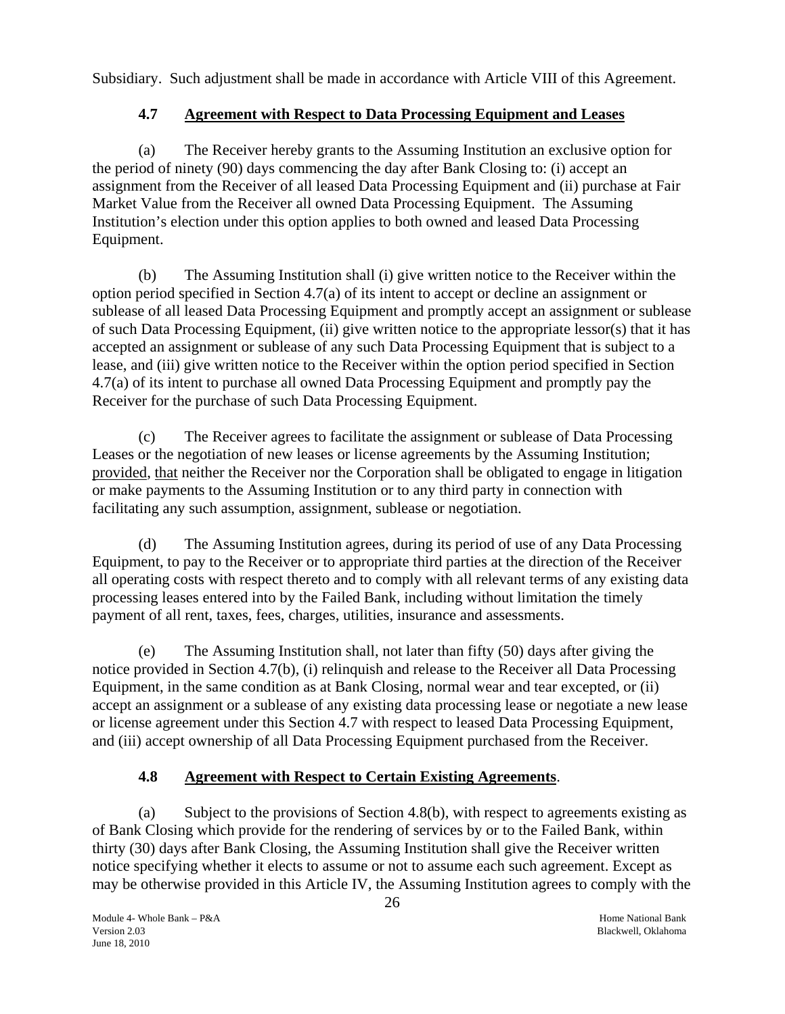Subsidiary. Such adjustment shall be made in accordance with Article VIII of this Agreement.

# **4.7 Agreement with Respect to Data Processing Equipment and Leases**

(a) The Receiver hereby grants to the Assuming Institution an exclusive option for the period of ninety (90) days commencing the day after Bank Closing to: (i) accept an assignment from the Receiver of all leased Data Processing Equipment and (ii) purchase at Fair Market Value from the Receiver all owned Data Processing Equipment. The Assuming Institution's election under this option applies to both owned and leased Data Processing Equipment.

(b) The Assuming Institution shall (i) give written notice to the Receiver within the option period specified in Section 4.7(a) of its intent to accept or decline an assignment or sublease of all leased Data Processing Equipment and promptly accept an assignment or sublease of such Data Processing Equipment, (ii) give written notice to the appropriate lessor(s) that it has accepted an assignment or sublease of any such Data Processing Equipment that is subject to a lease, and (iii) give written notice to the Receiver within the option period specified in Section 4.7(a) of its intent to purchase all owned Data Processing Equipment and promptly pay the Receiver for the purchase of such Data Processing Equipment.

(c) The Receiver agrees to facilitate the assignment or sublease of Data Processing Leases or the negotiation of new leases or license agreements by the Assuming Institution; provided, that neither the Receiver nor the Corporation shall be obligated to engage in litigation or make payments to the Assuming Institution or to any third party in connection with facilitating any such assumption, assignment, sublease or negotiation.

(d) The Assuming Institution agrees, during its period of use of any Data Processing Equipment, to pay to the Receiver or to appropriate third parties at the direction of the Receiver all operating costs with respect thereto and to comply with all relevant terms of any existing data processing leases entered into by the Failed Bank, including without limitation the timely payment of all rent, taxes, fees, charges, utilities, insurance and assessments.

(e) The Assuming Institution shall, not later than fifty (50) days after giving the notice provided in Section 4.7(b), (i) relinquish and release to the Receiver all Data Processing Equipment, in the same condition as at Bank Closing, normal wear and tear excepted, or (ii) accept an assignment or a sublease of any existing data processing lease or negotiate a new lease or license agreement under this Section 4.7 with respect to leased Data Processing Equipment, and (iii) accept ownership of all Data Processing Equipment purchased from the Receiver.

# **4.8 Agreement with Respect to Certain Existing Agreements**.

(a) Subject to the provisions of Section 4.8(b), with respect to agreements existing as of Bank Closing which provide for the rendering of services by or to the Failed Bank, within thirty (30) days after Bank Closing, the Assuming Institution shall give the Receiver written notice specifying whether it elects to assume or not to assume each such agreement. Except as may be otherwise provided in this Article IV, the Assuming Institution agrees to comply with the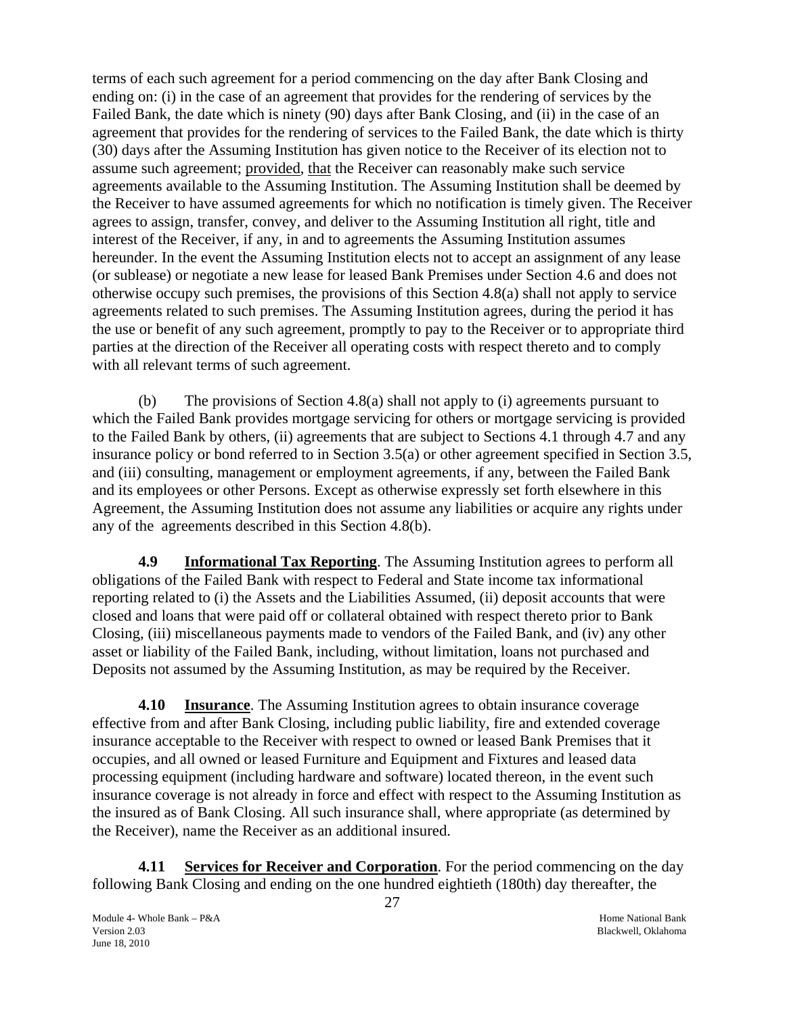terms of each such agreement for a period commencing on the day after Bank Closing and ending on: (i) in the case of an agreement that provides for the rendering of services by the Failed Bank, the date which is ninety (90) days after Bank Closing, and (ii) in the case of an agreement that provides for the rendering of services to the Failed Bank, the date which is thirty (30) days after the Assuming Institution has given notice to the Receiver of its election not to assume such agreement; provided, that the Receiver can reasonably make such service agreements available to the Assuming Institution. The Assuming Institution shall be deemed by the Receiver to have assumed agreements for which no notification is timely given. The Receiver agrees to assign, transfer, convey, and deliver to the Assuming Institution all right, title and interest of the Receiver, if any, in and to agreements the Assuming Institution assumes hereunder. In the event the Assuming Institution elects not to accept an assignment of any lease (or sublease) or negotiate a new lease for leased Bank Premises under Section 4.6 and does not otherwise occupy such premises, the provisions of this Section 4.8(a) shall not apply to service agreements related to such premises. The Assuming Institution agrees, during the period it has the use or benefit of any such agreement, promptly to pay to the Receiver or to appropriate third parties at the direction of the Receiver all operating costs with respect thereto and to comply with all relevant terms of such agreement.

(b) The provisions of Section 4.8(a) shall not apply to (i) agreements pursuant to which the Failed Bank provides mortgage servicing for others or mortgage servicing is provided to the Failed Bank by others, (ii) agreements that are subject to Sections 4.1 through 4.7 and any insurance policy or bond referred to in Section 3.5(a) or other agreement specified in Section 3.5, and (iii) consulting, management or employment agreements, if any, between the Failed Bank and its employees or other Persons. Except as otherwise expressly set forth elsewhere in this Agreement, the Assuming Institution does not assume any liabilities or acquire any rights under any of the agreements described in this Section 4.8(b).

**4.9 Informational Tax Reporting**. The Assuming Institution agrees to perform all obligations of the Failed Bank with respect to Federal and State income tax informational reporting related to (i) the Assets and the Liabilities Assumed, (ii) deposit accounts that were closed and loans that were paid off or collateral obtained with respect thereto prior to Bank Closing, (iii) miscellaneous payments made to vendors of the Failed Bank, and (iv) any other asset or liability of the Failed Bank, including, without limitation, loans not purchased and Deposits not assumed by the Assuming Institution, as may be required by the Receiver.

**4.10 Insurance**. The Assuming Institution agrees to obtain insurance coverage effective from and after Bank Closing, including public liability, fire and extended coverage insurance acceptable to the Receiver with respect to owned or leased Bank Premises that it occupies, and all owned or leased Furniture and Equipment and Fixtures and leased data processing equipment (including hardware and software) located thereon, in the event such insurance coverage is not already in force and effect with respect to the Assuming Institution as the insured as of Bank Closing. All such insurance shall, where appropriate (as determined by the Receiver), name the Receiver as an additional insured.

**4.11 Services for Receiver and Corporation**. For the period commencing on the day following Bank Closing and ending on the one hundred eightieth (180th) day thereafter, the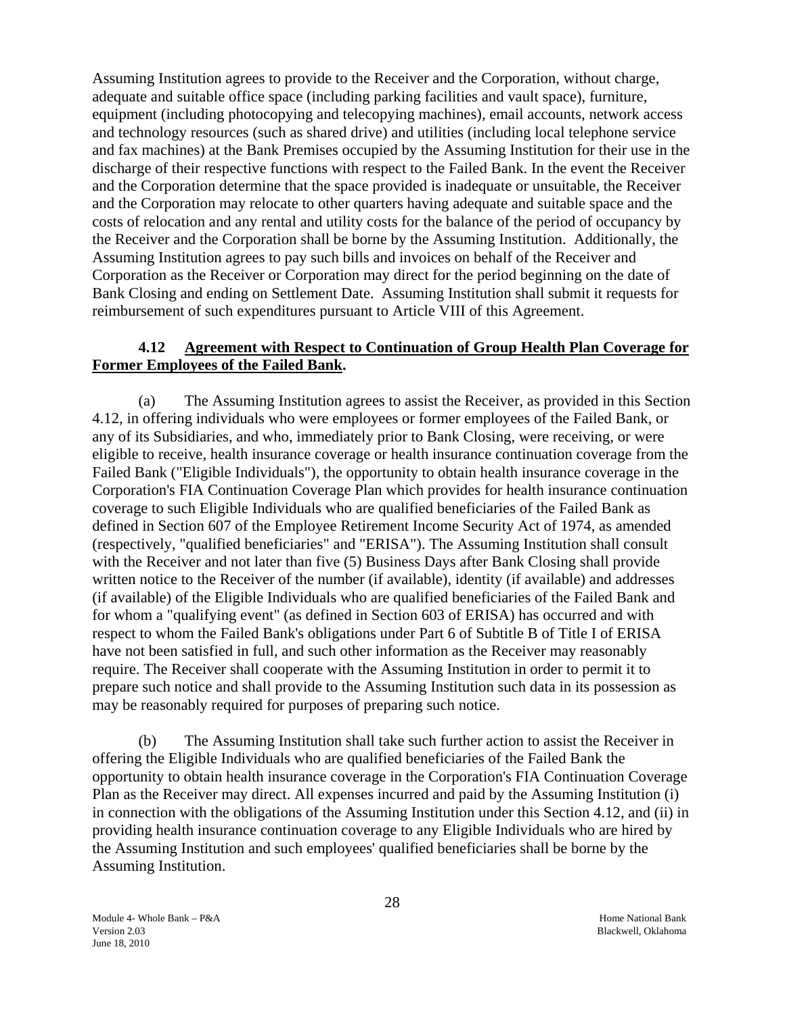Assuming Institution agrees to provide to the Receiver and the Corporation, without charge, adequate and suitable office space (including parking facilities and vault space), furniture, equipment (including photocopying and telecopying machines), email accounts, network access and technology resources (such as shared drive) and utilities (including local telephone service and fax machines) at the Bank Premises occupied by the Assuming Institution for their use in the discharge of their respective functions with respect to the Failed Bank. In the event the Receiver and the Corporation determine that the space provided is inadequate or unsuitable, the Receiver and the Corporation may relocate to other quarters having adequate and suitable space and the costs of relocation and any rental and utility costs for the balance of the period of occupancy by the Receiver and the Corporation shall be borne by the Assuming Institution. Additionally, the Assuming Institution agrees to pay such bills and invoices on behalf of the Receiver and Corporation as the Receiver or Corporation may direct for the period beginning on the date of Bank Closing and ending on Settlement Date. Assuming Institution shall submit it requests for reimbursement of such expenditures pursuant to Article VIII of this Agreement.

#### **4.12 Agreement with Respect to Continuation of Group Health Plan Coverage for Former Employees of the Failed Bank.**

(a) The Assuming Institution agrees to assist the Receiver, as provided in this Section 4.12, in offering individuals who were employees or former employees of the Failed Bank, or any of its Subsidiaries, and who, immediately prior to Bank Closing, were receiving, or were eligible to receive, health insurance coverage or health insurance continuation coverage from the Failed Bank ("Eligible Individuals"), the opportunity to obtain health insurance coverage in the Corporation's FIA Continuation Coverage Plan which provides for health insurance continuation coverage to such Eligible Individuals who are qualified beneficiaries of the Failed Bank as defined in Section 607 of the Employee Retirement Income Security Act of 1974, as amended (respectively, "qualified beneficiaries" and "ERISA"). The Assuming Institution shall consult with the Receiver and not later than five (5) Business Days after Bank Closing shall provide written notice to the Receiver of the number (if available), identity (if available) and addresses (if available) of the Eligible Individuals who are qualified beneficiaries of the Failed Bank and for whom a "qualifying event" (as defined in Section 603 of ERISA) has occurred and with respect to whom the Failed Bank's obligations under Part 6 of Subtitle B of Title I of ERISA have not been satisfied in full, and such other information as the Receiver may reasonably require. The Receiver shall cooperate with the Assuming Institution in order to permit it to prepare such notice and shall provide to the Assuming Institution such data in its possession as may be reasonably required for purposes of preparing such notice.

(b) The Assuming Institution shall take such further action to assist the Receiver in offering the Eligible Individuals who are qualified beneficiaries of the Failed Bank the opportunity to obtain health insurance coverage in the Corporation's FIA Continuation Coverage Plan as the Receiver may direct. All expenses incurred and paid by the Assuming Institution (i) in connection with the obligations of the Assuming Institution under this Section 4.12, and (ii) in providing health insurance continuation coverage to any Eligible Individuals who are hired by the Assuming Institution and such employees' qualified beneficiaries shall be borne by the Assuming Institution.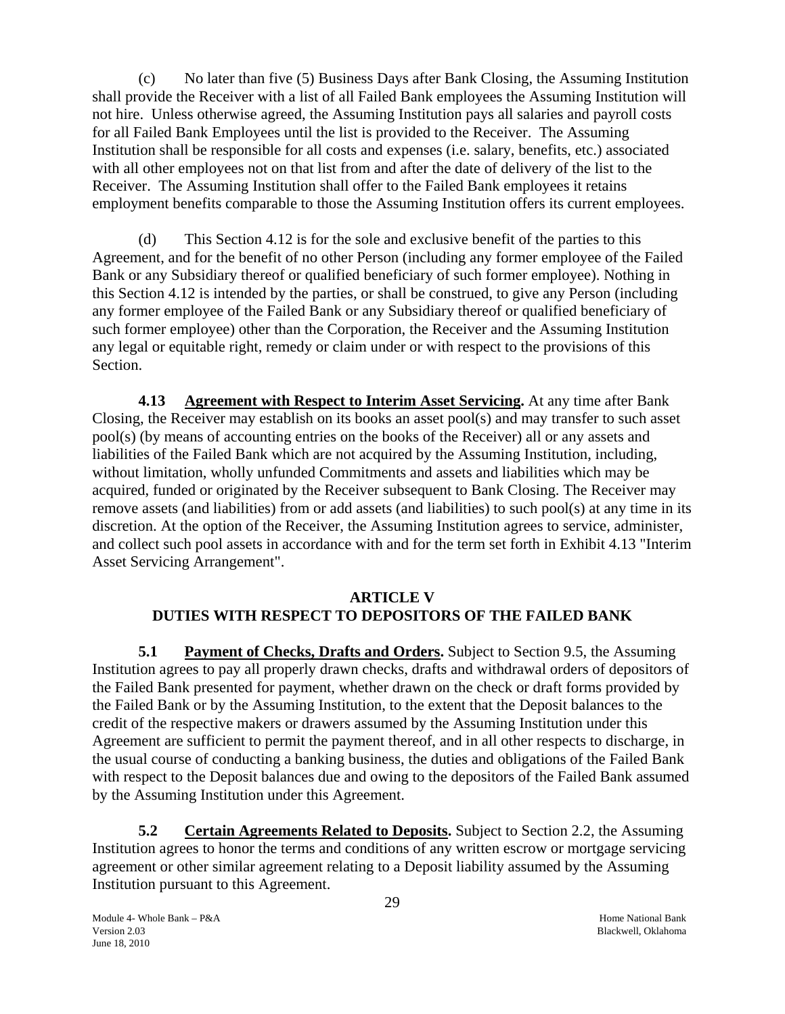(c) No later than five (5) Business Days after Bank Closing, the Assuming Institution shall provide the Receiver with a list of all Failed Bank employees the Assuming Institution will not hire. Unless otherwise agreed, the Assuming Institution pays all salaries and payroll costs for all Failed Bank Employees until the list is provided to the Receiver. The Assuming Institution shall be responsible for all costs and expenses (i.e. salary, benefits, etc.) associated with all other employees not on that list from and after the date of delivery of the list to the Receiver. The Assuming Institution shall offer to the Failed Bank employees it retains employment benefits comparable to those the Assuming Institution offers its current employees.

(d) This Section 4.12 is for the sole and exclusive benefit of the parties to this Agreement, and for the benefit of no other Person (including any former employee of the Failed Bank or any Subsidiary thereof or qualified beneficiary of such former employee). Nothing in this Section 4.12 is intended by the parties, or shall be construed, to give any Person (including any former employee of the Failed Bank or any Subsidiary thereof or qualified beneficiary of such former employee) other than the Corporation, the Receiver and the Assuming Institution any legal or equitable right, remedy or claim under or with respect to the provisions of this Section.

**4.13 Agreement with Respect to Interim Asset Servicing.** At any time after Bank Closing, the Receiver may establish on its books an asset pool(s) and may transfer to such asset pool(s) (by means of accounting entries on the books of the Receiver) all or any assets and liabilities of the Failed Bank which are not acquired by the Assuming Institution, including, without limitation, wholly unfunded Commitments and assets and liabilities which may be acquired, funded or originated by the Receiver subsequent to Bank Closing. The Receiver may remove assets (and liabilities) from or add assets (and liabilities) to such pool(s) at any time in its discretion. At the option of the Receiver, the Assuming Institution agrees to service, administer, and collect such pool assets in accordance with and for the term set forth in Exhibit 4.13 "Interim Asset Servicing Arrangement".

# **ARTICLE V DUTIES WITH RESPECT TO DEPOSITORS OF THE FAILED BANK**

 **5.1 Payment of Checks, Drafts and Orders.** Subject to Section 9.5, the Assuming Institution agrees to pay all properly drawn checks, drafts and withdrawal orders of depositors of the Failed Bank presented for payment, whether drawn on the check or draft forms provided by the Failed Bank or by the Assuming Institution, to the extent that the Deposit balances to the credit of the respective makers or drawers assumed by the Assuming Institution under this Agreement are sufficient to permit the payment thereof, and in all other respects to discharge, in the usual course of conducting a banking business, the duties and obligations of the Failed Bank with respect to the Deposit balances due and owing to the depositors of the Failed Bank assumed by the Assuming Institution under this Agreement.

**5.2 Certain Agreements Related to Deposits.** Subject to Section 2.2, the Assuming Institution agrees to honor the terms and conditions of any written escrow or mortgage servicing agreement or other similar agreement relating to a Deposit liability assumed by the Assuming Institution pursuant to this Agreement.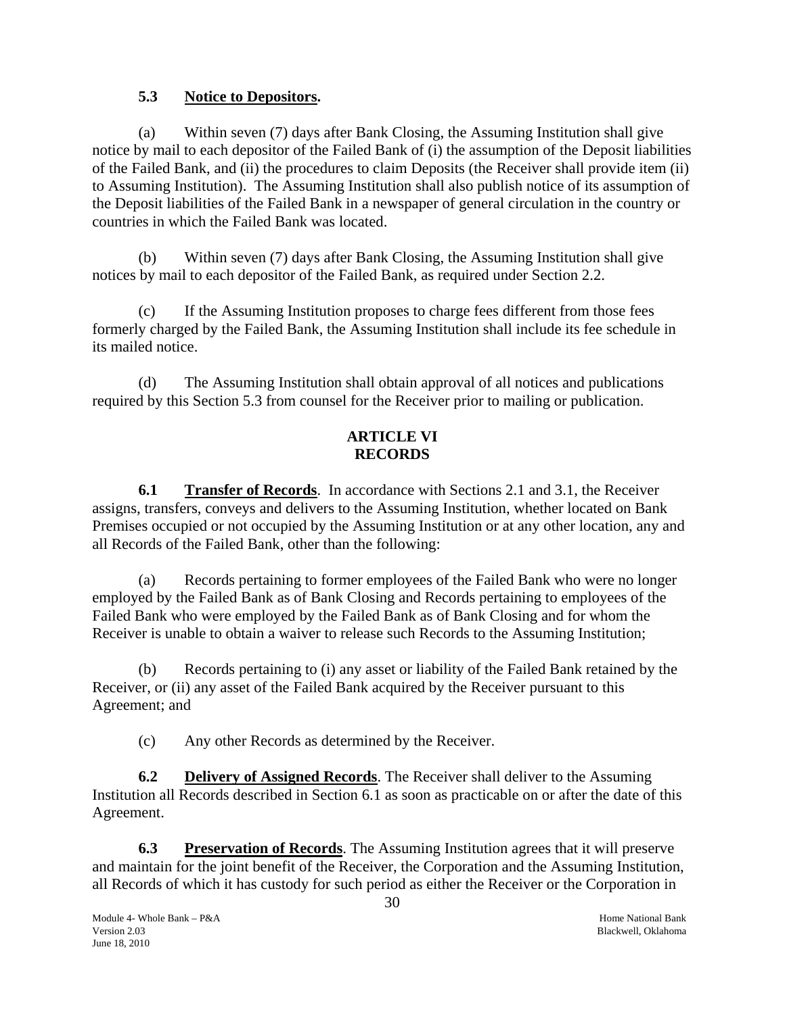# **5.3 Notice to Depositors.**

(a) Within seven (7) days after Bank Closing, the Assuming Institution shall give notice by mail to each depositor of the Failed Bank of (i) the assumption of the Deposit liabilities of the Failed Bank, and (ii) the procedures to claim Deposits (the Receiver shall provide item (ii) to Assuming Institution). The Assuming Institution shall also publish notice of its assumption of the Deposit liabilities of the Failed Bank in a newspaper of general circulation in the country or countries in which the Failed Bank was located.

(b) Within seven (7) days after Bank Closing, the Assuming Institution shall give notices by mail to each depositor of the Failed Bank, as required under Section 2.2.

(c) If the Assuming Institution proposes to charge fees different from those fees formerly charged by the Failed Bank, the Assuming Institution shall include its fee schedule in its mailed notice.

(d) The Assuming Institution shall obtain approval of all notices and publications required by this Section 5.3 from counsel for the Receiver prior to mailing or publication.

# **ARTICLE VI RECORDS**

**6.1** Transfer of Records. In accordance with Sections 2.1 and 3.1, the Receiver assigns, transfers, conveys and delivers to the Assuming Institution, whether located on Bank Premises occupied or not occupied by the Assuming Institution or at any other location, any and all Records of the Failed Bank, other than the following:

(a) Records pertaining to former employees of the Failed Bank who were no longer employed by the Failed Bank as of Bank Closing and Records pertaining to employees of the Failed Bank who were employed by the Failed Bank as of Bank Closing and for whom the Receiver is unable to obtain a waiver to release such Records to the Assuming Institution;

(b) Records pertaining to (i) any asset or liability of the Failed Bank retained by the Receiver, or (ii) any asset of the Failed Bank acquired by the Receiver pursuant to this Agreement; and

(c) Any other Records as determined by the Receiver.

**6.2 Delivery of Assigned Records**. The Receiver shall deliver to the Assuming Institution all Records described in Section 6.1 as soon as practicable on or after the date of this Agreement.

**6.3** Preservation of Records. The Assuming Institution agrees that it will preserve and maintain for the joint benefit of the Receiver, the Corporation and the Assuming Institution, all Records of which it has custody for such period as either the Receiver or the Corporation in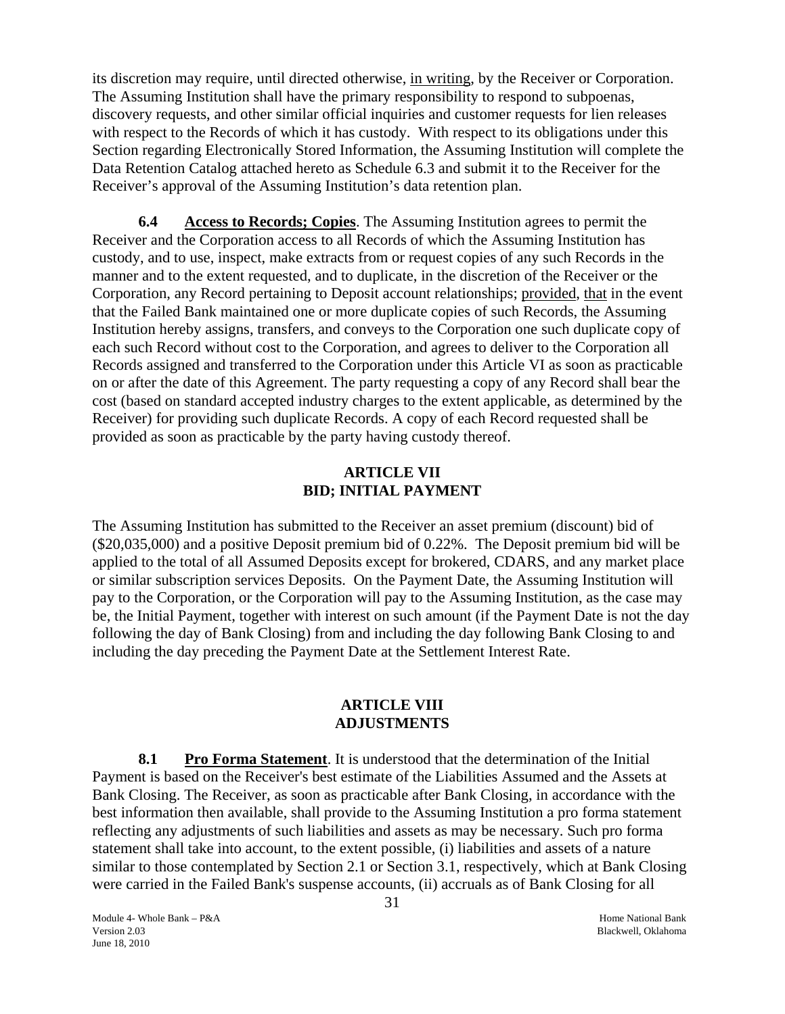its discretion may require, until directed otherwise, in writing, by the Receiver or Corporation. The Assuming Institution shall have the primary responsibility to respond to subpoenas, discovery requests, and other similar official inquiries and customer requests for lien releases with respect to the Records of which it has custody. With respect to its obligations under this Section regarding Electronically Stored Information, the Assuming Institution will complete the Data Retention Catalog attached hereto as Schedule 6.3 and submit it to the Receiver for the Receiver's approval of the Assuming Institution's data retention plan.

**6.4 Access to Records; Copies**. The Assuming Institution agrees to permit the Receiver and the Corporation access to all Records of which the Assuming Institution has custody, and to use, inspect, make extracts from or request copies of any such Records in the manner and to the extent requested, and to duplicate, in the discretion of the Receiver or the Corporation, any Record pertaining to Deposit account relationships; provided, that in the event that the Failed Bank maintained one or more duplicate copies of such Records, the Assuming Institution hereby assigns, transfers, and conveys to the Corporation one such duplicate copy of each such Record without cost to the Corporation, and agrees to deliver to the Corporation all Records assigned and transferred to the Corporation under this Article VI as soon as practicable on or after the date of this Agreement. The party requesting a copy of any Record shall bear the cost (based on standard accepted industry charges to the extent applicable, as determined by the Receiver) for providing such duplicate Records. A copy of each Record requested shall be provided as soon as practicable by the party having custody thereof.

## **ARTICLE VII BID; INITIAL PAYMENT**

The Assuming Institution has submitted to the Receiver an asset premium (discount) bid of (\$20,035,000) and a positive Deposit premium bid of 0.22%. The Deposit premium bid will be applied to the total of all Assumed Deposits except for brokered, CDARS, and any market place or similar subscription services Deposits. On the Payment Date, the Assuming Institution will pay to the Corporation, or the Corporation will pay to the Assuming Institution, as the case may be, the Initial Payment, together with interest on such amount (if the Payment Date is not the day following the day of Bank Closing) from and including the day following Bank Closing to and including the day preceding the Payment Date at the Settlement Interest Rate.

#### **ARTICLE VIII ADJUSTMENTS**

**8.1 Pro Forma Statement**. It is understood that the determination of the Initial Payment is based on the Receiver's best estimate of the Liabilities Assumed and the Assets at Bank Closing. The Receiver, as soon as practicable after Bank Closing, in accordance with the best information then available, shall provide to the Assuming Institution a pro forma statement reflecting any adjustments of such liabilities and assets as may be necessary. Such pro forma statement shall take into account, to the extent possible, (i) liabilities and assets of a nature similar to those contemplated by Section 2.1 or Section 3.1, respectively, which at Bank Closing were carried in the Failed Bank's suspense accounts, (ii) accruals as of Bank Closing for all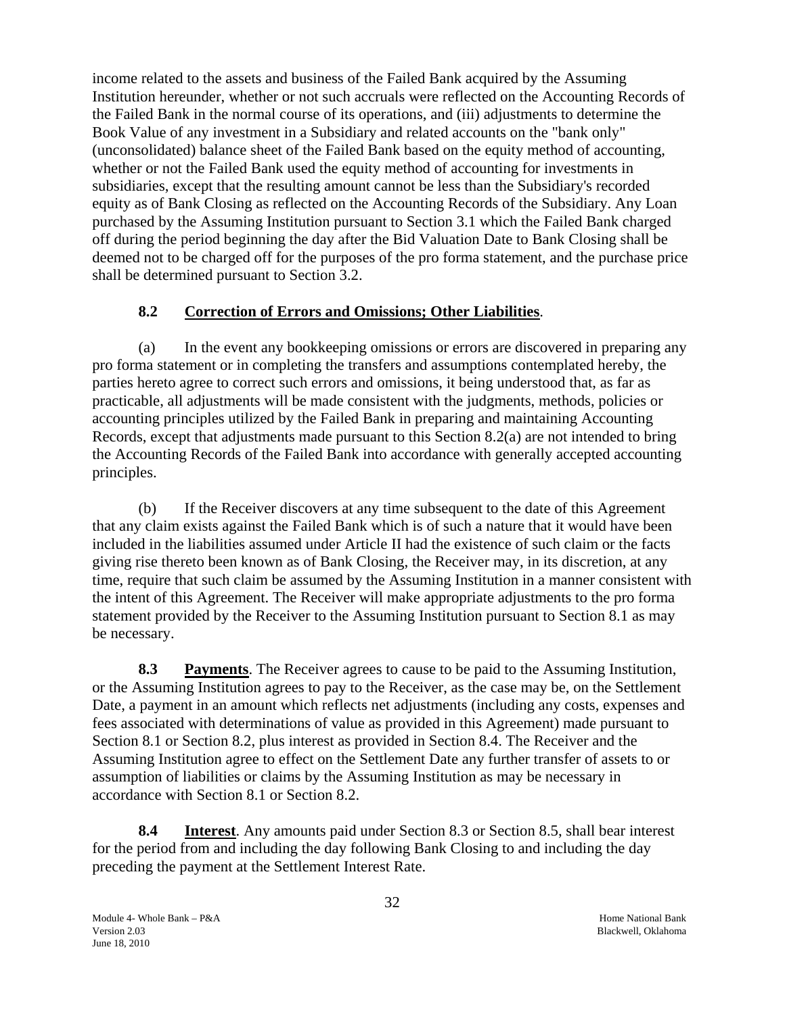income related to the assets and business of the Failed Bank acquired by the Assuming Institution hereunder, whether or not such accruals were reflected on the Accounting Records of the Failed Bank in the normal course of its operations, and (iii) adjustments to determine the Book Value of any investment in a Subsidiary and related accounts on the "bank only" (unconsolidated) balance sheet of the Failed Bank based on the equity method of accounting, whether or not the Failed Bank used the equity method of accounting for investments in subsidiaries, except that the resulting amount cannot be less than the Subsidiary's recorded equity as of Bank Closing as reflected on the Accounting Records of the Subsidiary. Any Loan purchased by the Assuming Institution pursuant to Section 3.1 which the Failed Bank charged off during the period beginning the day after the Bid Valuation Date to Bank Closing shall be deemed not to be charged off for the purposes of the pro forma statement, and the purchase price shall be determined pursuant to Section 3.2.

## **8.2 Correction of Errors and Omissions; Other Liabilities**.

(a) In the event any bookkeeping omissions or errors are discovered in preparing any pro forma statement or in completing the transfers and assumptions contemplated hereby, the parties hereto agree to correct such errors and omissions, it being understood that, as far as practicable, all adjustments will be made consistent with the judgments, methods, policies or accounting principles utilized by the Failed Bank in preparing and maintaining Accounting Records, except that adjustments made pursuant to this Section 8.2(a) are not intended to bring the Accounting Records of the Failed Bank into accordance with generally accepted accounting principles.

(b) If the Receiver discovers at any time subsequent to the date of this Agreement that any claim exists against the Failed Bank which is of such a nature that it would have been included in the liabilities assumed under Article II had the existence of such claim or the facts giving rise thereto been known as of Bank Closing, the Receiver may, in its discretion, at any time, require that such claim be assumed by the Assuming Institution in a manner consistent with the intent of this Agreement. The Receiver will make appropriate adjustments to the pro forma statement provided by the Receiver to the Assuming Institution pursuant to Section 8.1 as may be necessary.

**8.3 Payments**. The Receiver agrees to cause to be paid to the Assuming Institution, or the Assuming Institution agrees to pay to the Receiver, as the case may be, on the Settlement Date, a payment in an amount which reflects net adjustments (including any costs, expenses and fees associated with determinations of value as provided in this Agreement) made pursuant to Section 8.1 or Section 8.2, plus interest as provided in Section 8.4. The Receiver and the Assuming Institution agree to effect on the Settlement Date any further transfer of assets to or assumption of liabilities or claims by the Assuming Institution as may be necessary in accordance with Section 8.1 or Section 8.2.

**8.4 Interest**. Any amounts paid under Section 8.3 or Section 8.5, shall bear interest for the period from and including the day following Bank Closing to and including the day preceding the payment at the Settlement Interest Rate.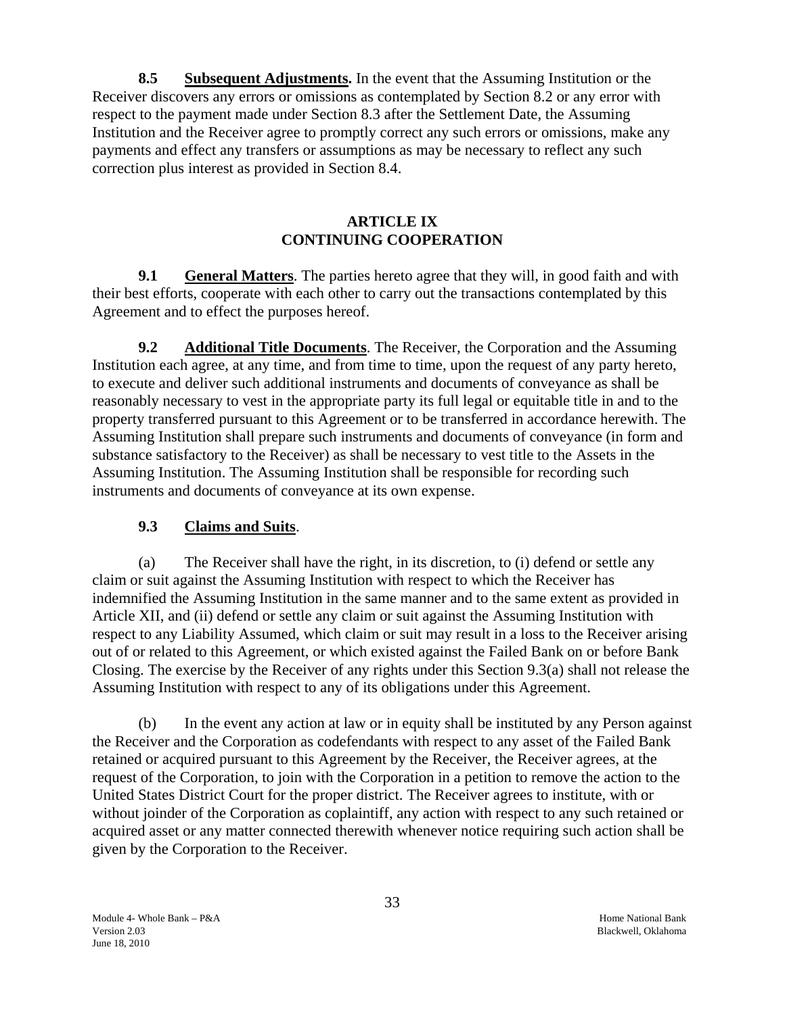**8.5 Subsequent Adjustments.** In the event that the Assuming Institution or the Receiver discovers any errors or omissions as contemplated by Section 8.2 or any error with respect to the payment made under Section 8.3 after the Settlement Date, the Assuming Institution and the Receiver agree to promptly correct any such errors or omissions, make any payments and effect any transfers or assumptions as may be necessary to reflect any such correction plus interest as provided in Section 8.4.

### **ARTICLE IX CONTINUING COOPERATION**

**9.1** General Matters. The parties hereto agree that they will, in good faith and with their best efforts, cooperate with each other to carry out the transactions contemplated by this Agreement and to effect the purposes hereof.

**9.2 Additional Title Documents**. The Receiver, the Corporation and the Assuming Institution each agree, at any time, and from time to time, upon the request of any party hereto, to execute and deliver such additional instruments and documents of conveyance as shall be reasonably necessary to vest in the appropriate party its full legal or equitable title in and to the property transferred pursuant to this Agreement or to be transferred in accordance herewith. The Assuming Institution shall prepare such instruments and documents of conveyance (in form and substance satisfactory to the Receiver) as shall be necessary to vest title to the Assets in the Assuming Institution. The Assuming Institution shall be responsible for recording such instruments and documents of conveyance at its own expense.

#### **9.3 Claims and Suits**.

(a) The Receiver shall have the right, in its discretion, to (i) defend or settle any claim or suit against the Assuming Institution with respect to which the Receiver has indemnified the Assuming Institution in the same manner and to the same extent as provided in Article XII, and (ii) defend or settle any claim or suit against the Assuming Institution with respect to any Liability Assumed, which claim or suit may result in a loss to the Receiver arising out of or related to this Agreement, or which existed against the Failed Bank on or before Bank Closing. The exercise by the Receiver of any rights under this Section 9.3(a) shall not release the Assuming Institution with respect to any of its obligations under this Agreement.

(b) In the event any action at law or in equity shall be instituted by any Person against the Receiver and the Corporation as codefendants with respect to any asset of the Failed Bank retained or acquired pursuant to this Agreement by the Receiver, the Receiver agrees, at the request of the Corporation, to join with the Corporation in a petition to remove the action to the United States District Court for the proper district. The Receiver agrees to institute, with or without joinder of the Corporation as coplaintiff, any action with respect to any such retained or acquired asset or any matter connected therewith whenever notice requiring such action shall be given by the Corporation to the Receiver.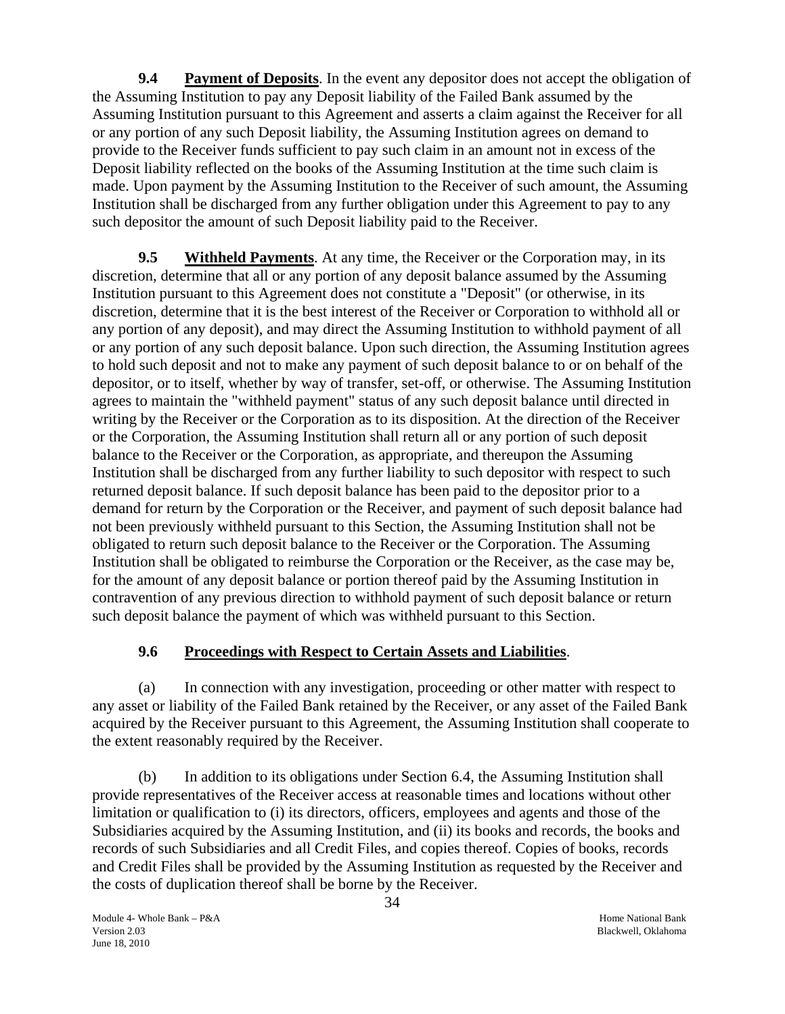**9.4 Payment of Deposits**. In the event any depositor does not accept the obligation of the Assuming Institution to pay any Deposit liability of the Failed Bank assumed by the Assuming Institution pursuant to this Agreement and asserts a claim against the Receiver for all or any portion of any such Deposit liability, the Assuming Institution agrees on demand to provide to the Receiver funds sufficient to pay such claim in an amount not in excess of the Deposit liability reflected on the books of the Assuming Institution at the time such claim is made. Upon payment by the Assuming Institution to the Receiver of such amount, the Assuming Institution shall be discharged from any further obligation under this Agreement to pay to any such depositor the amount of such Deposit liability paid to the Receiver.

**9.5 Withheld Payments**. At any time, the Receiver or the Corporation may, in its discretion, determine that all or any portion of any deposit balance assumed by the Assuming Institution pursuant to this Agreement does not constitute a "Deposit" (or otherwise, in its discretion, determine that it is the best interest of the Receiver or Corporation to withhold all or any portion of any deposit), and may direct the Assuming Institution to withhold payment of all or any portion of any such deposit balance. Upon such direction, the Assuming Institution agrees to hold such deposit and not to make any payment of such deposit balance to or on behalf of the depositor, or to itself, whether by way of transfer, set-off, or otherwise. The Assuming Institution agrees to maintain the "withheld payment" status of any such deposit balance until directed in writing by the Receiver or the Corporation as to its disposition. At the direction of the Receiver or the Corporation, the Assuming Institution shall return all or any portion of such deposit balance to the Receiver or the Corporation, as appropriate, and thereupon the Assuming Institution shall be discharged from any further liability to such depositor with respect to such returned deposit balance. If such deposit balance has been paid to the depositor prior to a demand for return by the Corporation or the Receiver, and payment of such deposit balance had not been previously withheld pursuant to this Section, the Assuming Institution shall not be obligated to return such deposit balance to the Receiver or the Corporation. The Assuming Institution shall be obligated to reimburse the Corporation or the Receiver, as the case may be, for the amount of any deposit balance or portion thereof paid by the Assuming Institution in contravention of any previous direction to withhold payment of such deposit balance or return such deposit balance the payment of which was withheld pursuant to this Section.

# **9.6 Proceedings with Respect to Certain Assets and Liabilities**.

(a) In connection with any investigation, proceeding or other matter with respect to any asset or liability of the Failed Bank retained by the Receiver, or any asset of the Failed Bank acquired by the Receiver pursuant to this Agreement, the Assuming Institution shall cooperate to the extent reasonably required by the Receiver.

(b) In addition to its obligations under Section 6.4, the Assuming Institution shall provide representatives of the Receiver access at reasonable times and locations without other limitation or qualification to (i) its directors, officers, employees and agents and those of the Subsidiaries acquired by the Assuming Institution, and (ii) its books and records, the books and records of such Subsidiaries and all Credit Files, and copies thereof. Copies of books, records and Credit Files shall be provided by the Assuming Institution as requested by the Receiver and the costs of duplication thereof shall be borne by the Receiver.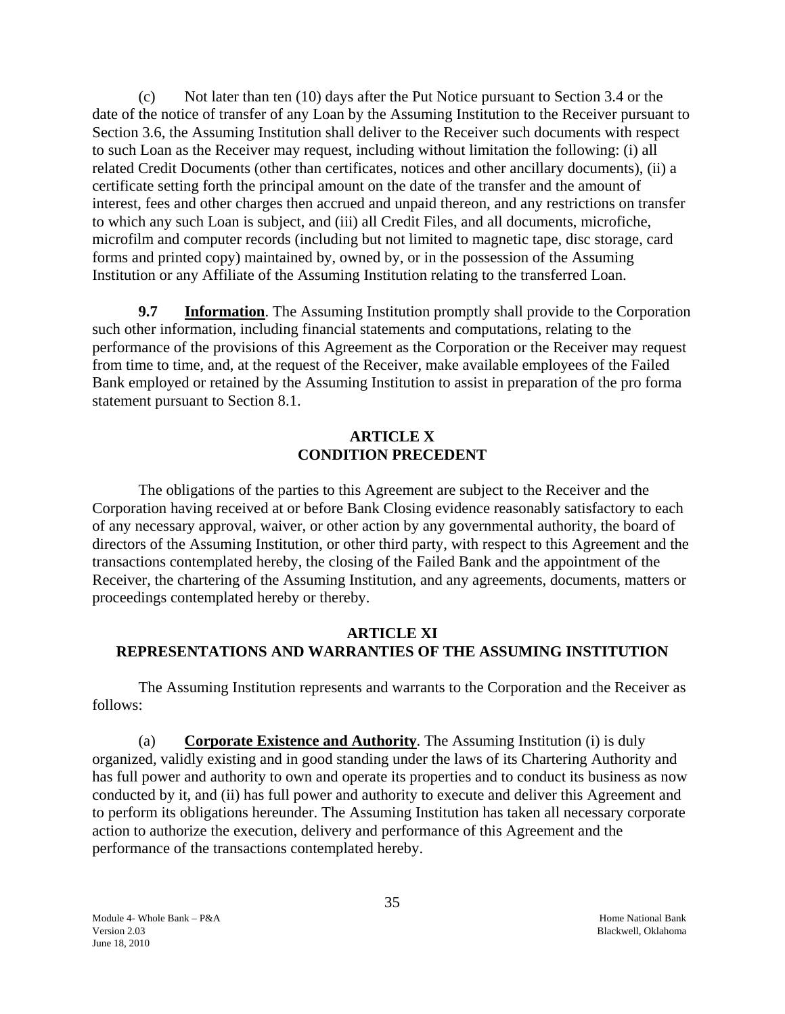(c) Not later than ten (10) days after the Put Notice pursuant to Section 3.4 or the date of the notice of transfer of any Loan by the Assuming Institution to the Receiver pursuant to Section 3.6, the Assuming Institution shall deliver to the Receiver such documents with respect to such Loan as the Receiver may request, including without limitation the following: (i) all related Credit Documents (other than certificates, notices and other ancillary documents), (ii) a certificate setting forth the principal amount on the date of the transfer and the amount of interest, fees and other charges then accrued and unpaid thereon, and any restrictions on transfer to which any such Loan is subject, and (iii) all Credit Files, and all documents, microfiche, microfilm and computer records (including but not limited to magnetic tape, disc storage, card forms and printed copy) maintained by, owned by, or in the possession of the Assuming Institution or any Affiliate of the Assuming Institution relating to the transferred Loan.

**9.7** Information. The Assuming Institution promptly shall provide to the Corporation such other information, including financial statements and computations, relating to the performance of the provisions of this Agreement as the Corporation or the Receiver may request from time to time, and, at the request of the Receiver, make available employees of the Failed Bank employed or retained by the Assuming Institution to assist in preparation of the pro forma statement pursuant to Section 8.1.

#### **ARTICLE X CONDITION PRECEDENT**

The obligations of the parties to this Agreement are subject to the Receiver and the Corporation having received at or before Bank Closing evidence reasonably satisfactory to each of any necessary approval, waiver, or other action by any governmental authority, the board of directors of the Assuming Institution, or other third party, with respect to this Agreement and the transactions contemplated hereby, the closing of the Failed Bank and the appointment of the Receiver, the chartering of the Assuming Institution, and any agreements, documents, matters or proceedings contemplated hereby or thereby.

#### **ARTICLE XI REPRESENTATIONS AND WARRANTIES OF THE ASSUMING INSTITUTION**

The Assuming Institution represents and warrants to the Corporation and the Receiver as follows:

(a) **Corporate Existence and Authority**. The Assuming Institution (i) is duly organized, validly existing and in good standing under the laws of its Chartering Authority and has full power and authority to own and operate its properties and to conduct its business as now conducted by it, and (ii) has full power and authority to execute and deliver this Agreement and to perform its obligations hereunder. The Assuming Institution has taken all necessary corporate action to authorize the execution, delivery and performance of this Agreement and the performance of the transactions contemplated hereby.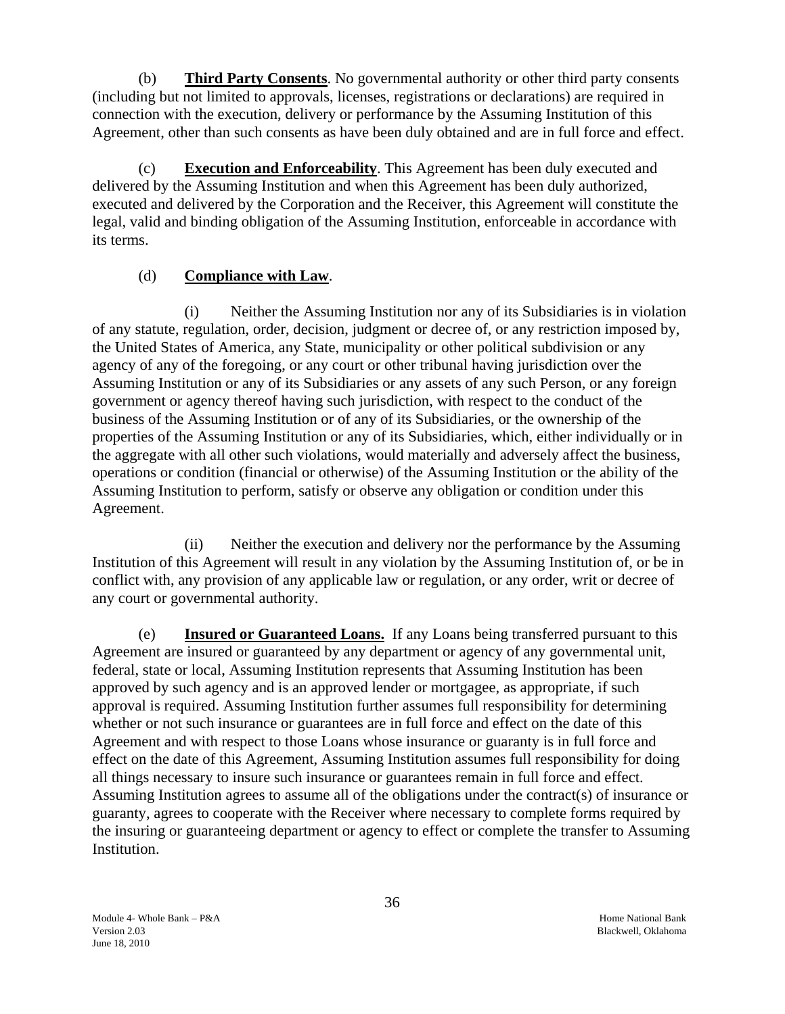(b) **Third Party Consents**. No governmental authority or other third party consents (including but not limited to approvals, licenses, registrations or declarations) are required in connection with the execution, delivery or performance by the Assuming Institution of this Agreement, other than such consents as have been duly obtained and are in full force and effect.

(c) **Execution and Enforceability**. This Agreement has been duly executed and delivered by the Assuming Institution and when this Agreement has been duly authorized, executed and delivered by the Corporation and the Receiver, this Agreement will constitute the legal, valid and binding obligation of the Assuming Institution, enforceable in accordance with its terms.

## (d) **Compliance with Law**.

(i) Neither the Assuming Institution nor any of its Subsidiaries is in violation of any statute, regulation, order, decision, judgment or decree of, or any restriction imposed by, the United States of America, any State, municipality or other political subdivision or any agency of any of the foregoing, or any court or other tribunal having jurisdiction over the Assuming Institution or any of its Subsidiaries or any assets of any such Person, or any foreign government or agency thereof having such jurisdiction, with respect to the conduct of the business of the Assuming Institution or of any of its Subsidiaries, or the ownership of the properties of the Assuming Institution or any of its Subsidiaries, which, either individually or in the aggregate with all other such violations, would materially and adversely affect the business, operations or condition (financial or otherwise) of the Assuming Institution or the ability of the Assuming Institution to perform, satisfy or observe any obligation or condition under this Agreement.

(ii) Neither the execution and delivery nor the performance by the Assuming Institution of this Agreement will result in any violation by the Assuming Institution of, or be in conflict with, any provision of any applicable law or regulation, or any order, writ or decree of any court or governmental authority.

(e) **Insured or Guaranteed Loans.** If any Loans being transferred pursuant to this Agreement are insured or guaranteed by any department or agency of any governmental unit, federal, state or local, Assuming Institution represents that Assuming Institution has been approved by such agency and is an approved lender or mortgagee, as appropriate, if such approval is required. Assuming Institution further assumes full responsibility for determining whether or not such insurance or guarantees are in full force and effect on the date of this Agreement and with respect to those Loans whose insurance or guaranty is in full force and effect on the date of this Agreement, Assuming Institution assumes full responsibility for doing all things necessary to insure such insurance or guarantees remain in full force and effect. Assuming Institution agrees to assume all of the obligations under the contract(s) of insurance or guaranty, agrees to cooperate with the Receiver where necessary to complete forms required by the insuring or guaranteeing department or agency to effect or complete the transfer to Assuming Institution.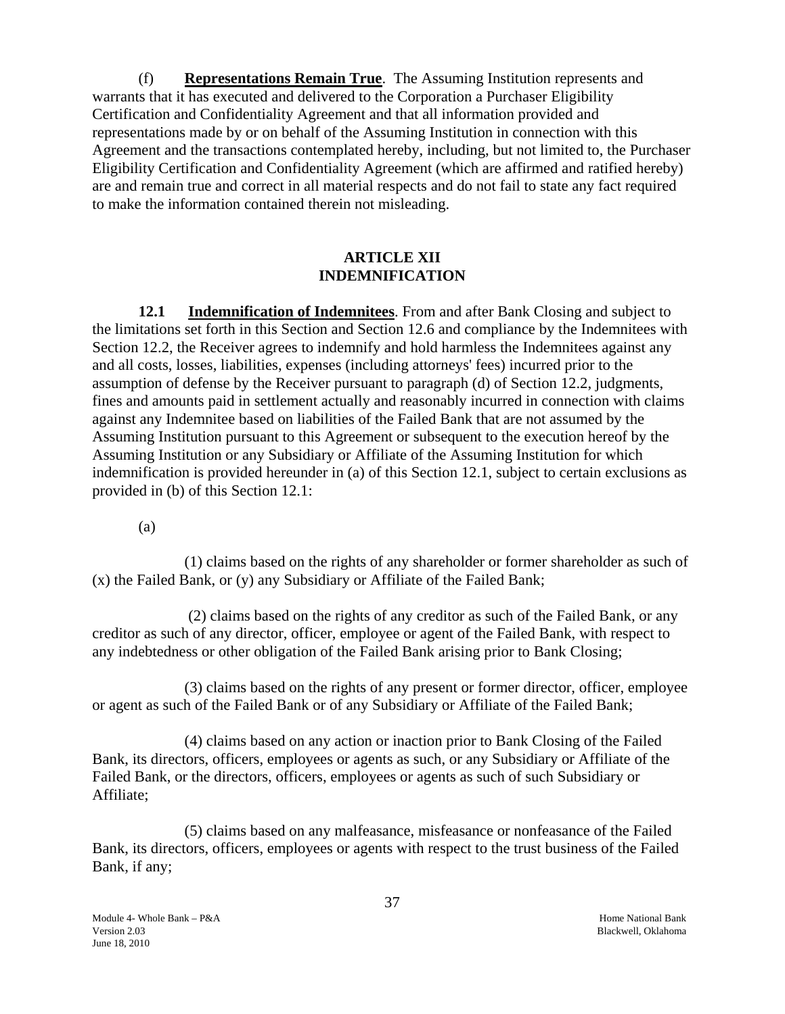(f) **Representations Remain True**. The Assuming Institution represents and warrants that it has executed and delivered to the Corporation a Purchaser Eligibility Certification and Confidentiality Agreement and that all information provided and representations made by or on behalf of the Assuming Institution in connection with this Agreement and the transactions contemplated hereby, including, but not limited to, the Purchaser Eligibility Certification and Confidentiality Agreement (which are affirmed and ratified hereby) are and remain true and correct in all material respects and do not fail to state any fact required to make the information contained therein not misleading.

#### **ARTICLE XII INDEMNIFICATION**

**12.1 Indemnification of Indemnitees**. From and after Bank Closing and subject to the limitations set forth in this Section and Section 12.6 and compliance by the Indemnitees with Section 12.2, the Receiver agrees to indemnify and hold harmless the Indemnitees against any and all costs, losses, liabilities, expenses (including attorneys' fees) incurred prior to the assumption of defense by the Receiver pursuant to paragraph (d) of Section 12.2, judgments, fines and amounts paid in settlement actually and reasonably incurred in connection with claims against any Indemnitee based on liabilities of the Failed Bank that are not assumed by the Assuming Institution pursuant to this Agreement or subsequent to the execution hereof by the Assuming Institution or any Subsidiary or Affiliate of the Assuming Institution for which indemnification is provided hereunder in (a) of this Section 12.1, subject to certain exclusions as provided in (b) of this Section 12.1:

(a)

(1) claims based on the rights of any shareholder or former shareholder as such of (x) the Failed Bank, or (y) any Subsidiary or Affiliate of the Failed Bank;

(2) claims based on the rights of any creditor as such of the Failed Bank, or any creditor as such of any director, officer, employee or agent of the Failed Bank, with respect to any indebtedness or other obligation of the Failed Bank arising prior to Bank Closing;

(3) claims based on the rights of any present or former director, officer, employee or agent as such of the Failed Bank or of any Subsidiary or Affiliate of the Failed Bank;

(4) claims based on any action or inaction prior to Bank Closing of the Failed Bank, its directors, officers, employees or agents as such, or any Subsidiary or Affiliate of the Failed Bank, or the directors, officers, employees or agents as such of such Subsidiary or Affiliate;

(5) claims based on any malfeasance, misfeasance or nonfeasance of the Failed Bank, its directors, officers, employees or agents with respect to the trust business of the Failed Bank, if any;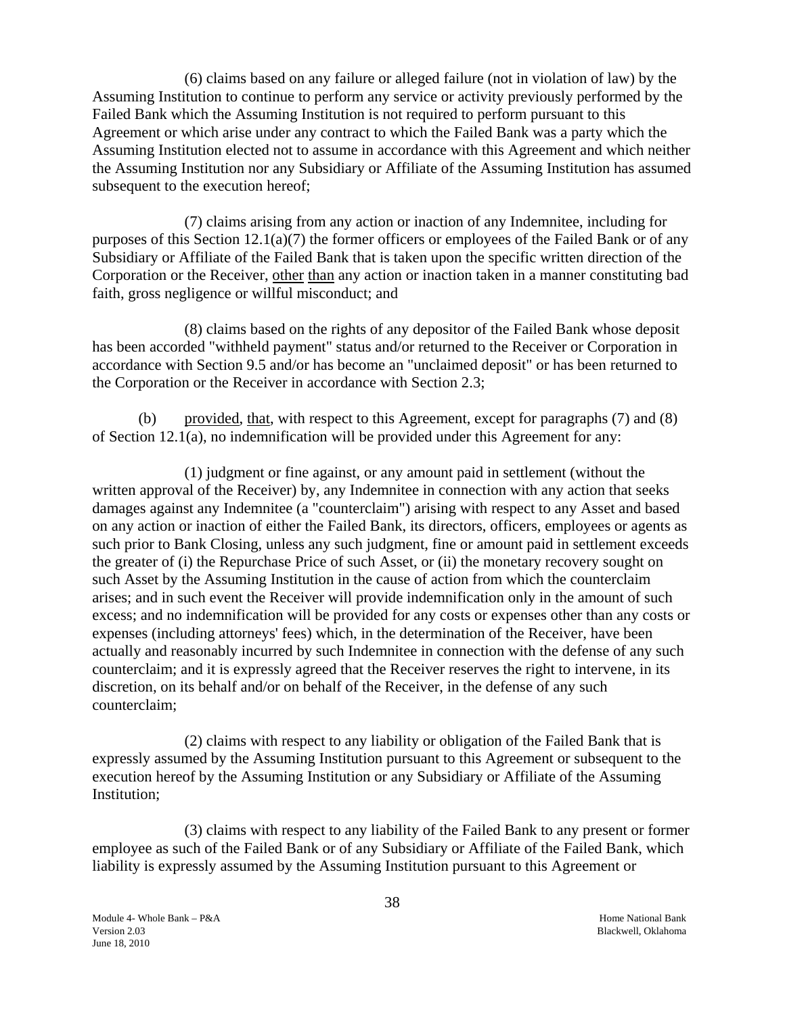(6) claims based on any failure or alleged failure (not in violation of law) by the Assuming Institution to continue to perform any service or activity previously performed by the Failed Bank which the Assuming Institution is not required to perform pursuant to this Agreement or which arise under any contract to which the Failed Bank was a party which the Assuming Institution elected not to assume in accordance with this Agreement and which neither the Assuming Institution nor any Subsidiary or Affiliate of the Assuming Institution has assumed subsequent to the execution hereof;

(7) claims arising from any action or inaction of any Indemnitee, including for purposes of this Section 12.1(a)(7) the former officers or employees of the Failed Bank or of any Subsidiary or Affiliate of the Failed Bank that is taken upon the specific written direction of the Corporation or the Receiver, other than any action or inaction taken in a manner constituting bad faith, gross negligence or willful misconduct; and

(8) claims based on the rights of any depositor of the Failed Bank whose deposit has been accorded "withheld payment" status and/or returned to the Receiver or Corporation in accordance with Section 9.5 and/or has become an "unclaimed deposit" or has been returned to the Corporation or the Receiver in accordance with Section 2.3;

(b) provided, that, with respect to this Agreement, except for paragraphs (7) and (8) of Section 12.1(a), no indemnification will be provided under this Agreement for any:

(1) judgment or fine against, or any amount paid in settlement (without the written approval of the Receiver) by, any Indemnitee in connection with any action that seeks damages against any Indemnitee (a "counterclaim") arising with respect to any Asset and based on any action or inaction of either the Failed Bank, its directors, officers, employees or agents as such prior to Bank Closing, unless any such judgment, fine or amount paid in settlement exceeds the greater of (i) the Repurchase Price of such Asset, or (ii) the monetary recovery sought on such Asset by the Assuming Institution in the cause of action from which the counterclaim arises; and in such event the Receiver will provide indemnification only in the amount of such excess; and no indemnification will be provided for any costs or expenses other than any costs or expenses (including attorneys' fees) which, in the determination of the Receiver, have been actually and reasonably incurred by such Indemnitee in connection with the defense of any such counterclaim; and it is expressly agreed that the Receiver reserves the right to intervene, in its discretion, on its behalf and/or on behalf of the Receiver, in the defense of any such counterclaim;

(2) claims with respect to any liability or obligation of the Failed Bank that is expressly assumed by the Assuming Institution pursuant to this Agreement or subsequent to the execution hereof by the Assuming Institution or any Subsidiary or Affiliate of the Assuming Institution;

(3) claims with respect to any liability of the Failed Bank to any present or former employee as such of the Failed Bank or of any Subsidiary or Affiliate of the Failed Bank, which liability is expressly assumed by the Assuming Institution pursuant to this Agreement or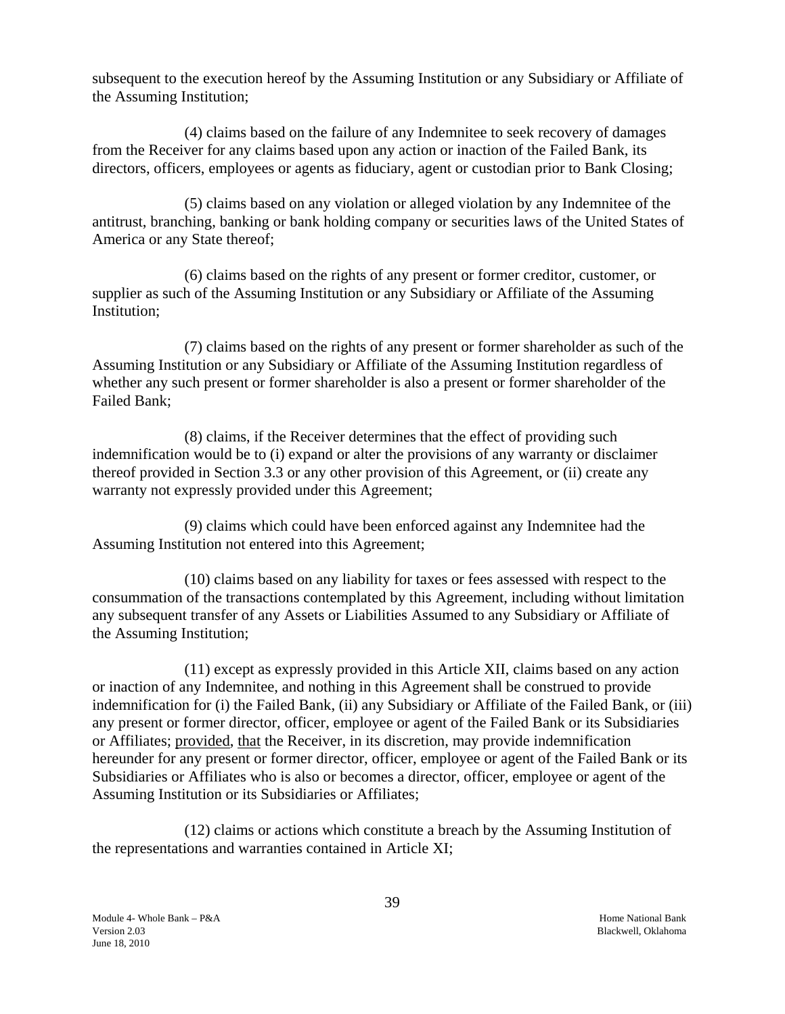subsequent to the execution hereof by the Assuming Institution or any Subsidiary or Affiliate of the Assuming Institution;

(4) claims based on the failure of any Indemnitee to seek recovery of damages from the Receiver for any claims based upon any action or inaction of the Failed Bank, its directors, officers, employees or agents as fiduciary, agent or custodian prior to Bank Closing;

(5) claims based on any violation or alleged violation by any Indemnitee of the antitrust, branching, banking or bank holding company or securities laws of the United States of America or any State thereof;

(6) claims based on the rights of any present or former creditor, customer, or supplier as such of the Assuming Institution or any Subsidiary or Affiliate of the Assuming Institution;

(7) claims based on the rights of any present or former shareholder as such of the Assuming Institution or any Subsidiary or Affiliate of the Assuming Institution regardless of whether any such present or former shareholder is also a present or former shareholder of the Failed Bank;

(8) claims, if the Receiver determines that the effect of providing such indemnification would be to (i) expand or alter the provisions of any warranty or disclaimer thereof provided in Section 3.3 or any other provision of this Agreement, or (ii) create any warranty not expressly provided under this Agreement;

(9) claims which could have been enforced against any Indemnitee had the Assuming Institution not entered into this Agreement;

(10) claims based on any liability for taxes or fees assessed with respect to the consummation of the transactions contemplated by this Agreement, including without limitation any subsequent transfer of any Assets or Liabilities Assumed to any Subsidiary or Affiliate of the Assuming Institution;

(11) except as expressly provided in this Article XII, claims based on any action or inaction of any Indemnitee, and nothing in this Agreement shall be construed to provide indemnification for (i) the Failed Bank, (ii) any Subsidiary or Affiliate of the Failed Bank, or (iii) any present or former director, officer, employee or agent of the Failed Bank or its Subsidiaries or Affiliates; provided, that the Receiver, in its discretion, may provide indemnification hereunder for any present or former director, officer, employee or agent of the Failed Bank or its Subsidiaries or Affiliates who is also or becomes a director, officer, employee or agent of the Assuming Institution or its Subsidiaries or Affiliates;

(12) claims or actions which constitute a breach by the Assuming Institution of the representations and warranties contained in Article XI;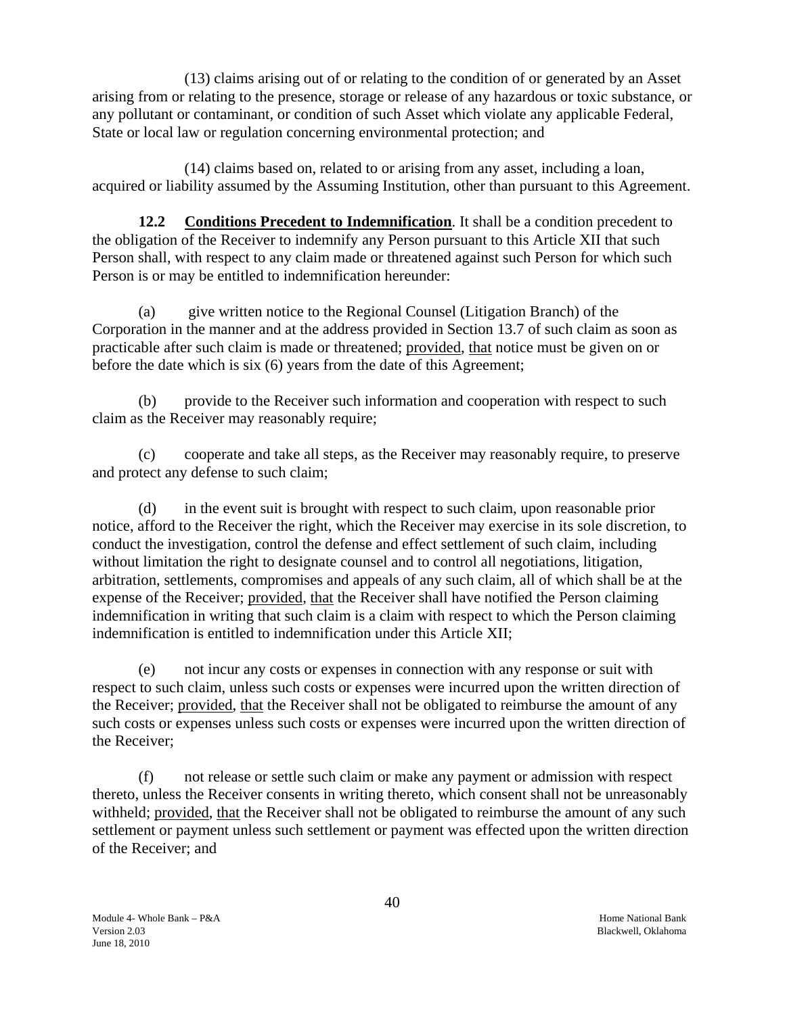(13) claims arising out of or relating to the condition of or generated by an Asset arising from or relating to the presence, storage or release of any hazardous or toxic substance, or any pollutant or contaminant, or condition of such Asset which violate any applicable Federal, State or local law or regulation concerning environmental protection; and

(14) claims based on, related to or arising from any asset, including a loan, acquired or liability assumed by the Assuming Institution, other than pursuant to this Agreement.

**12.2 Conditions Precedent to Indemnification**. It shall be a condition precedent to the obligation of the Receiver to indemnify any Person pursuant to this Article XII that such Person shall, with respect to any claim made or threatened against such Person for which such Person is or may be entitled to indemnification hereunder:

(a) give written notice to the Regional Counsel (Litigation Branch) of the Corporation in the manner and at the address provided in Section 13.7 of such claim as soon as practicable after such claim is made or threatened; provided, that notice must be given on or before the date which is six (6) years from the date of this Agreement;

(b) provide to the Receiver such information and cooperation with respect to such claim as the Receiver may reasonably require;

(c) cooperate and take all steps, as the Receiver may reasonably require, to preserve and protect any defense to such claim;

(d) in the event suit is brought with respect to such claim, upon reasonable prior notice, afford to the Receiver the right, which the Receiver may exercise in its sole discretion, to conduct the investigation, control the defense and effect settlement of such claim, including without limitation the right to designate counsel and to control all negotiations, litigation, arbitration, settlements, compromises and appeals of any such claim, all of which shall be at the expense of the Receiver; provided, that the Receiver shall have notified the Person claiming indemnification in writing that such claim is a claim with respect to which the Person claiming indemnification is entitled to indemnification under this Article XII;

(e) not incur any costs or expenses in connection with any response or suit with respect to such claim, unless such costs or expenses were incurred upon the written direction of the Receiver; provided, that the Receiver shall not be obligated to reimburse the amount of any such costs or expenses unless such costs or expenses were incurred upon the written direction of the Receiver;

(f) not release or settle such claim or make any payment or admission with respect thereto, unless the Receiver consents in writing thereto, which consent shall not be unreasonably withheld; provided, that the Receiver shall not be obligated to reimburse the amount of any such settlement or payment unless such settlement or payment was effected upon the written direction of the Receiver; and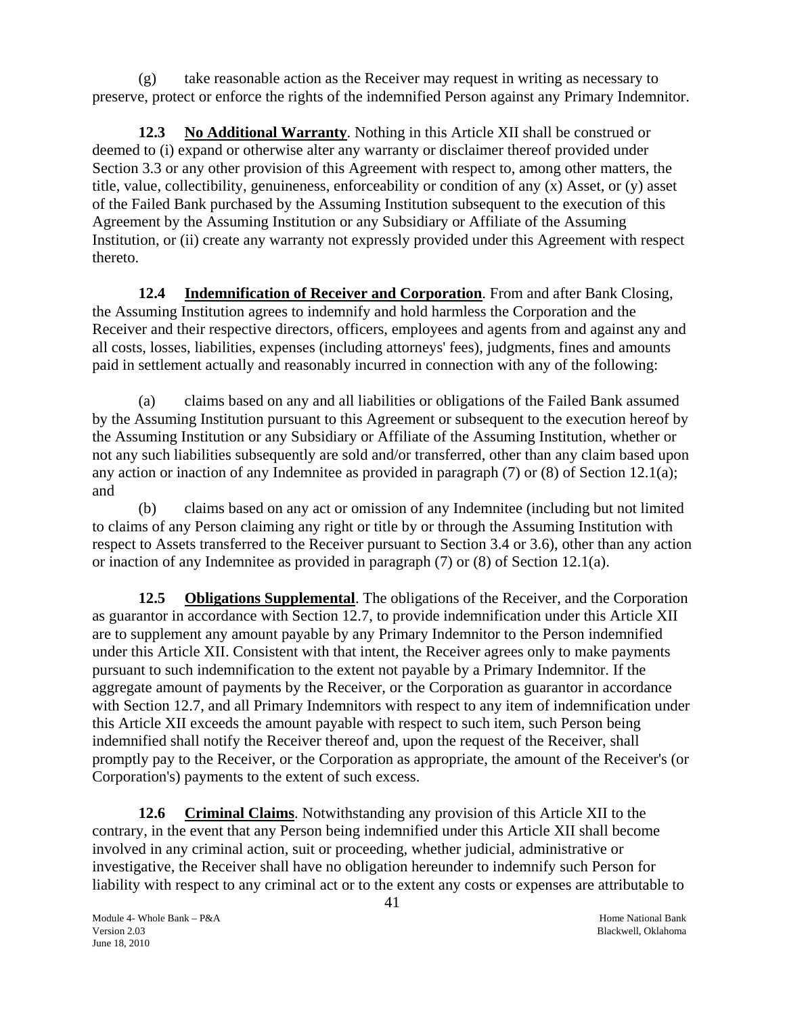(g) take reasonable action as the Receiver may request in writing as necessary to preserve, protect or enforce the rights of the indemnified Person against any Primary Indemnitor.

**12.3 No Additional Warranty**. Nothing in this Article XII shall be construed or deemed to (i) expand or otherwise alter any warranty or disclaimer thereof provided under Section 3.3 or any other provision of this Agreement with respect to, among other matters, the title, value, collectibility, genuineness, enforceability or condition of any (x) Asset, or (y) asset of the Failed Bank purchased by the Assuming Institution subsequent to the execution of this Agreement by the Assuming Institution or any Subsidiary or Affiliate of the Assuming Institution, or (ii) create any warranty not expressly provided under this Agreement with respect thereto.

**12.4 Indemnification of Receiver and Corporation**. From and after Bank Closing, the Assuming Institution agrees to indemnify and hold harmless the Corporation and the Receiver and their respective directors, officers, employees and agents from and against any and all costs, losses, liabilities, expenses (including attorneys' fees), judgments, fines and amounts paid in settlement actually and reasonably incurred in connection with any of the following:

(a) claims based on any and all liabilities or obligations of the Failed Bank assumed by the Assuming Institution pursuant to this Agreement or subsequent to the execution hereof by the Assuming Institution or any Subsidiary or Affiliate of the Assuming Institution, whether or not any such liabilities subsequently are sold and/or transferred, other than any claim based upon any action or inaction of any Indemnitee as provided in paragraph (7) or (8) of Section 12.1(a); and

(b) claims based on any act or omission of any Indemnitee (including but not limited to claims of any Person claiming any right or title by or through the Assuming Institution with respect to Assets transferred to the Receiver pursuant to Section 3.4 or 3.6), other than any action or inaction of any Indemnitee as provided in paragraph (7) or (8) of Section 12.1(a).

**12.5 Obligations Supplemental**. The obligations of the Receiver, and the Corporation as guarantor in accordance with Section 12.7, to provide indemnification under this Article XII are to supplement any amount payable by any Primary Indemnitor to the Person indemnified under this Article XII. Consistent with that intent, the Receiver agrees only to make payments pursuant to such indemnification to the extent not payable by a Primary Indemnitor. If the aggregate amount of payments by the Receiver, or the Corporation as guarantor in accordance with Section 12.7, and all Primary Indemnitors with respect to any item of indemnification under this Article XII exceeds the amount payable with respect to such item, such Person being indemnified shall notify the Receiver thereof and, upon the request of the Receiver, shall promptly pay to the Receiver, or the Corporation as appropriate, the amount of the Receiver's (or Corporation's) payments to the extent of such excess.

**12.6 Criminal Claims**. Notwithstanding any provision of this Article XII to the contrary, in the event that any Person being indemnified under this Article XII shall become involved in any criminal action, suit or proceeding, whether judicial, administrative or investigative, the Receiver shall have no obligation hereunder to indemnify such Person for liability with respect to any criminal act or to the extent any costs or expenses are attributable to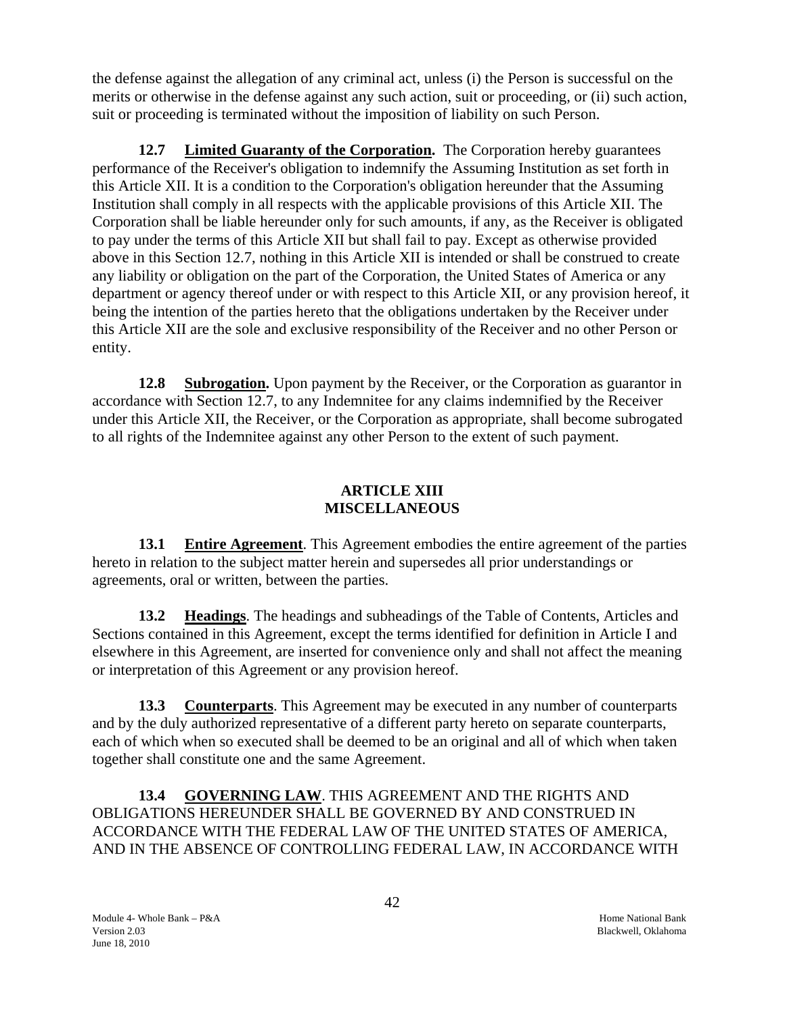the defense against the allegation of any criminal act, unless (i) the Person is successful on the merits or otherwise in the defense against any such action, suit or proceeding, or (ii) such action, suit or proceeding is terminated without the imposition of liability on such Person.

**12.7 Limited Guaranty of the Corporation.** The Corporation hereby guarantees performance of the Receiver's obligation to indemnify the Assuming Institution as set forth in this Article XII. It is a condition to the Corporation's obligation hereunder that the Assuming Institution shall comply in all respects with the applicable provisions of this Article XII. The Corporation shall be liable hereunder only for such amounts, if any, as the Receiver is obligated to pay under the terms of this Article XII but shall fail to pay. Except as otherwise provided above in this Section 12.7, nothing in this Article XII is intended or shall be construed to create any liability or obligation on the part of the Corporation, the United States of America or any department or agency thereof under or with respect to this Article XII, or any provision hereof, it being the intention of the parties hereto that the obligations undertaken by the Receiver under this Article XII are the sole and exclusive responsibility of the Receiver and no other Person or entity.

**12.8 Subrogation.** Upon payment by the Receiver, or the Corporation as guarantor in accordance with Section 12.7, to any Indemnitee for any claims indemnified by the Receiver under this Article XII, the Receiver, or the Corporation as appropriate, shall become subrogated to all rights of the Indemnitee against any other Person to the extent of such payment.

#### **ARTICLE XIII MISCELLANEOUS**

**13.1 Entire Agreement**. This Agreement embodies the entire agreement of the parties hereto in relation to the subject matter herein and supersedes all prior understandings or agreements, oral or written, between the parties.

**13.2 Headings**. The headings and subheadings of the Table of Contents, Articles and Sections contained in this Agreement, except the terms identified for definition in Article I and elsewhere in this Agreement, are inserted for convenience only and shall not affect the meaning or interpretation of this Agreement or any provision hereof.

**13.3 Counterparts**. This Agreement may be executed in any number of counterparts and by the duly authorized representative of a different party hereto on separate counterparts, each of which when so executed shall be deemed to be an original and all of which when taken together shall constitute one and the same Agreement.

**13.4 GOVERNING LAW**. THIS AGREEMENT AND THE RIGHTS AND OBLIGATIONS HEREUNDER SHALL BE GOVERNED BY AND CONSTRUED IN ACCORDANCE WITH THE FEDERAL LAW OF THE UNITED STATES OF AMERICA, AND IN THE ABSENCE OF CONTROLLING FEDERAL LAW, IN ACCORDANCE WITH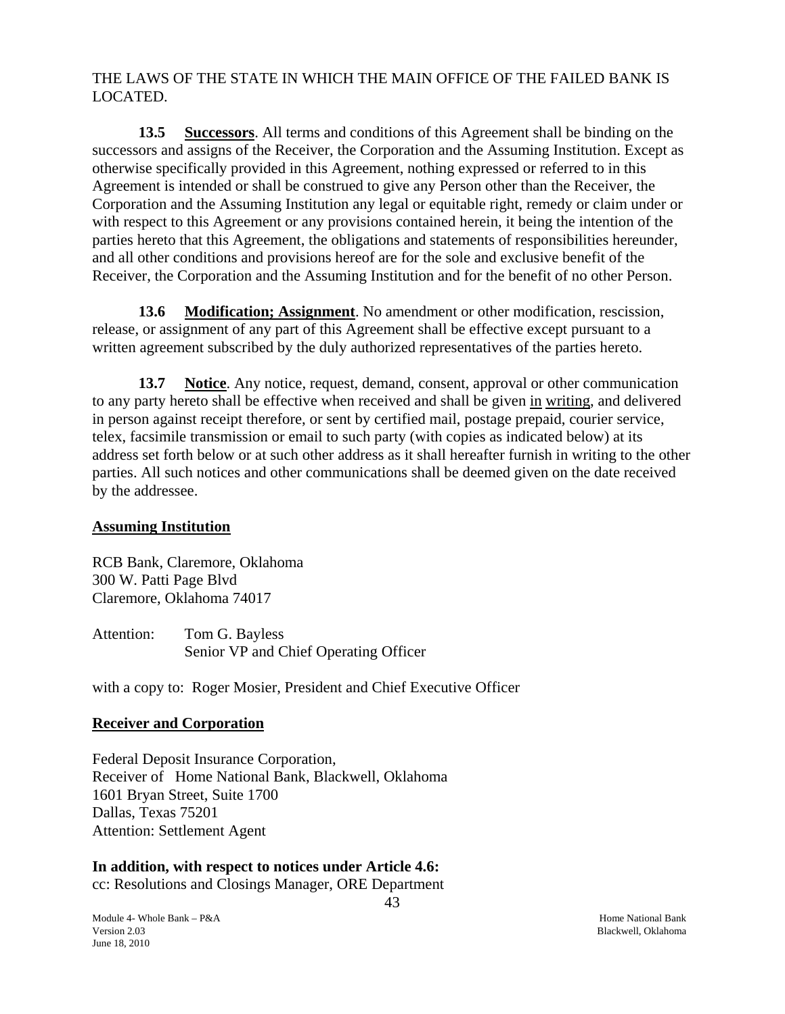THE LAWS OF THE STATE IN WHICH THE MAIN OFFICE OF THE FAILED BANK IS LOCATED.

**13.5 Successors**. All terms and conditions of this Agreement shall be binding on the successors and assigns of the Receiver, the Corporation and the Assuming Institution. Except as otherwise specifically provided in this Agreement, nothing expressed or referred to in this Agreement is intended or shall be construed to give any Person other than the Receiver, the Corporation and the Assuming Institution any legal or equitable right, remedy or claim under or with respect to this Agreement or any provisions contained herein, it being the intention of the parties hereto that this Agreement, the obligations and statements of responsibilities hereunder, and all other conditions and provisions hereof are for the sole and exclusive benefit of the Receiver, the Corporation and the Assuming Institution and for the benefit of no other Person.

**13.6 Modification; Assignment**. No amendment or other modification, rescission, release, or assignment of any part of this Agreement shall be effective except pursuant to a written agreement subscribed by the duly authorized representatives of the parties hereto.

**13.7 Notice**. Any notice, request, demand, consent, approval or other communication to any party hereto shall be effective when received and shall be given in writing, and delivered in person against receipt therefore, or sent by certified mail, postage prepaid, courier service, telex, facsimile transmission or email to such party (with copies as indicated below) at its address set forth below or at such other address as it shall hereafter furnish in writing to the other parties. All such notices and other communications shall be deemed given on the date received by the addressee.

#### **Assuming Institution**

RCB Bank, Claremore, Oklahoma 300 W. Patti Page Blvd Claremore, Oklahoma 74017

Attention: Tom G. Bayless Senior VP and Chief Operating Officer

with a copy to: Roger Mosier, President and Chief Executive Officer

#### **Receiver and Corporation**

Federal Deposit Insurance Corporation, Receiver of Home National Bank, Blackwell, Oklahoma 1601 Bryan Street, Suite 1700 Dallas, Texas 75201 Attention: Settlement Agent

**In addition, with respect to notices under Article 4.6:** 

cc: Resolutions and Closings Manager, ORE Department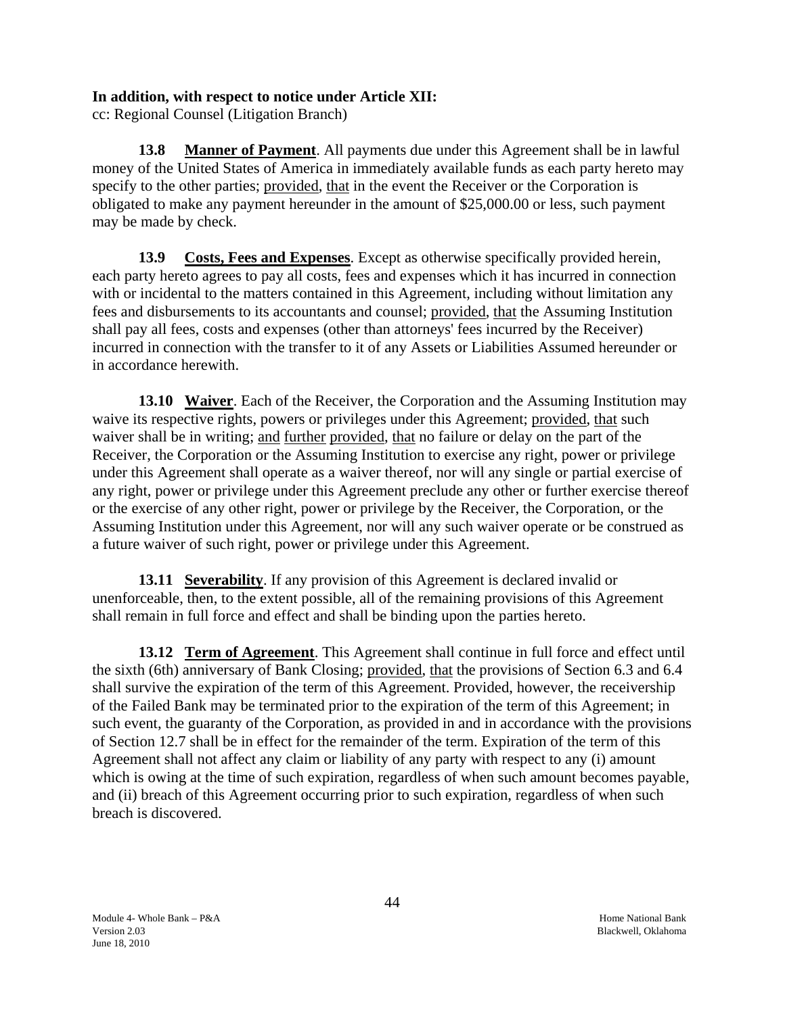#### **In addition, with respect to notice under Article XII:**

cc: Regional Counsel (Litigation Branch)

**13.8 Manner of Payment**. All payments due under this Agreement shall be in lawful money of the United States of America in immediately available funds as each party hereto may specify to the other parties; provided, that in the event the Receiver or the Corporation is obligated to make any payment hereunder in the amount of \$25,000.00 or less, such payment may be made by check.

**13.9 Costs, Fees and Expenses**. Except as otherwise specifically provided herein, each party hereto agrees to pay all costs, fees and expenses which it has incurred in connection with or incidental to the matters contained in this Agreement, including without limitation any fees and disbursements to its accountants and counsel; provided, that the Assuming Institution shall pay all fees, costs and expenses (other than attorneys' fees incurred by the Receiver) incurred in connection with the transfer to it of any Assets or Liabilities Assumed hereunder or in accordance herewith.

**13.10 Waiver**. Each of the Receiver, the Corporation and the Assuming Institution may waive its respective rights, powers or privileges under this Agreement; provided, that such waiver shall be in writing; and further provided, that no failure or delay on the part of the Receiver, the Corporation or the Assuming Institution to exercise any right, power or privilege under this Agreement shall operate as a waiver thereof, nor will any single or partial exercise of any right, power or privilege under this Agreement preclude any other or further exercise thereof or the exercise of any other right, power or privilege by the Receiver, the Corporation, or the Assuming Institution under this Agreement, nor will any such waiver operate or be construed as a future waiver of such right, power or privilege under this Agreement.

**13.11 Severability**. If any provision of this Agreement is declared invalid or unenforceable, then, to the extent possible, all of the remaining provisions of this Agreement shall remain in full force and effect and shall be binding upon the parties hereto.

**13.12 Term of Agreement**. This Agreement shall continue in full force and effect until the sixth (6th) anniversary of Bank Closing; provided, that the provisions of Section 6.3 and 6.4 shall survive the expiration of the term of this Agreement. Provided, however, the receivership of the Failed Bank may be terminated prior to the expiration of the term of this Agreement; in such event, the guaranty of the Corporation, as provided in and in accordance with the provisions of Section 12.7 shall be in effect for the remainder of the term. Expiration of the term of this Agreement shall not affect any claim or liability of any party with respect to any (i) amount which is owing at the time of such expiration, regardless of when such amount becomes payable, and (ii) breach of this Agreement occurring prior to such expiration, regardless of when such breach is discovered.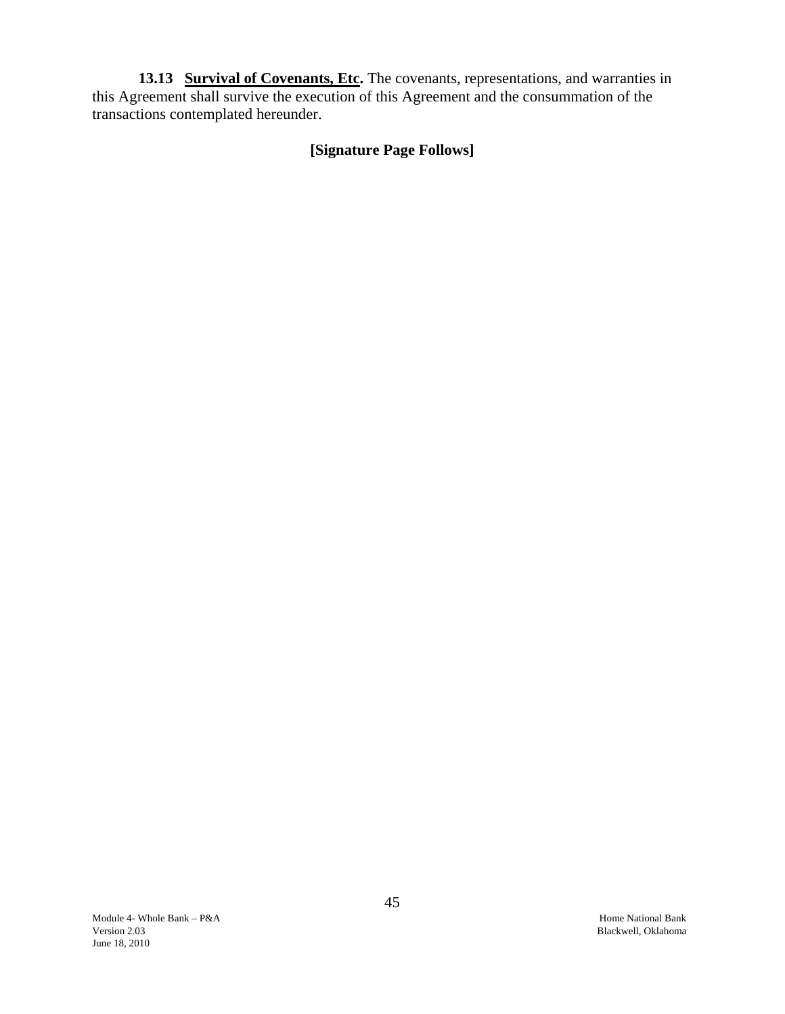**13.13 Survival of Covenants, Etc.** The covenants, representations, and warranties in this Agreement shall survive the execution of this Agreement and the consummation of the transactions contemplated hereunder.

# **[Signature Page Follows]**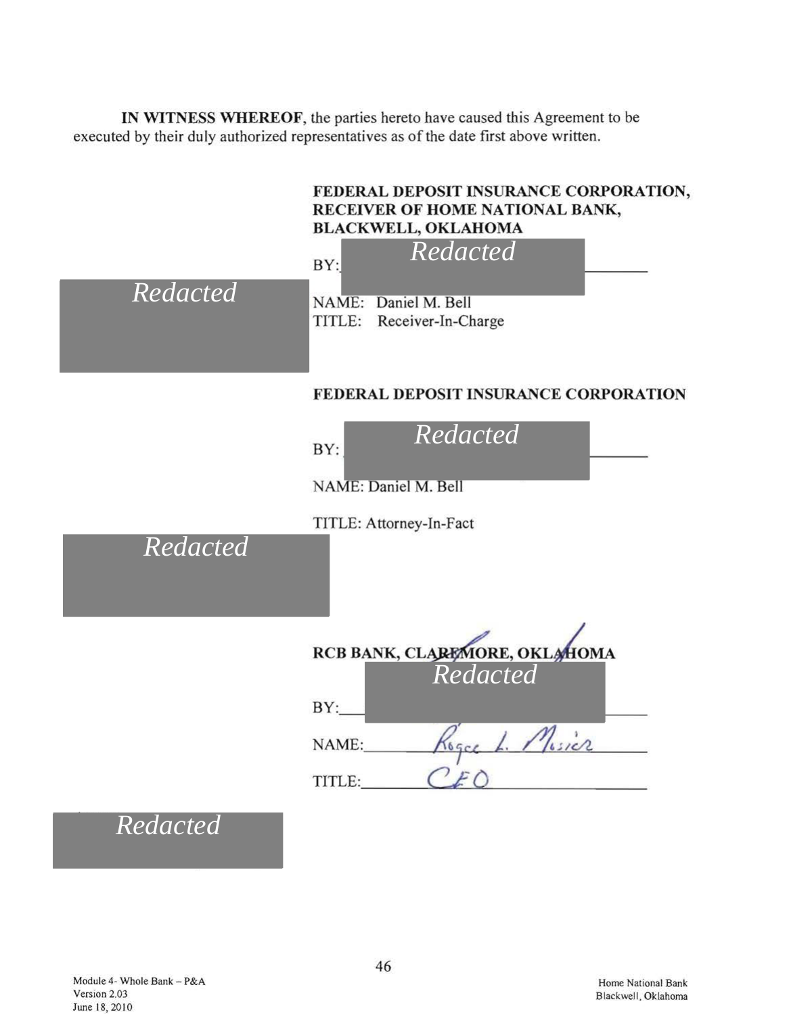**IN WITNESS WHEREOF,** the parties hereto have caused this Agreement to be executed by their duly authorized representatives as of the date first above written.

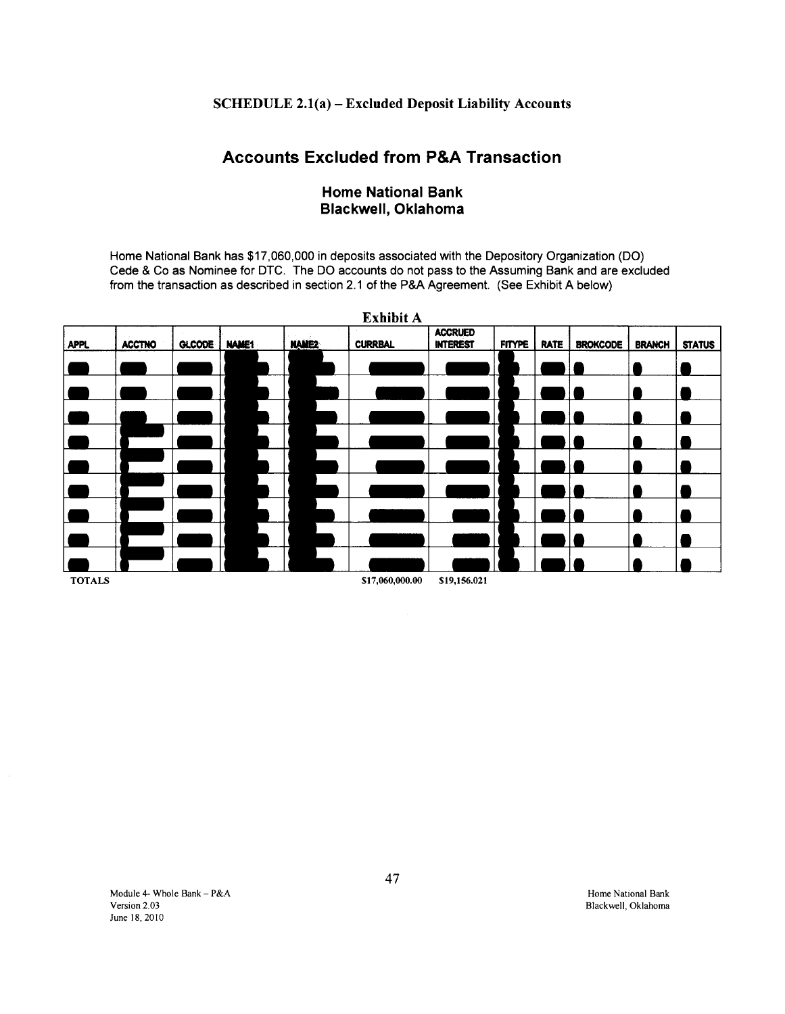#### SCHEDULE 2.1(a) - Excluded Deposit Liabilty Accounts

# Accounts Excluded from P&A Transaction

#### Home National Bank Blackwell, Oklahoma

Home National Bank has \$17,060,000 in deposits associated with the Depository Organization (DO) Cede & Co as Nominee for DTC. The DO accounts do not pass to the Assuming Bank and are excluded from the transaction as described in section 2.1 of the P&A Agreement. (See Exhibit A below)

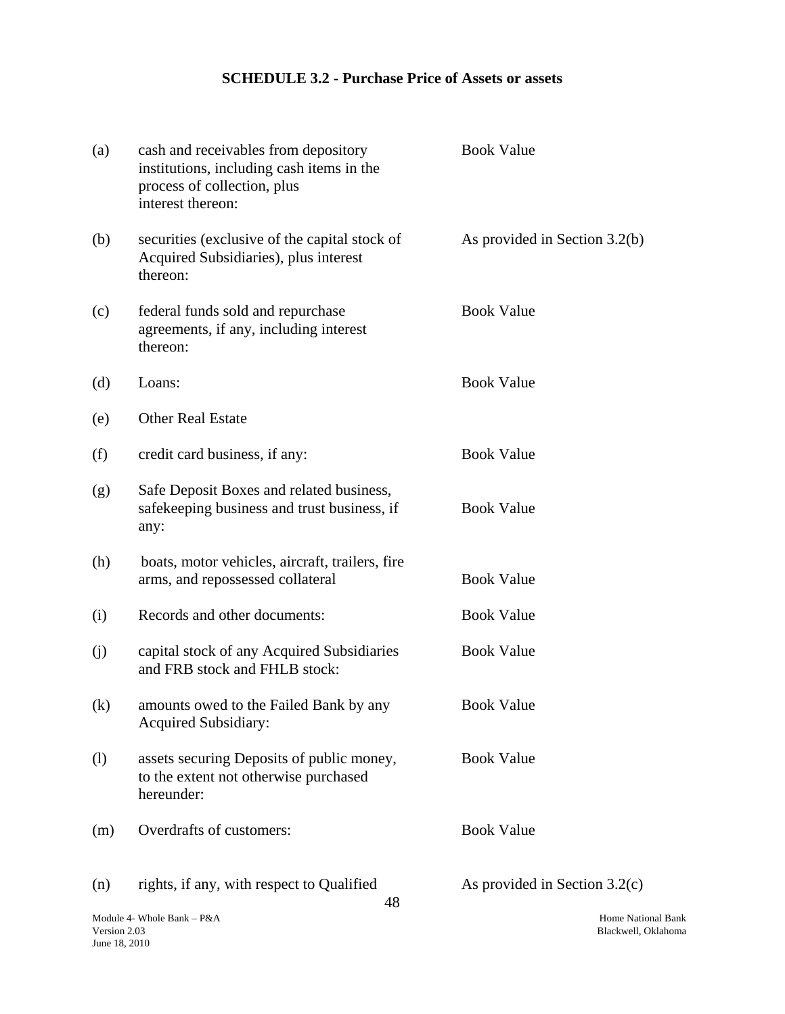## **SCHEDULE 3.2 - Purchase Price of Assets or assets**

| (a)               | cash and receivables from depository<br>institutions, including cash items in the<br>process of collection, plus<br>interest thereon: | <b>Book Value</b>               |
|-------------------|---------------------------------------------------------------------------------------------------------------------------------------|---------------------------------|
| (b)               | securities (exclusive of the capital stock of<br>Acquired Subsidiaries), plus interest<br>thereon:                                    | As provided in Section 3.2(b)   |
| (c)               | federal funds sold and repurchase<br>agreements, if any, including interest<br>thereon:                                               | <b>Book Value</b>               |
| (d)               | Loans:                                                                                                                                | <b>Book Value</b>               |
| (e)               | <b>Other Real Estate</b>                                                                                                              |                                 |
| (f)               | credit card business, if any:                                                                                                         | <b>Book Value</b>               |
| (g)               | Safe Deposit Boxes and related business,<br>safekeeping business and trust business, if<br>any:                                       | <b>Book Value</b>               |
| (h)               | boats, motor vehicles, aircraft, trailers, fire<br>arms, and repossessed collateral                                                   | <b>Book Value</b>               |
| (i)               | Records and other documents:                                                                                                          | <b>Book Value</b>               |
| (j)               | capital stock of any Acquired Subsidiaries<br>and FRB stock and FHLB stock:                                                           | <b>Book Value</b>               |
| $\left( k\right)$ | amounts owed to the Failed Bank by any<br><b>Acquired Subsidiary:</b>                                                                 | <b>Book Value</b>               |
| (1)               | assets securing Deposits of public money,<br>to the extent not otherwise purchased<br>hereunder:                                      | <b>Book Value</b>               |
| (m)               | Overdrafts of customers:                                                                                                              | <b>Book Value</b>               |
| (n)               | rights, if any, with respect to Qualified<br>48                                                                                       | As provided in Section $3.2(c)$ |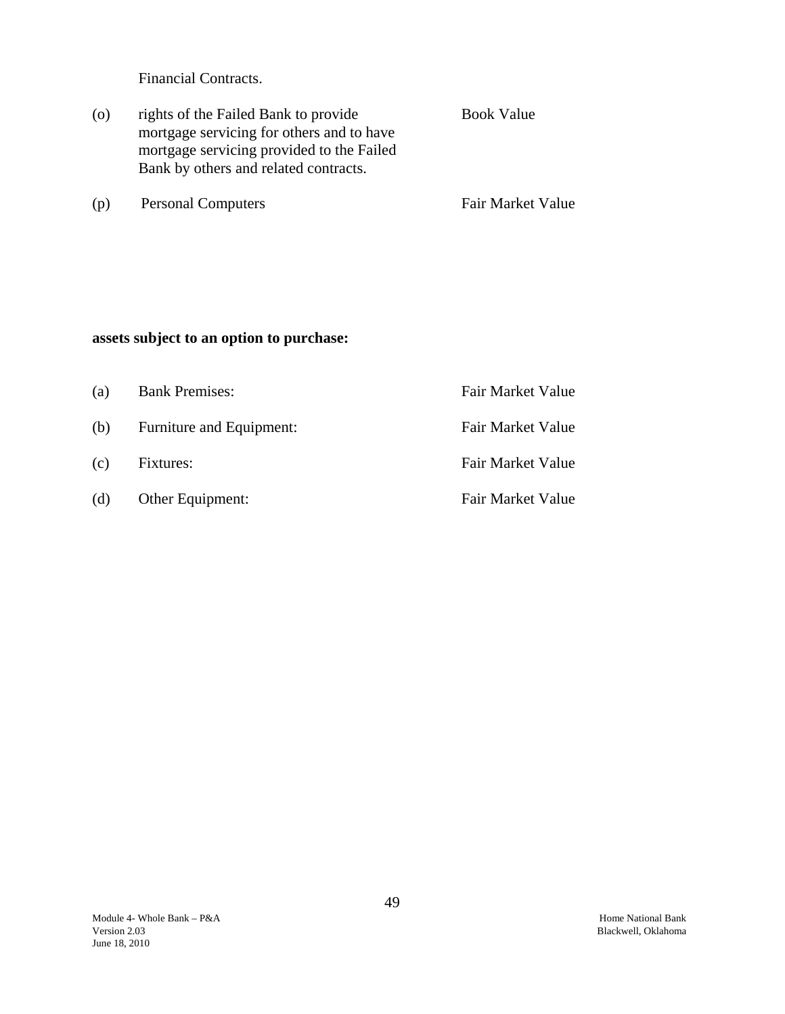Financial Contracts.

| (0) | rights of the Failed Bank to provide<br>mortgage servicing for others and to have<br>mortgage servicing provided to the Failed<br>Bank by others and related contracts. | <b>Book Value</b> |
|-----|-------------------------------------------------------------------------------------------------------------------------------------------------------------------------|-------------------|
| (p) | <b>Personal Computers</b>                                                                                                                                               | Fair Market Value |

# **assets subject to an option to purchase:**

| (a) | <b>Bank Premises:</b>    | Fair Market Value |
|-----|--------------------------|-------------------|
| (b) | Furniture and Equipment: | Fair Market Value |
| (c) | Fixtures:                | Fair Market Value |
| (d) | Other Equipment:         | Fair Market Value |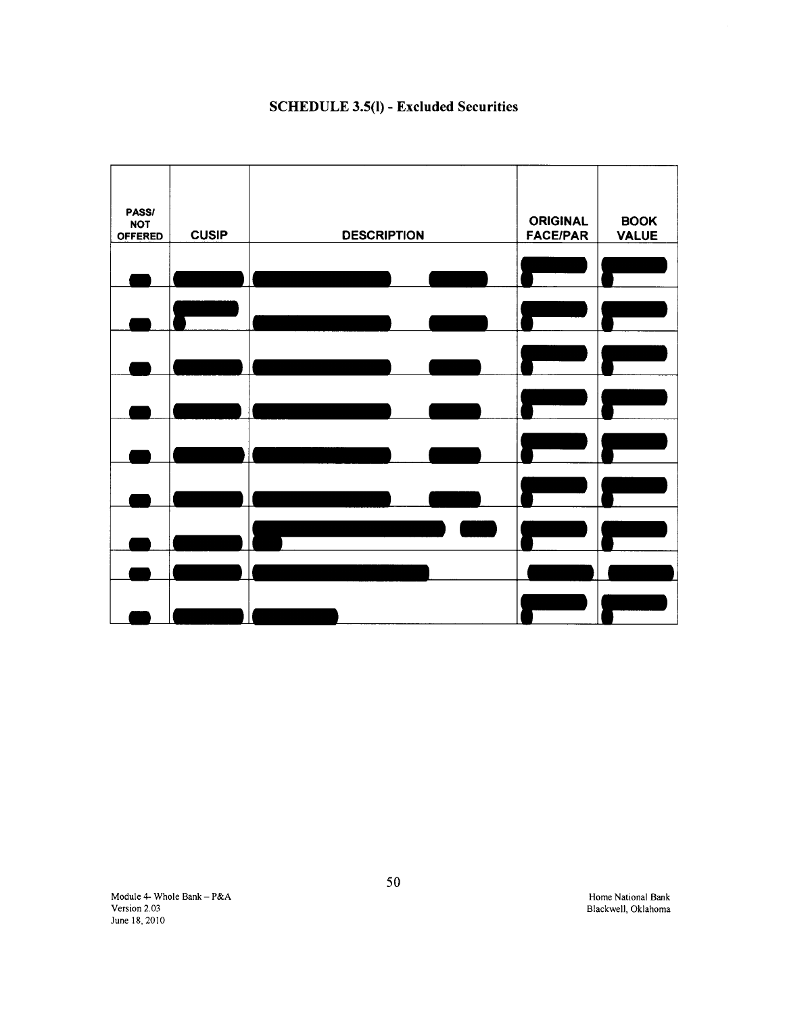## SCHEDULE 3.5(1) - Excluded Securities

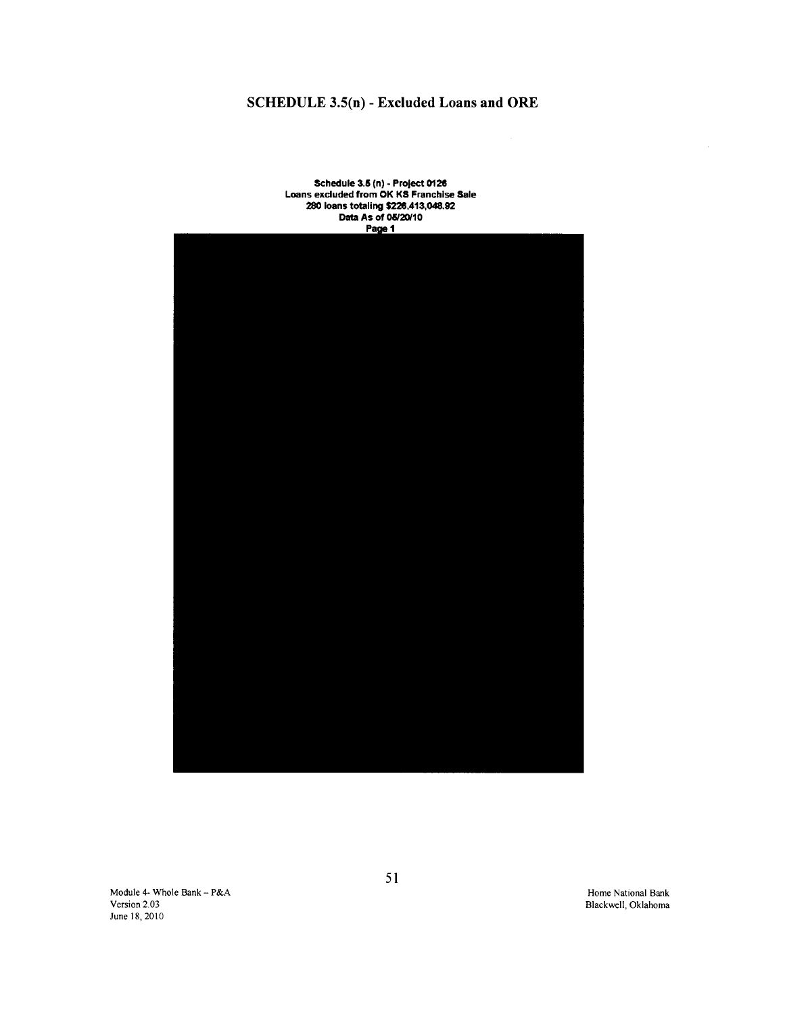## SCHEDULE 3.5(n) - Excluded Loans and ORE

Schedule 3.5 (n) - Project 0126 Loans excluded from OK KS Franchise Sale 280 loans totaling \$226,413,048.92 Data As of 05/20/10 Page 1 j.



Module 4- Whole Bank - P&A Home National Bank - P&A Home National Bank Version 2.03 Blackwell, Oklahoma June 18,2010

Blackwell, Oklahoma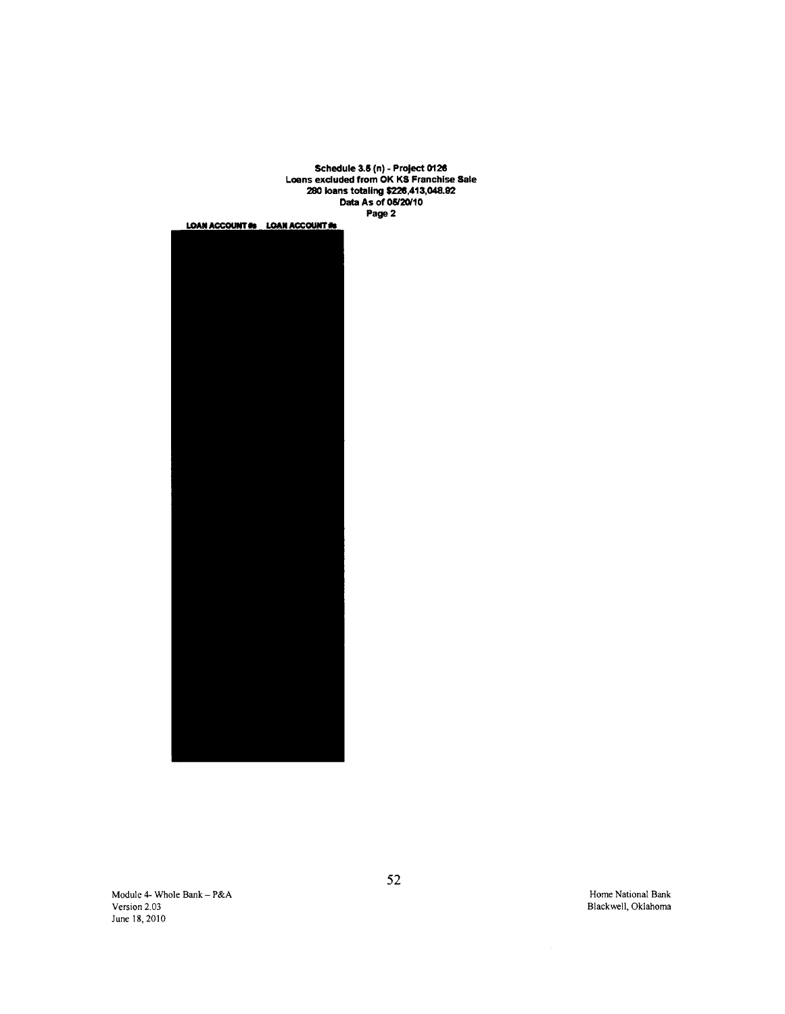Schedule 3.5 (n) - Project 0126 Loans excluded from OK KS Franchise Sale<br>280 Ioans totaling \$226,413,048.92 Data As of 05/20/10 Page 2



Module 4- Whole Bank - P&A Home National Bank - P&A Home National Bank Version 2.03 Blackwell, Oklahoma June 18,2010

Blackwell, Oklahoma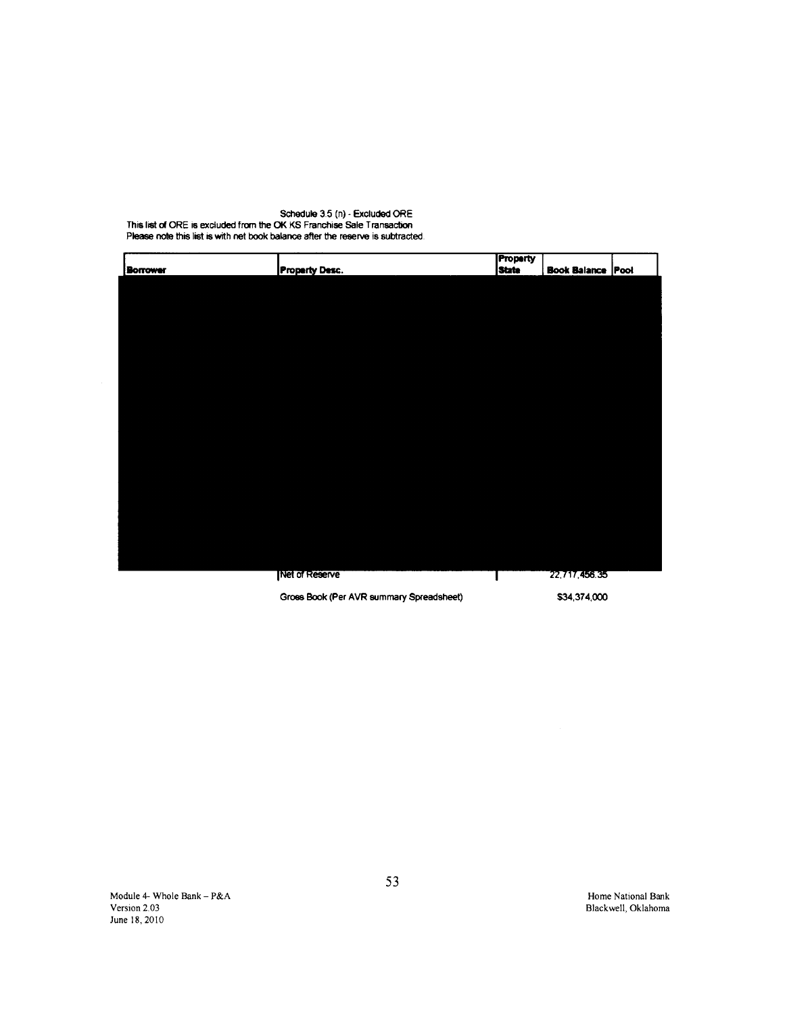Schedule 3.5 (n) - Excluded ORE This list of ORE is excluded from the OK KS Franchise Sale Transaction Please note this list is with net book balance after the reserve is subtracted.

|          |                       | <b>Property</b> |                          |  |
|----------|-----------------------|-----------------|--------------------------|--|
| Borrower | <b>Property Desc.</b> | <b>State</b>    | <b>Book Balance Pool</b> |  |
|          |                       |                 |                          |  |
|          |                       |                 |                          |  |
|          |                       |                 |                          |  |
|          |                       |                 |                          |  |
|          |                       |                 |                          |  |
|          |                       |                 |                          |  |
|          |                       |                 |                          |  |
|          |                       |                 |                          |  |
|          |                       |                 |                          |  |
|          |                       |                 |                          |  |
|          |                       |                 |                          |  |
|          |                       |                 |                          |  |
|          |                       |                 |                          |  |
|          |                       |                 |                          |  |
|          |                       |                 |                          |  |
|          |                       |                 |                          |  |
|          |                       |                 |                          |  |
|          |                       |                 |                          |  |
|          |                       |                 |                          |  |
|          |                       |                 |                          |  |
|          |                       |                 |                          |  |
|          |                       |                 |                          |  |
|          |                       |                 |                          |  |
|          |                       |                 |                          |  |
|          | Net of Reserve        |                 | 22,717,456.35            |  |

Gross Book (Per AVR summary Spreadsheet) 534,374,000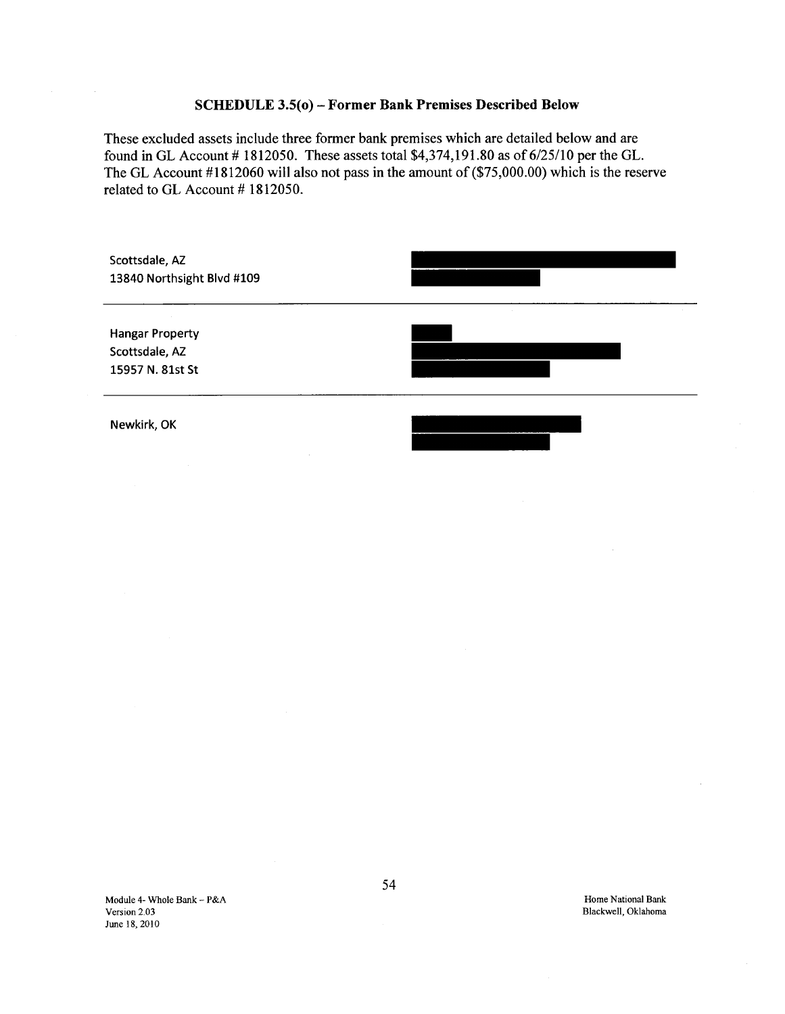## SCHEDULE 3.5(0) - Former Bank Premises Described Below

These excluded assets include three former bank premises which are detailed below and are found in GL Account  $\#$  1812050. These assets total \$4,374,191.80 as of 6/25/10 per the GL. The GL Account #1812060 will also not pass in the amount of (\$75,000.00) which is the reserve related to GL Account # 1812050.

| Scottsdale, AZ<br>13840 Northsight Blvd #109 |  |
|----------------------------------------------|--|
|                                              |  |
| <b>Hangar Property</b>                       |  |
| Scottsdale, AZ                               |  |
| 15957 N. 81st St                             |  |
|                                              |  |
| Newkirk, OK                                  |  |
| <b>Contract</b>                              |  |

Module 4- Whole Bank - P&A Home National Bank - P&A Home National Bank Version 2.03 Blackwell, Oklahoma June 18,2010

Blackwell, Oklahoma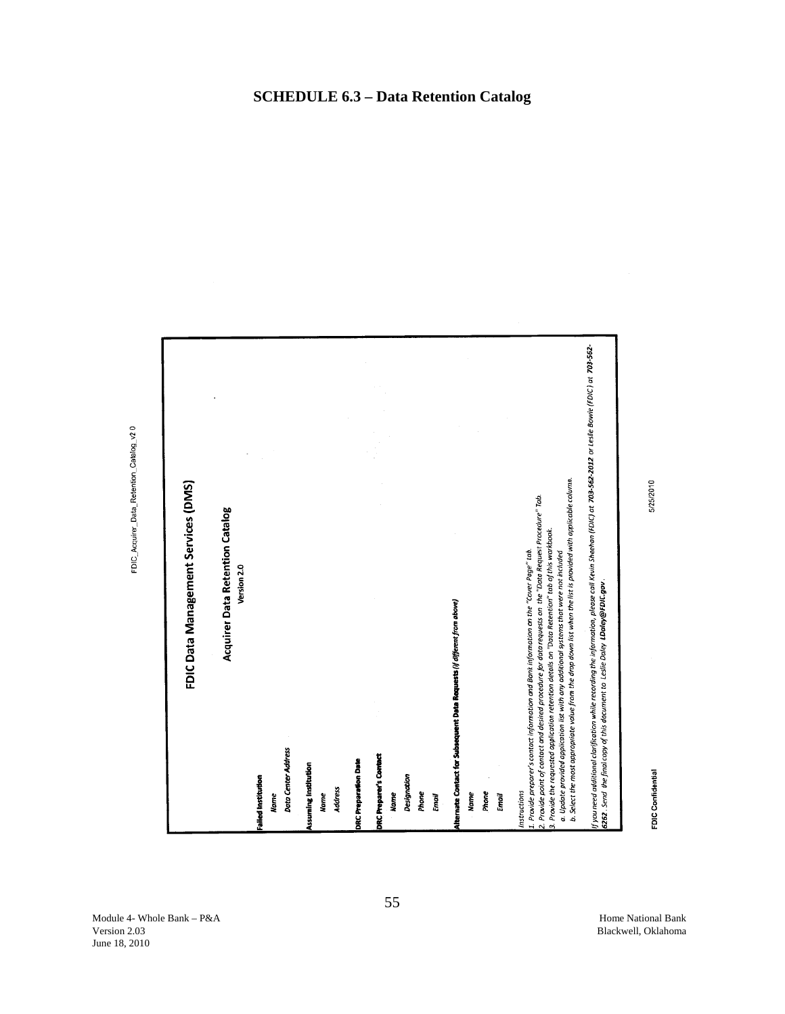

FDIC\_Acquirer\_Data\_Retention\_Catalog\_v20

Module 4- Whole Bank – P&A Home National Bank Version 2.03 Blackwell, Oklahoma June 18, 2010

# **SCHEDULE 6.3 – Data Retention Catalog**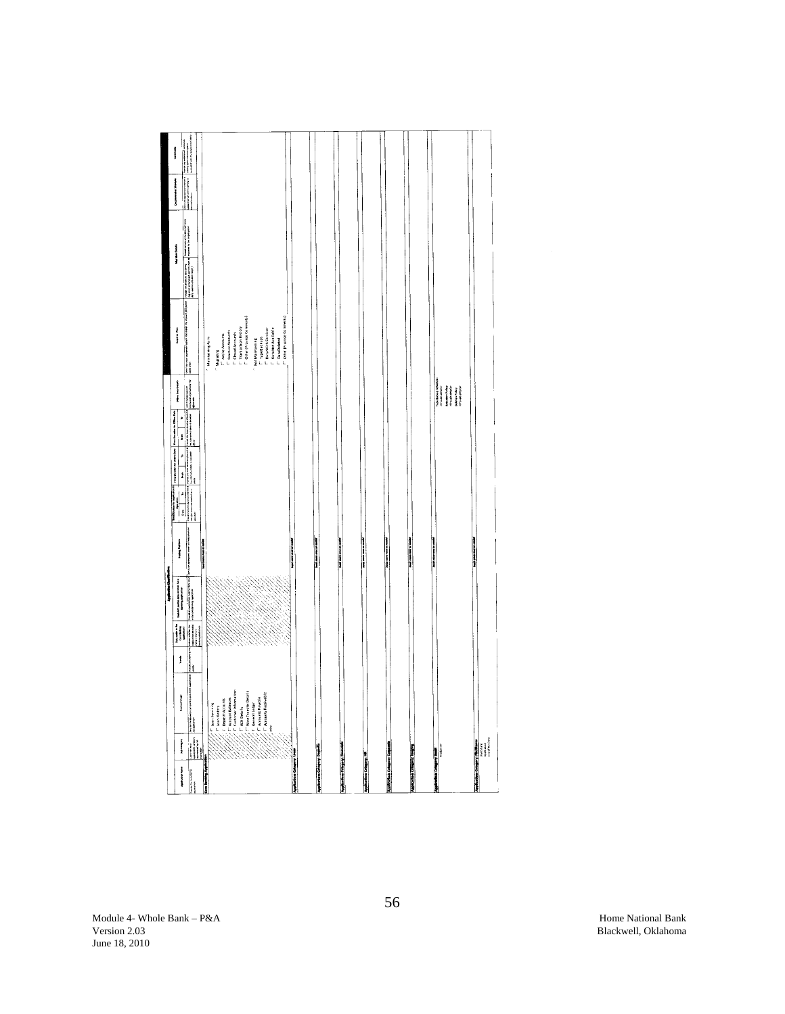

Module 4- Whole Bank – P&A Home National Bank Version 2.03<br>
Home National Bank Version 2.03 June 18, 2010

Blackwell, Oklahoma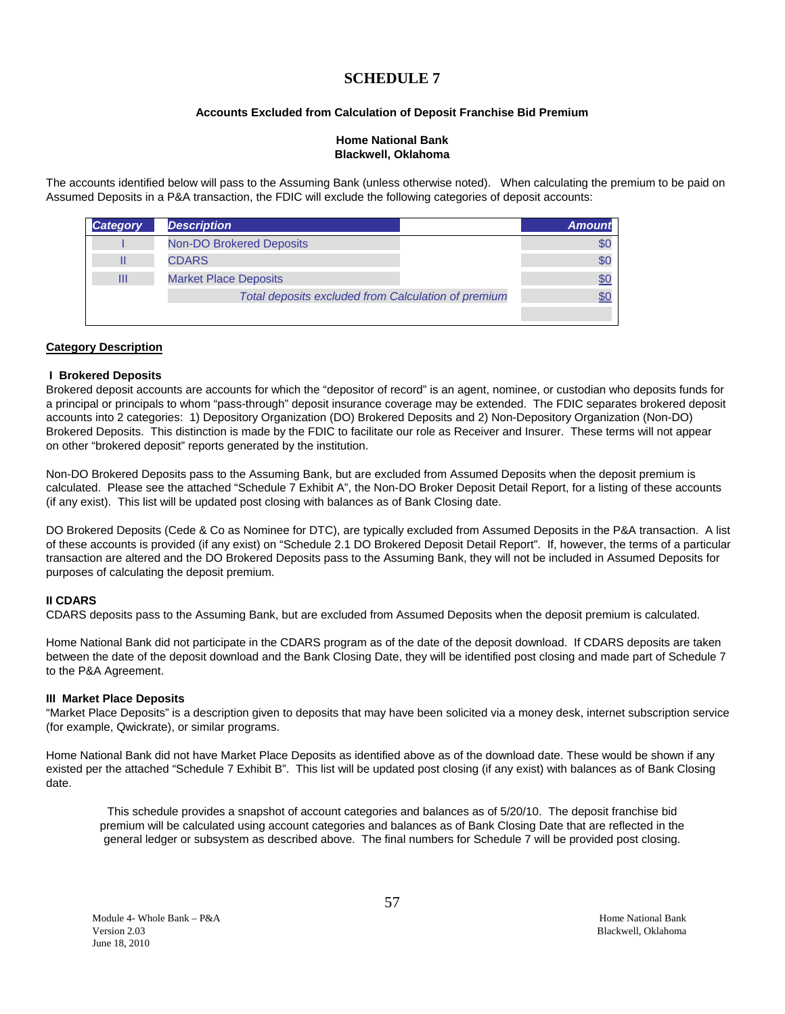#### **SCHEDULE 7**

#### **Accounts Excluded from Calculation of Deposit Franchise Bid Premium**

#### **Home National Bank Blackwell, Oklahoma**

The accounts identified below will pass to the Assuming Bank (unless otherwise noted). When calculating the premium to be paid on Assumed Deposits in a P&A transaction, the FDIC will exclude the following categories of deposit accounts:

| <b>Category</b> | <b>Description</b>                                  | <b>Amount</b> |
|-----------------|-----------------------------------------------------|---------------|
|                 | <b>Non-DO Brokered Deposits</b>                     | \$0           |
|                 | <b>CDARS</b>                                        | \$0           |
| Ш               | <b>Market Place Deposits</b>                        | \$0           |
|                 | Total deposits excluded from Calculation of premium |               |
|                 |                                                     |               |

#### **Category Description**

#### **I Brokered Deposits**

Brokered deposit accounts are accounts for which the "depositor of record" is an agent, nominee, or custodian who deposits funds for a principal or principals to whom "pass-through" deposit insurance coverage may be extended. The FDIC separates brokered deposit accounts into 2 categories: 1) Depository Organization (DO) Brokered Deposits and 2) Non-Depository Organization (Non-DO) Brokered Deposits. This distinction is made by the FDIC to facilitate our role as Receiver and Insurer. These terms will not appear on other "brokered deposit" reports generated by the institution.

Non-DO Brokered Deposits pass to the Assuming Bank, but are excluded from Assumed Deposits when the deposit premium is calculated. Please see the attached "Schedule 7 Exhibit A", the Non-DO Broker Deposit Detail Report, for a listing of these accounts (if any exist). This list will be updated post closing with balances as of Bank Closing date.

DO Brokered Deposits (Cede & Co as Nominee for DTC), are typically excluded from Assumed Deposits in the P&A transaction. A list of these accounts is provided (if any exist) on "Schedule 2.1 DO Brokered Deposit Detail Report". If, however, the terms of a particular transaction are altered and the DO Brokered Deposits pass to the Assuming Bank, they will not be included in Assumed Deposits for purposes of calculating the deposit premium.

#### **II CDARS**

CDARS deposits pass to the Assuming Bank, but are excluded from Assumed Deposits when the deposit premium is calculated.

Home National Bank did not participate in the CDARS program as of the date of the deposit download. If CDARS deposits are taken between the date of the deposit download and the Bank Closing Date, they will be identified post closing and made part of Schedule 7 to the P&A Agreement.

#### **III Market Place Deposits**

"Market Place Deposits" is a description given to deposits that may have been solicited via a money desk, internet subscription service (for example, Qwickrate), or similar programs.

Home National Bank did not have Market Place Deposits as identified above as of the download date. These would be shown if any existed per the attached "Schedule 7 Exhibit B". This list will be updated post closing (if any exist) with balances as of Bank Closing date.

This schedule provides a snapshot of account categories and balances as of 5/20/10. The deposit franchise bid premium will be calculated using account categories and balances as of Bank Closing Date that are reflected in the general ledger or subsystem as described above. The final numbers for Schedule 7 will be provided post closing.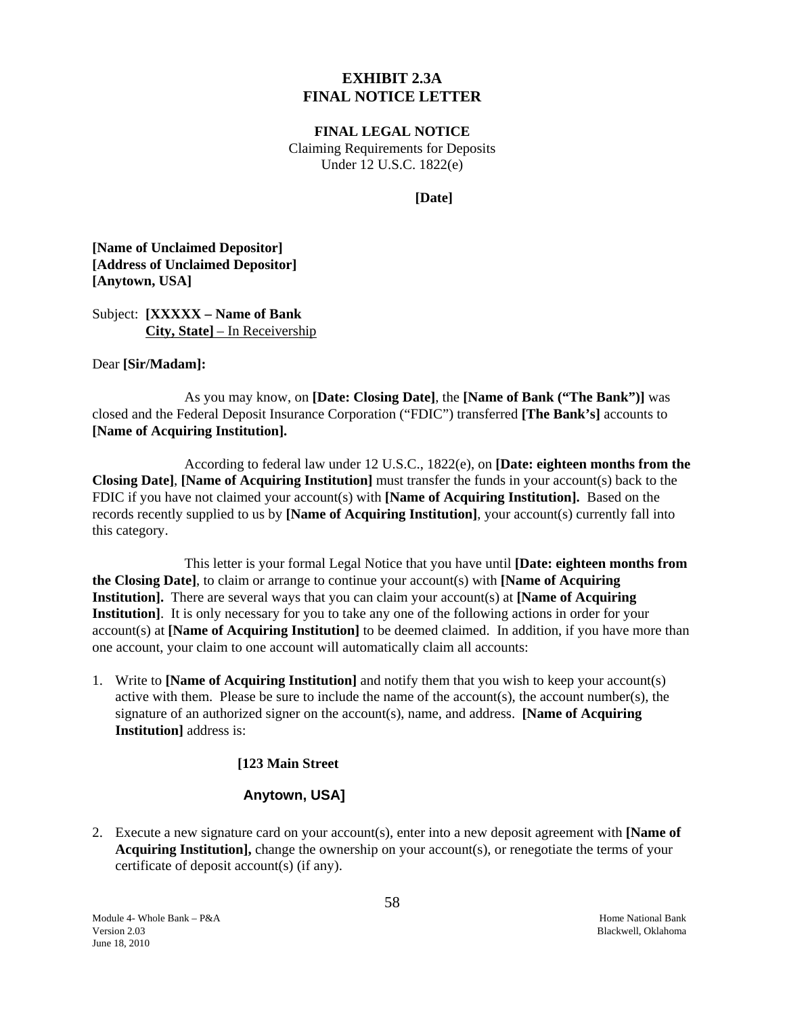## **EXHIBIT 2.3A FINAL NOTICE LETTER**

**FINAL LEGAL NOTICE** 

Claiming Requirements for Deposits Under 12 U.S.C. 1822(e)

**[Date]** 

**[Name of Unclaimed Depositor] [Address of Unclaimed Depositor] [Anytown, USA]** 

Subject: **[XXXXX – Name of Bank City, State]** – In Receivership

Dear **[Sir/Madam]:** 

As you may know, on **[Date: Closing Date]**, the **[Name of Bank ("The Bank")]** was closed and the Federal Deposit Insurance Corporation ("FDIC") transferred **[The Bank's]** accounts to **[Name of Acquiring Institution].** 

According to federal law under 12 U.S.C., 1822(e), on **[Date: eighteen months from the Closing Date]**, **[Name of Acquiring Institution]** must transfer the funds in your account(s) back to the FDIC if you have not claimed your account(s) with **[Name of Acquiring Institution].** Based on the records recently supplied to us by **[Name of Acquiring Institution]**, your account(s) currently fall into this category.

This letter is your formal Legal Notice that you have until **[Date: eighteen months from the Closing Date]**, to claim or arrange to continue your account(s) with **[Name of Acquiring Institution].** There are several ways that you can claim your account(s) at **[Name of Acquiring Institution]**. It is only necessary for you to take any one of the following actions in order for your account(s) at **[Name of Acquiring Institution]** to be deemed claimed. In addition, if you have more than one account, your claim to one account will automatically claim all accounts:

1. Write to **[Name of Acquiring Institution]** and notify them that you wish to keep your account(s) active with them. Please be sure to include the name of the account(s), the account number(s), the signature of an authorized signer on the account(s), name, and address. **[Name of Acquiring Institution]** address is:

#### **[123 Main Street**

#### **Anytown, USA]**

2. Execute a new signature card on your account(s), enter into a new deposit agreement with **[Name of Acquiring Institution],** change the ownership on your account(s), or renegotiate the terms of your certificate of deposit account(s) (if any).

Module 4- Whole Bank – P&A **Home National Bank** –  $\mathbb{R}$  Home National Bank Version 2.03 Blackwell, Oklahoma June 18, 2010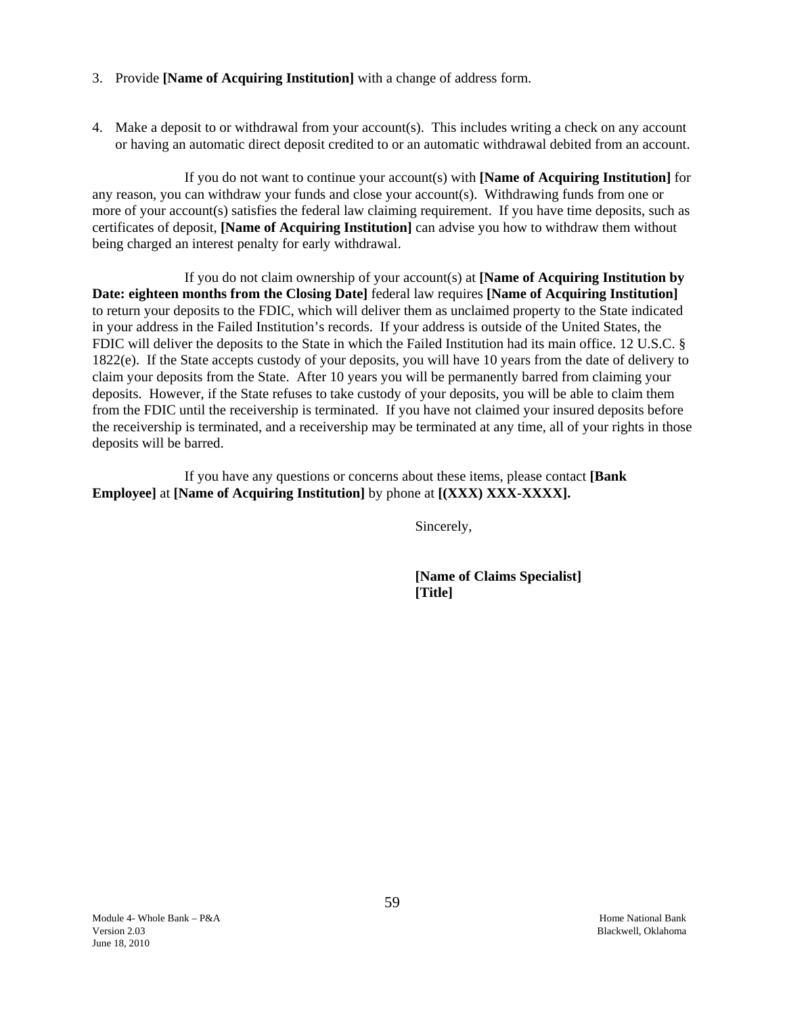- 3. Provide **[Name of Acquiring Institution]** with a change of address form.
- 4. Make a deposit to or withdrawal from your account(s). This includes writing a check on any account or having an automatic direct deposit credited to or an automatic withdrawal debited from an account.

If you do not want to continue your account(s) with **[Name of Acquiring Institution]** for any reason, you can withdraw your funds and close your account(s). Withdrawing funds from one or more of your account(s) satisfies the federal law claiming requirement. If you have time deposits, such as certificates of deposit, **[Name of Acquiring Institution]** can advise you how to withdraw them without being charged an interest penalty for early withdrawal.

If you do not claim ownership of your account(s) at **[Name of Acquiring Institution by Date: eighteen months from the Closing Date]** federal law requires **[Name of Acquiring Institution]**  to return your deposits to the FDIC, which will deliver them as unclaimed property to the State indicated in your address in the Failed Institution's records. If your address is outside of the United States, the FDIC will deliver the deposits to the State in which the Failed Institution had its main office. 12 U.S.C. § 1822(e). If the State accepts custody of your deposits, you will have 10 years from the date of delivery to claim your deposits from the State. After 10 years you will be permanently barred from claiming your deposits. However, if the State refuses to take custody of your deposits, you will be able to claim them from the FDIC until the receivership is terminated. If you have not claimed your insured deposits before the receivership is terminated, and a receivership may be terminated at any time, all of your rights in those deposits will be barred.

If you have any questions or concerns about these items, please contact **[Bank Employee]** at **[Name of Acquiring Institution]** by phone at **[(XXX) XXX-XXXX].** 

Sincerely,

**[Name of Claims Specialist] [Title]**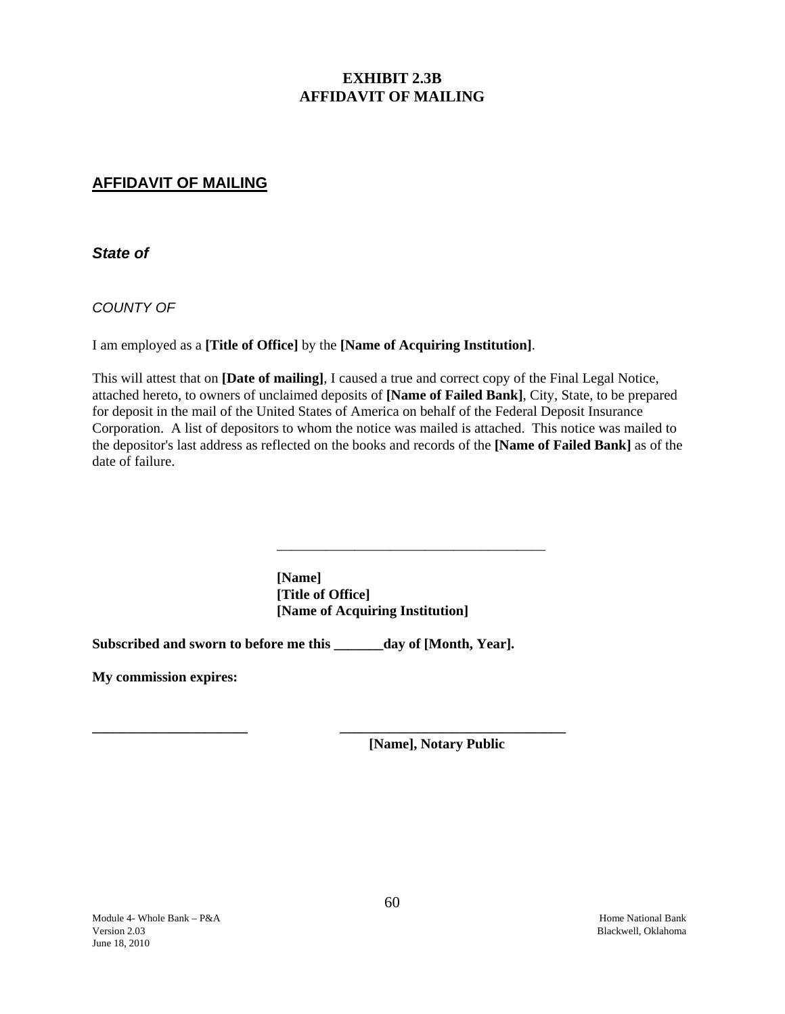# **EXHIBIT 2.3B AFFIDAVIT OF MAILING**

### **AFFIDAVIT OF MAILING**

*State of* 

*COUNTY OF* 

I am employed as a **[Title of Office]** by the **[Name of Acquiring Institution]**.

This will attest that on **[Date of mailing]**, I caused a true and correct copy of the Final Legal Notice, attached hereto, to owners of unclaimed deposits of **[Name of Failed Bank]**, City, State, to be prepared for deposit in the mail of the United States of America on behalf of the Federal Deposit Insurance Corporation. A list of depositors to whom the notice was mailed is attached. This notice was mailed to the depositor's last address as reflected on the books and records of the **[Name of Failed Bank]** as of the date of failure.

> **[Name] [Title of Office] [Name of Acquiring Institution]**

**Subscribed and sworn to before me this \_\_\_\_\_\_\_day of [Month, Year].** 

 $\overline{\phantom{a}}$  ,  $\overline{\phantom{a}}$  ,  $\overline{\phantom{a}}$  ,  $\overline{\phantom{a}}$  ,  $\overline{\phantom{a}}$  ,  $\overline{\phantom{a}}$  ,  $\overline{\phantom{a}}$  ,  $\overline{\phantom{a}}$  ,  $\overline{\phantom{a}}$  ,  $\overline{\phantom{a}}$  ,  $\overline{\phantom{a}}$  ,  $\overline{\phantom{a}}$  ,  $\overline{\phantom{a}}$  ,  $\overline{\phantom{a}}$  ,  $\overline{\phantom{a}}$  ,  $\overline{\phantom{a}}$ 

**My commission expires:** 

**\_\_\_\_\_\_\_\_\_\_\_\_\_\_\_\_\_\_\_\_\_\_ \_\_\_\_\_\_\_\_\_\_\_\_\_\_\_\_\_\_\_\_\_\_\_\_\_\_\_\_\_\_\_\_ [Name], Notary Public**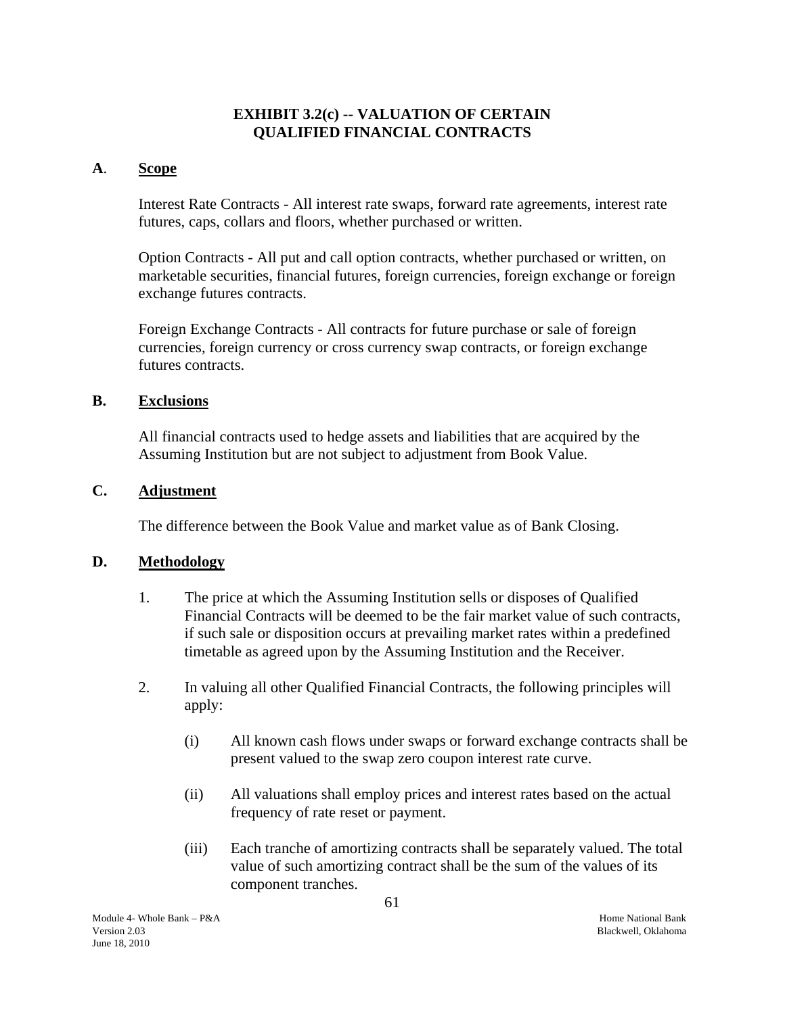## **EXHIBIT 3.2(c) -- VALUATION OF CERTAIN QUALIFIED FINANCIAL CONTRACTS**

#### **A**. **Scope**

Interest Rate Contracts - All interest rate swaps, forward rate agreements, interest rate futures, caps, collars and floors, whether purchased or written.

Option Contracts - All put and call option contracts, whether purchased or written, on marketable securities, financial futures, foreign currencies, foreign exchange or foreign exchange futures contracts.

Foreign Exchange Contracts - All contracts for future purchase or sale of foreign currencies, foreign currency or cross currency swap contracts, or foreign exchange futures contracts.

#### **B. Exclusions**

All financial contracts used to hedge assets and liabilities that are acquired by the Assuming Institution but are not subject to adjustment from Book Value.

#### C. Adjustment

The difference between the Book Value and market value as of Bank Closing.

#### **D. Methodology**

- 1. The price at which the Assuming Institution sells or disposes of Qualified Financial Contracts will be deemed to be the fair market value of such contracts, if such sale or disposition occurs at prevailing market rates within a predefined timetable as agreed upon by the Assuming Institution and the Receiver.
- 2. In valuing all other Qualified Financial Contracts, the following principles will apply:
	- (i) All known cash flows under swaps or forward exchange contracts shall be present valued to the swap zero coupon interest rate curve.
	- (ii) All valuations shall employ prices and interest rates based on the actual frequency of rate reset or payment.
	- (iii) Each tranche of amortizing contracts shall be separately valued. The total value of such amortizing contract shall be the sum of the values of its component tranches.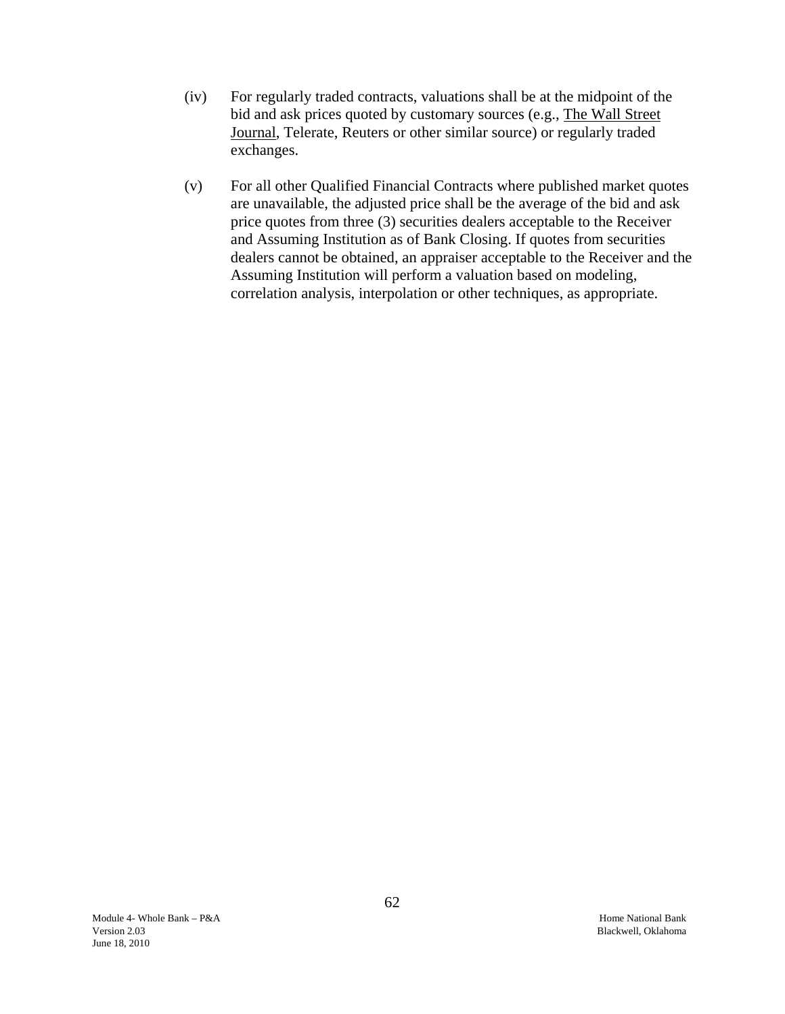- (iv) For regularly traded contracts, valuations shall be at the midpoint of the bid and ask prices quoted by customary sources (e.g., The Wall Street Journal, Telerate, Reuters or other similar source) or regularly traded exchanges.
- (v) For all other Qualified Financial Contracts where published market quotes are unavailable, the adjusted price shall be the average of the bid and ask price quotes from three (3) securities dealers acceptable to the Receiver and Assuming Institution as of Bank Closing. If quotes from securities dealers cannot be obtained, an appraiser acceptable to the Receiver and the Assuming Institution will perform a valuation based on modeling, correlation analysis, interpolation or other techniques, as appropriate.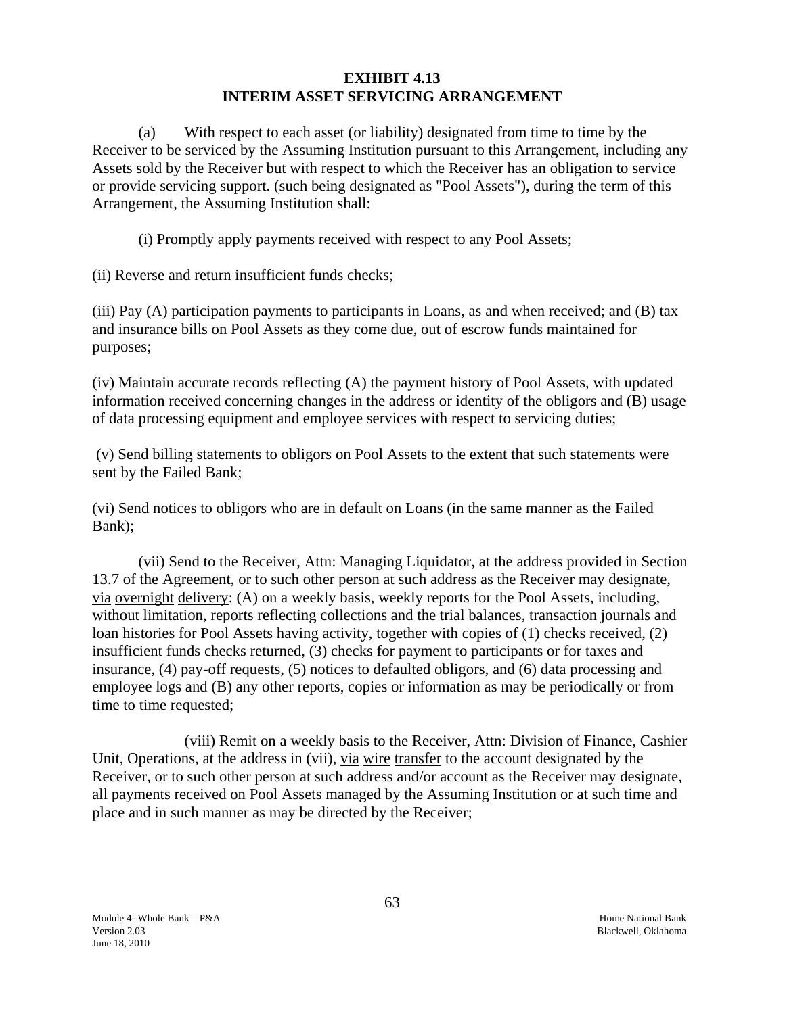#### **EXHIBIT 4.13 INTERIM ASSET SERVICING ARRANGEMENT**

(a) With respect to each asset (or liability) designated from time to time by the Receiver to be serviced by the Assuming Institution pursuant to this Arrangement, including any Assets sold by the Receiver but with respect to which the Receiver has an obligation to service or provide servicing support. (such being designated as "Pool Assets"), during the term of this Arrangement, the Assuming Institution shall:

(i) Promptly apply payments received with respect to any Pool Assets;

(ii) Reverse and return insufficient funds checks;

(iii) Pay (A) participation payments to participants in Loans, as and when received; and (B) tax and insurance bills on Pool Assets as they come due, out of escrow funds maintained for purposes;

(iv) Maintain accurate records reflecting (A) the payment history of Pool Assets, with updated information received concerning changes in the address or identity of the obligors and (B) usage of data processing equipment and employee services with respect to servicing duties;

(v) Send billing statements to obligors on Pool Assets to the extent that such statements were sent by the Failed Bank;

(vi) Send notices to obligors who are in default on Loans (in the same manner as the Failed Bank);

(vii) Send to the Receiver, Attn: Managing Liquidator, at the address provided in Section 13.7 of the Agreement, or to such other person at such address as the Receiver may designate, via overnight delivery: (A) on a weekly basis, weekly reports for the Pool Assets, including, without limitation, reports reflecting collections and the trial balances, transaction journals and loan histories for Pool Assets having activity, together with copies of (1) checks received, (2) insufficient funds checks returned, (3) checks for payment to participants or for taxes and insurance, (4) pay-off requests, (5) notices to defaulted obligors, and (6) data processing and employee logs and (B) any other reports, copies or information as may be periodically or from time to time requested;

(viii) Remit on a weekly basis to the Receiver, Attn: Division of Finance, Cashier Unit, Operations, at the address in (vii), via wire transfer to the account designated by the Receiver, or to such other person at such address and/or account as the Receiver may designate, all payments received on Pool Assets managed by the Assuming Institution or at such time and place and in such manner as may be directed by the Receiver;